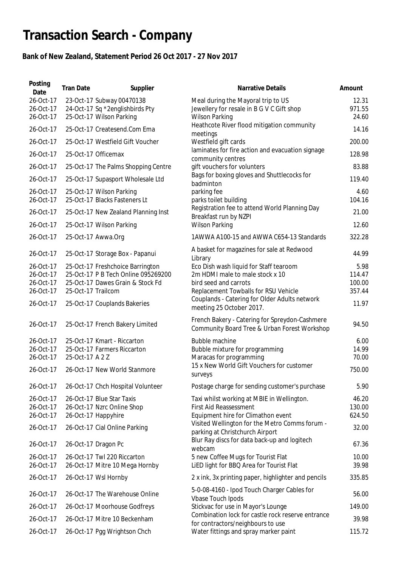## **Transaction Search - Company**

## **Bank of New Zealand, Statement Period 26 Oct 2017 - 27 Nov 2017**

| Posting<br>Date                                               | <b>Tran Date</b>   | Supplier                                                                                                                                    | Narrative Details                                                                                                                                                                                                       | Amount                                      |
|---------------------------------------------------------------|--------------------|---------------------------------------------------------------------------------------------------------------------------------------------|-------------------------------------------------------------------------------------------------------------------------------------------------------------------------------------------------------------------------|---------------------------------------------|
| 26-Oct-17<br>26-Oct-17<br>26-Oct-17                           |                    | 23-Oct-17 Subway 00470138<br>24-Oct-17 Sq *2englishbirds Pty<br>25-Oct-17 Wilson Parking                                                    | Meal during the Mayoral trip to US<br>Jewellery for resale in B G V C Gift shop<br><b>Wilson Parking</b>                                                                                                                | 12.31<br>971.55<br>24.60                    |
| 26-Oct-17                                                     |                    | 25-Oct-17 Createsend.Com Ema                                                                                                                | Heathcote River flood mitigation community<br>meetings                                                                                                                                                                  | 14.16                                       |
| 26-Oct-17                                                     |                    | 25-Oct-17 Westfield Gift Voucher                                                                                                            | Westfield gift cards                                                                                                                                                                                                    | 200.00                                      |
| 26-Oct-17                                                     |                    | 25-Oct-17 Officemax                                                                                                                         | laminates for fire action and evacuation signage<br>community centres                                                                                                                                                   | 128.98                                      |
| 26-Oct-17                                                     |                    | 25-Oct-17 The Palms Shopping Centre                                                                                                         | gift vouchers for volunters                                                                                                                                                                                             | 83.88                                       |
| 26-Oct-17                                                     |                    | 25-Oct-17 Supasport Wholesale Ltd                                                                                                           | Bags for boxing gloves and Shuttlecocks for<br>badminton                                                                                                                                                                | 119.40                                      |
| 26-Oct-17                                                     |                    | 25-Oct-17 Wilson Parking                                                                                                                    | parking fee                                                                                                                                                                                                             | 4.60                                        |
| 26-Oct-17                                                     |                    | 25-Oct-17 Blacks Fasteners Lt                                                                                                               | parks toilet building<br>Registration fee to attend World Planning Day                                                                                                                                                  | 104.16                                      |
| 26-Oct-17                                                     |                    | 25-Oct-17 New Zealand Planning Inst                                                                                                         | Breakfast run by NZPI                                                                                                                                                                                                   | 21.00                                       |
| 26-Oct-17                                                     |                    | 25-Oct-17 Wilson Parking                                                                                                                    | <b>Wilson Parking</b>                                                                                                                                                                                                   | 12.60                                       |
| 26-Oct-17                                                     |                    | 25-Oct-17 Awwa.Org                                                                                                                          | 1AWWA A100-15 and AWWA C654-13 Standards                                                                                                                                                                                | 322.28                                      |
| 26-Oct-17                                                     |                    | 25-Oct-17 Storage Box - Papanui                                                                                                             | A basket for magazines for sale at Redwood<br>Library                                                                                                                                                                   | 44.99                                       |
| 26-Oct-17<br>26-Oct-17<br>26-Oct-17<br>26-Oct-17<br>26-Oct-17 | 25-Oct-17 Trailcom | 25-Oct-17 Freshchoice Barrington<br>25-Oct-17 P B Tech Online 095269200<br>25-Oct-17 Dawes Grain & Stock Fd<br>25-Oct-17 Couplands Bakeries | Eco Dish wash liquid for Staff tearoom<br>2m HDMI male to male stock x 10<br>bird seed and carrots<br>Replacement Towballs for RSU Vehicle<br>Couplands - Catering for Older Adults network<br>meeting 25 October 2017. | 5.98<br>114.47<br>100.00<br>357.44<br>11.97 |
| 26-Oct-17                                                     |                    | 25-Oct-17 French Bakery Limited                                                                                                             | French Bakery - Catering for Spreydon-Cashmere<br>Community Board Tree & Urban Forest Workshop                                                                                                                          | 94.50                                       |
| 26-Oct-17<br>26-Oct-17<br>26-Oct-17<br>26-Oct-17              | 25-Oct-17 A 2 Z    | 25-Oct-17 Kmart - Riccarton<br>25-Oct-17 Farmers Riccarton<br>26-Oct-17 New World Stanmore                                                  | Bubble machine<br>Bubble mixture for programming<br>Maracas for programming<br>15 x New World Gift Vouchers for customer<br>surveys                                                                                     | 6.00<br>14.99<br>70.00<br>750.00            |
| 26-Oct-17                                                     |                    | 26-Oct-17 Chch Hospital Volunteer                                                                                                           | Postage charge for sending customer's purchase                                                                                                                                                                          | 5.90                                        |
| 26-Oct-17<br>26-Oct-17<br>26-Oct-17<br>26-Oct-17              |                    | 26-Oct-17 Blue Star Taxis<br>26-Oct-17 Nzrc Online Shop<br>26-Oct-17 Happyhire<br>26-Oct-17 Cial Online Parking                             | Taxi whilst working at MBIE in Wellington.<br><b>First Aid Reassessment</b><br>Equipment hire for Climathon event<br>Visited Wellington for the Metro Comms forum -                                                     | 46.20<br>130.00<br>624.50<br>32.00          |
|                                                               |                    |                                                                                                                                             | parking at Christchurch Airport<br>Blur Ray discs for data back-up and logitech                                                                                                                                         |                                             |
| 26-Oct-17                                                     |                    | 26-Oct-17 Dragon Pc                                                                                                                         | webcam                                                                                                                                                                                                                  | 67.36                                       |
| 26-Oct-17<br>26-Oct-17                                        |                    | 26-Oct-17 Twl 220 Riccarton<br>26-Oct-17 Mitre 10 Mega Hornby                                                                               | 5 new Coffee Mugs for Tourist Flat<br>LiED light for BBQ Area for Tourist Flat                                                                                                                                          | 10.00<br>39.98                              |
| 26-Oct-17                                                     |                    | 26-Oct-17 Wsl Hornby                                                                                                                        | 2 x ink, 3x printing paper, highlighter and pencils                                                                                                                                                                     | 335.85                                      |
| 26-Oct-17                                                     |                    | 26-Oct-17 The Warehouse Online                                                                                                              | 5-0-08-4160 - Ipod Touch Charger Cables for<br>Vbase Touch Ipods                                                                                                                                                        | 56.00                                       |
| 26-Oct-17                                                     |                    | 26-Oct-17 Moorhouse Godfreys                                                                                                                | Stickvac for use in Mayor's Lounge                                                                                                                                                                                      | 149.00                                      |
| 26-Oct-17                                                     |                    | 26-Oct-17 Mitre 10 Beckenham                                                                                                                | Combination lock for castle rock reserve entrance                                                                                                                                                                       | 39.98                                       |
| 26-Oct-17                                                     |                    | 26-Oct-17 Pgg Wrightson Chch                                                                                                                | for contractors/neighbours to use<br>Water fittings and spray marker paint                                                                                                                                              | 115.72                                      |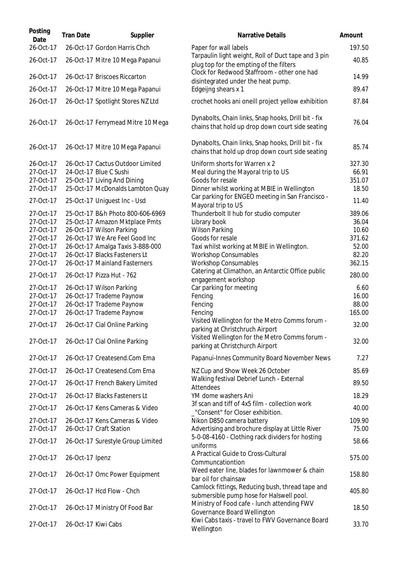| Posting<br>Date        | <b>Tran Date</b> | Supplier                                                          | <b>Narrative Details</b>                                                                                | Amount         |
|------------------------|------------------|-------------------------------------------------------------------|---------------------------------------------------------------------------------------------------------|----------------|
| 26-Oct-17              |                  | 26-Oct-17 Gordon Harris Chch                                      | Paper for wall labels                                                                                   | 197.50         |
| 26-Oct-17              |                  | 26-Oct-17 Mitre 10 Mega Papanui                                   | Tarpaulin light weight, Roll of Duct tape and 3 pin<br>plug top for the empting of the filters          | 40.85          |
| 26-Oct-17              |                  | 26-Oct-17 Briscoes Riccarton                                      | Clock for Redwood Staffroom - other one had<br>disintegrated under the heat pump.                       | 14.99          |
| 26-Oct-17              |                  | 26-Oct-17 Mitre 10 Mega Papanui                                   | Edgeijng shears x 1                                                                                     | 89.47          |
| 26-Oct-17              |                  | 26-Oct-17 Spotlight Stores NZ Ltd                                 | crochet hooks ani oneill project yellow exhibition                                                      | 87.84          |
| 26-Oct-17              |                  | 26-Oct-17 Ferrymead Mitre 10 Mega                                 | Dynabolts, Chain links, Snap hooks, Drill bit - fix<br>chains that hold up drop down court side seating | 76.04          |
| 26-Oct-17              |                  | 26-Oct-17 Mitre 10 Mega Papanui                                   | Dynabolts, Chain links, Snap hooks, Drill bit - fix<br>chains that hold up drop down court side seating | 85.74          |
| 26-Oct-17              |                  | 26-Oct-17 Cactus Outdoor Limited                                  | Uniform shorts for Warren x 2                                                                           | 327.30         |
| 27-Oct-17              |                  | 24-Oct-17 Blue C Sushi                                            | Meal during the Mayoral trip to US                                                                      | 66.91          |
| 27-Oct-17              |                  | 25-Oct-17 Living And Dining                                       | Goods for resale                                                                                        | 351.07         |
| 27-Oct-17              |                  | 25-Oct-17 McDonalds Lambton Quay                                  | Dinner whilst working at MBIE in Wellington                                                             | 18.50          |
| 27-Oct-17              |                  | 25-Oct-17 Uniguest Inc - Usd                                      | Car parking for ENGEO meeting in San Francisco -<br>Mayoral trip to US                                  | 11.40          |
| 27-Oct-17              |                  | 25-Oct-17 B&h Photo 800-606-6969                                  | Thunderbolt II hub for studio computer                                                                  | 389.06         |
| 27-Oct-17              |                  | 25-Oct-17 Amazon Mktplace Pmts                                    | Library book                                                                                            | 36.04          |
| 27-Oct-17              |                  | 26-Oct-17 Wilson Parking                                          | <b>Wilson Parking</b>                                                                                   | 10.60          |
| 27-Oct-17              |                  | 26-Oct-17 We Are Feel Good Inc                                    | Goods for resale                                                                                        | 371.62         |
| 27-Oct-17<br>27-Oct-17 |                  | 26-Oct-17 Amalga Taxis 3-888-000<br>26-Oct-17 Blacks Fasteners Lt | Taxi whilst working at MBIE in Wellington.                                                              | 52.00<br>82.20 |
| 27-Oct-17              |                  | 26-Oct-17 Mainland Fasterners                                     | <b>Workshop Consumables</b><br><b>Workshop Consumables</b>                                              | 362.15         |
|                        |                  |                                                                   | Catering at Climathon, an Antarctic Office public                                                       |                |
| 27-Oct-17              |                  | 26-Oct-17 Pizza Hut - 762                                         | engagement workshop                                                                                     | 280.00         |
| 27-Oct-17              |                  | 26-Oct-17 Wilson Parking                                          | Car parking for meeting                                                                                 | 6.60<br>16.00  |
| 27-Oct-17<br>27-Oct-17 |                  | 26-Oct-17 Trademe Paynow<br>26-Oct-17 Trademe Paynow              | Fencing<br>Fencing                                                                                      | 88.00          |
| 27-Oct-17              |                  | 26-Oct-17 Trademe Paynow                                          | Fencing                                                                                                 | 165.00         |
|                        |                  |                                                                   | Visited Wellington for the Metro Comms forum -                                                          |                |
| 27-Oct-17              |                  | 26-Oct-17 Cial Online Parking                                     | parking at Christchruch Airport<br>Visited Wellington for the Metro Comms forum -                       | 32.00          |
| 27-Oct-17              |                  | 26-Oct-17 Cial Online Parking                                     | parking at Christchurch Airport                                                                         | 32.00          |
| 27-Oct-17              |                  | 26-Oct-17 Createsend.Com Ema                                      | Papanui-Innes Community Board November News                                                             | 7.27           |
| 27-Oct-17              |                  | 26-Oct-17 Createsend.Com Ema                                      | NZ Cup and Show Week 26 October                                                                         | 85.69          |
| 27-Oct-17              |                  | 26-Oct-17 French Bakery Limited                                   | Walking festival Debrief Lunch - External<br>Attendees                                                  | 89.50          |
| 27-Oct-17              |                  | 26-Oct-17 Blacks Fasteners Lt                                     | YM dome washers Ani                                                                                     | 18.29          |
| 27-Oct-17              |                  | 26-Oct-17 Kens Cameras & Video                                    | 3f scan and tiff of 4x5 film - collection work<br>"Consent" for Closer exhibition.                      | 40.00          |
| 27-Oct-17              |                  | 26-Oct-17 Kens Cameras & Video                                    | Nikon D850 camera battery                                                                               | 109.90         |
| 27-Oct-17              |                  | 26-Oct-17 Craft Station                                           | Advertising and brochure display at Little River                                                        | 75.00          |
| 27-Oct-17              |                  | 26-Oct-17 Surestyle Group Limited                                 | 5-0-08-4160 - Clothing rack dividers for hosting<br>uniforms                                            | 58.66          |
| 27-Oct-17              | 26-Oct-17 Ipenz  |                                                                   | A Practical Guide to Cross-Cultural<br>Communcationtion                                                 | 575.00         |
| 27-Oct-17              |                  | 26-Oct-17 Omc Power Equipment                                     | Weed eater line, blades for lawnmower & chain<br>bar oil for chainsaw                                   | 158.80         |
| 27-Oct-17              |                  | 26-Oct-17 Hcd Flow - Chch                                         | Camlock fittings, Reducing bush, thread tape and<br>submersible pump hose for Halswell pool.            | 405.80         |
| 27-Oct-17              |                  | 26-Oct-17 Ministry Of Food Bar                                    | Ministry of Food cafe - lunch attending FWV<br>Governance Board Wellington                              | 18.50          |
| 27-Oct-17              |                  | 26-Oct-17 Kiwi Cabs                                               | Kiwi Cabs taxis - travel to FWV Governance Board<br>Wellington                                          | 33.70          |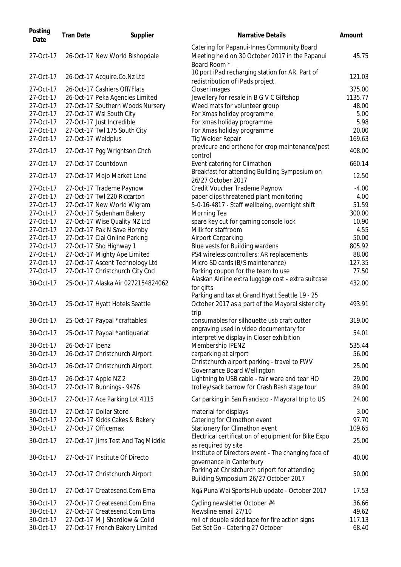| Posting<br>Date | <b>Tran Date</b> | Supplier                           | <b>Narrative Details</b>                                                                                           | Amount  |
|-----------------|------------------|------------------------------------|--------------------------------------------------------------------------------------------------------------------|---------|
| 27-Oct-17       |                  | 26-Oct-17 New World Bishopdale     | Catering for Papanui-Innes Community Board<br>Meeting held on 30 October 2017 in the Papanui<br>Board Room *       | 45.75   |
| 27-Oct-17       |                  | 26-Oct-17 Acquire.Co.Nz Ltd        | 10 port iPad recharging station for AR. Part of<br>redistribution of iPads project.                                | 121.03  |
| 27-Oct-17       |                  | 26-Oct-17 Cashiers Off/Flats       | Closer images                                                                                                      | 375.00  |
| 27-Oct-17       |                  | 26-Oct-17 Peka Agencies Limited    | Jewellery for resale in B G V C Giftshop                                                                           | 1135.77 |
| 27-Oct-17       |                  | 27-Oct-17 Southern Woods Nursery   | Weed mats for volunteer group                                                                                      | 48.00   |
| 27-Oct-17       |                  | 27-Oct-17 Wsl South City           | For Xmas holiday programme                                                                                         | 5.00    |
| 27-Oct-17       |                  | 27-Oct-17 Just Incredible          | For xmas holiday programme                                                                                         | 5.98    |
| 27-Oct-17       |                  | 27-Oct-17 Twl 175 South City       | For Xmas holiday programme                                                                                         | 20.00   |
| 27-Oct-17       |                  | 27-Oct-17 Weldplus                 | Tig Welder Repair                                                                                                  | 169.63  |
| 27-Oct-17       |                  | 27-Oct-17 Pgg Wrightson Chch       | previcure and orthene for crop maintenance/pest<br>control                                                         | 408.00  |
| 27-Oct-17       |                  | 27-Oct-17 Countdown                | Event catering for Climathon                                                                                       | 660.14  |
| 27-Oct-17       |                  | 27-Oct-17 Mojo Market Lane         | Breakfast for attending Building Symposium on                                                                      | 12.50   |
|                 |                  |                                    | 26/27 October 2017                                                                                                 |         |
| 27-Oct-17       |                  | 27-Oct-17 Trademe Paynow           | Credit Voucher Trademe Paynow                                                                                      | $-4.00$ |
| 27-Oct-17       |                  | 27-Oct-17 Twl 220 Riccarton        | paper clips threatened plant monitoring                                                                            | 4.00    |
| 27-Oct-17       |                  | 27-Oct-17 New World Wigram         | 5-0-16-4817 - Staff wellbeing, overnight shift                                                                     | 51.59   |
| 27-Oct-17       |                  | 27-Oct-17 Sydenham Bakery          | Morning Tea                                                                                                        | 300.00  |
| 27-Oct-17       |                  | 27-Oct-17 Wise Quality NZ Ltd      | spare key cut for gaming console lock                                                                              | 10.90   |
| 27-Oct-17       |                  | 27-Oct-17 Pak N Save Hornby        | Milk for staffroom                                                                                                 | 4.55    |
| 27-Oct-17       |                  | 27-Oct-17 Cial Online Parking      | Airport Carparking                                                                                                 | 50.00   |
| 27-Oct-17       |                  | 27-Oct-17 Shq Highway 1            | Blue vests for Building wardens                                                                                    | 805.92  |
| 27-Oct-17       |                  | 27-Oct-17 Mighty Ape Limited       | PS4 wireless controllers: AR replacements                                                                          | 88.00   |
| 27-Oct-17       |                  | 27-Oct-17 Ascent Technology Ltd    | Micro SD cards (B/S maintenance)                                                                                   | 127.35  |
| 27-Oct-17       |                  | 27-Oct-17 Christchurch City Cncl   | Parking coupon for the team to use                                                                                 | 77.50   |
| 30-Oct-17       |                  | 25-Oct-17 Alaska Air 0272154824062 | Alaskan Airline extra luggage cost - extra suitcase<br>for gifts<br>Parking and tax at Grand Hyatt Seattle 19 - 25 | 432.00  |
| 30-Oct-17       |                  | 25-Oct-17 Hyatt Hotels Seattle     | October 2017 as a part of the Mayoral sister city<br>trip                                                          | 493.91  |
| 30-Oct-17       |                  | 25-Oct-17 Paypal *craftablesl      | consumables for silhouette usb craft cutter                                                                        | 319.00  |
| 30-Oct-17       |                  | 25-Oct-17 Paypal *antiquariat      | engraving used in video documentary for<br>interpretive display in Closer exhibition                               | 54.01   |
| 30-Oct-17       | 26-Oct-17 Ipenz  |                                    | Membership IPENZ                                                                                                   | 535.44  |
| 30-Oct-17       |                  | 26-Oct-17 Christchurch Airport     | carparking at airport                                                                                              | 56.00   |
| 30-Oct-17       |                  | 26-Oct-17 Christchurch Airport     | Christchurch airport parking - travel to FWV<br>Governance Board Wellington                                        | 25.00   |
| 30-Oct-17       |                  | 26-Oct-17 Apple NZ 2               | Lightning to USB cable - fair ware and tear HO                                                                     | 29.00   |
| 30-Oct-17       |                  | 27-Oct-17 Bunnings - 9476          | trolley/sack barrow for Crash Bash stage tour                                                                      | 89.00   |
| 30-Oct-17       |                  | 27-Oct-17 Ace Parking Lot 4115     | Car parking in San Francisco - Mayoral trip to US                                                                  | 24.00   |
| 30-Oct-17       |                  | 27-Oct-17 Dollar Store             | material for displays                                                                                              | 3.00    |
| 30-Oct-17       |                  | 27-Oct-17 Kidds Cakes & Bakery     | Catering for Climathon event                                                                                       | 97.70   |
| 30-Oct-17       |                  | 27-Oct-17 Officemax                | Stationery for Climathon event                                                                                     | 109.65  |
| 30-Oct-17       |                  | 27-Oct-17 Jims Test And Tag Middle | Electrical certification of equipment for Bike Expo<br>as required by site                                         | 25.00   |
| 30-Oct-17       |                  | 27-Oct-17 Institute Of Directo     | Institute of Directors event - The changing face of<br>governance in Canterbury                                    | 40.00   |
| 30-Oct-17       |                  | 27-Oct-17 Christchurch Airport     | Parking at Christchurch ariport for attending<br>Building Symposium 26/27 October 2017                             | 50.00   |
| 30-Oct-17       |                  | 27-Oct-17 Createsend.Com Ema       | Ngā Puna Wai Sports Hub update - October 2017                                                                      | 17.53   |
| 30-Oct-17       |                  | 27-Oct-17 Createsend.Com Ema       | Cycling newsletter October #4                                                                                      | 36.66   |
| 30-Oct-17       |                  | 27-Oct-17 Createsend.Com Ema       | Newsline email 27/10                                                                                               | 49.62   |
| 30-Oct-17       |                  | 27-Oct-17 M J Shardlow & Colid     | roll of double sided tape for fire action signs                                                                    | 117.13  |
| 30-Oct-17       |                  | 27-Oct-17 French Bakery Limited    | Get Set Go - Catering 27 October                                                                                   | 68.40   |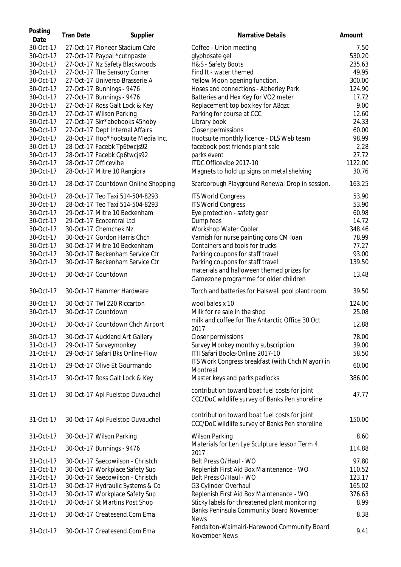| Posting<br>Date        | <b>Tran Date</b> | Supplier                                                         | <b>Narrative Details</b>                                                                        | Amount         |
|------------------------|------------------|------------------------------------------------------------------|-------------------------------------------------------------------------------------------------|----------------|
| 30-Oct-17              |                  | 27-Oct-17 Pioneer Stadium Cafe                                   | Coffee - Union meeting                                                                          | 7.50           |
| 30-Oct-17              |                  | 27-Oct-17 Paypal *cutnpaste                                      | glyphosate gel                                                                                  | 530.20         |
| 30-Oct-17              |                  | 27-Oct-17 Nz Safety Blackwoods                                   | H&S - Safety Boots                                                                              | 235.63         |
| 30-Oct-17              |                  | 27-Oct-17 The Sensory Corner                                     | Find It - water themed                                                                          | 49.95          |
| 30-Oct-17              |                  | 27-Oct-17 Universo Brasserie A                                   | Yellow Moon opening function.                                                                   | 300.00         |
| 30-Oct-17              |                  | 27-Oct-17 Bunnings - 9476                                        | Hoses and connections - Abberley Park                                                           | 124.90         |
|                        |                  |                                                                  |                                                                                                 |                |
| 30-Oct-17              |                  | 27-Oct-17 Bunnings - 9476                                        | Batteries and Hex Key for VO2 meter                                                             | 17.72          |
| 30-Oct-17              |                  | 27-Oct-17 Ross Galt Lock & Key                                   | Replacement top box key for A8qzc                                                               | 9.00           |
| 30-Oct-17              |                  | 27-Oct-17 Wilson Parking                                         | Parking for course at CCC                                                                       | 12.60          |
| 30-Oct-17              |                  | 27-Oct-17 Skr*abebooks 45hoby                                    | Library book                                                                                    | 24.33          |
| 30-Oct-17              |                  | 27-Oct-17 Dept Internal Affairs                                  | Closer permissions                                                                              | 60.00          |
| 30-Oct-17              |                  | 28-Oct-17 Hoo*hootsuite Media Inc.                               | Hootsuite monthly licence - DLS Web team                                                        | 98.99          |
| 30-Oct-17              |                  | 28-Oct-17 Facebk Tp6twcjs92                                      | facebook post friends plant sale                                                                | 2.28           |
| 30-Oct-17              |                  | 28-Oct-17 Facebk Cp6twcjs92                                      | parks event                                                                                     | 27.72          |
| 30-Oct-17              |                  | 28-Oct-17 Officevibe                                             | ITDC Officevibe 2017-10                                                                         | 1122.00        |
| 30-Oct-17              |                  | 28-Oct-17 Mitre 10 Rangiora                                      | Magnets to hold up signs on metal shelving                                                      | 30.76          |
| 30-Oct-17              |                  | 28-Oct-17 Countdown Online Shopping                              | Scarborough Playground Renewal Drop in session.                                                 | 163.25         |
| 30-Oct-17              |                  | 28-Oct-17 Teo Taxi 514-504-8293                                  | <b>ITS World Congress</b>                                                                       | 53.90          |
| 30-Oct-17              |                  | 28-Oct-17 Teo Taxi 514-504-8293                                  | <b>ITS World Congress</b>                                                                       | 53.90          |
| 30-Oct-17              |                  | 29-Oct-17 Mitre 10 Beckenham                                     | Eye protection - safety gear                                                                    | 60.98          |
| 30-Oct-17              |                  | 29-Oct-17 Ecocentral Ltd                                         | Dump fees                                                                                       | 14.72          |
| 30-Oct-17              |                  | 30-Oct-17 Chemchek Nz                                            | Workshop Water Cooler                                                                           | 348.46         |
| 30-Oct-17              |                  | 30-Oct-17 Gordon Harris Chch                                     | Varnish for nurse painting cons CM loan                                                         | 78.99          |
| 30-Oct-17              |                  | 30-Oct-17 Mitre 10 Beckenham                                     | Containers and tools for trucks                                                                 | 77.27          |
| 30-Oct-17              |                  | 30-Oct-17 Beckenham Service Ctr                                  | Parking coupons for staff travel                                                                | 93.00          |
|                        |                  |                                                                  |                                                                                                 |                |
| 30-Oct-17              |                  | 30-Oct-17 Beckenham Service Ctr                                  | Parking coupons for staff travel                                                                | 139.50         |
| 30-Oct-17              |                  | 30-Oct-17 Countdown                                              | materials and halloween themed prizes for<br>Gamezone programme for older children              | 13.48          |
| 30-Oct-17              |                  | 30-Oct-17 Hammer Hardware                                        | Torch and batteries for Halswell pool plant room                                                | 39.50          |
| 30-Oct-17              |                  | 30-Oct-17 Twl 220 Riccarton                                      | wool bales x 10                                                                                 | 124.00         |
| 30-Oct-17              |                  | 30-Oct-17 Countdown                                              | Milk for re sale in the shop                                                                    | 25.08          |
| 30-Oct-17              |                  | 30-Oct-17 Countdown Chch Airport                                 | milk and coffee for The Antarctic Office 30 Oct<br>2017                                         | 12.88          |
| 30-Oct-17              |                  | 30-Oct-17 Auckland Art Gallery                                   |                                                                                                 | 78.00          |
| 31-Oct-17              |                  |                                                                  | Closer permissions                                                                              |                |
|                        |                  | 29-Oct-17 Surveymonkey                                           | Survey Monkey monthly subscription                                                              | 39.00          |
| 31-Oct-17<br>31-Oct-17 |                  | 29-Oct-17 Safari Bks Online-Flow<br>29-Oct-17 Olive Et Gourmando | ITII Safari Books-Online 2017-10<br>ITS Work Congress breakfast (with Chch Mayor) in            | 58.50<br>60.00 |
| 31-Oct-17              |                  | 30-Oct-17 Ross Galt Lock & Key                                   | Montreal<br>Master keys and parks padlocks                                                      | 386.00         |
|                        |                  |                                                                  | contribution toward boat fuel costs for joint                                                   |                |
| 31-Oct-17              |                  | 30-Oct-17 Apl Fuelstop Duvauchel                                 | CCC/DoC wildlife survey of Banks Pen shoreline                                                  | 47.77          |
| 31-Oct-17              |                  | 30-Oct-17 Apl Fuelstop Duvauchel                                 | contribution toward boat fuel costs for joint<br>CCC/DoC wildlife survey of Banks Pen shoreline | 150.00         |
| 31-Oct-17              |                  | 30-Oct-17 Wilson Parking                                         | <b>Wilson Parking</b>                                                                           | 8.60           |
| 31-Oct-17              |                  | 30-Oct-17 Bunnings - 9476                                        | Materials for Len Lye Sculpture lesson Term 4<br>2017                                           | 114.88         |
| 31-Oct-17              |                  | 30-Oct-17 Saecowilson - Christch                                 | Belt Press O/Haul - WO                                                                          | 97.80          |
| 31-Oct-17              |                  | 30-Oct-17 Workplace Safety Sup                                   | Replenish First Aid Box Maintenance - WO                                                        | 110.52         |
| 31-Oct-17              |                  | 30-Oct-17 Saecowilson - Christch                                 | Belt Press O/Haul - WO                                                                          | 123.17         |
| 31-Oct-17              |                  | 30-Oct-17 Hydraulic Systems & Co                                 | G3 Cylinder Overhaul                                                                            | 165.02         |
| 31-Oct-17              |                  | 30-Oct-17 Workplace Safety Sup                                   | Replenish First Aid Box Maintenance - WO                                                        | 376.63         |
| 31-Oct-17              |                  | 30-Oct-17 St Martins Post Shop                                   | Sticky labels for threatened plant monitoring                                                   | 8.99           |
|                        |                  |                                                                  | Banks Peninsula Community Board November                                                        |                |
| 31-Oct-17              |                  | 30-Oct-17 Createsend.Com Ema                                     | <b>News</b>                                                                                     | 8.38           |
| 31-Oct-17              |                  | 30-Oct-17 Createsend.Com Ema                                     | Fendalton-Waimairi-Harewood Community Board<br>November News                                    | 9.41           |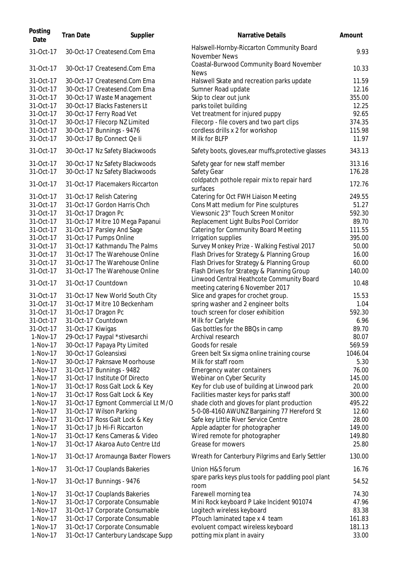| Posting<br>Date | <b>Tran Date</b>  | Supplier                                                  | Narrative Details                                                             | Amount  |
|-----------------|-------------------|-----------------------------------------------------------|-------------------------------------------------------------------------------|---------|
| 31-Oct-17       |                   | 30-Oct-17 Createsend.Com Ema                              | Halswell-Hornby-Riccarton Community Board<br>November News                    | 9.93    |
| 31-Oct-17       |                   | 30-Oct-17 Createsend.Com Ema                              | Coastal-Burwood Community Board November<br><b>News</b>                       | 10.33   |
| 31-Oct-17       |                   | 30-Oct-17 Createsend.Com Ema                              | Halswell Skate and recreation parks update                                    | 11.59   |
| 31-Oct-17       |                   | 30-Oct-17 Createsend.Com Ema                              | Sumner Road update                                                            | 12.16   |
| 31-Oct-17       |                   | 30-Oct-17 Waste Management                                | Skip to clear out junk                                                        | 355.00  |
| 31-Oct-17       |                   | 30-Oct-17 Blacks Fasteners Lt                             | parks toilet building                                                         | 12.25   |
| 31-Oct-17       |                   | 30-Oct-17 Ferry Road Vet                                  | Vet treatment for injured puppy                                               | 92.65   |
| 31-Oct-17       |                   | 30-Oct-17 Filecorp NZ Limited                             | Filecorp - file covers and two part clips                                     | 374.35  |
| 31-Oct-17       |                   | 30-Oct-17 Bunnings - 9476                                 | cordless drills x 2 for workshop                                              | 115.98  |
| 31-Oct-17       |                   | 30-Oct-17 Bp Connect Qe li                                | Milk for BLFP                                                                 | 11.97   |
| 31-Oct-17       |                   | 30-Oct-17 Nz Safety Blackwoods                            | Safety boots, gloves, ear muffs, protective glasses                           | 343.13  |
| 31-Oct-17       |                   | 30-Oct-17 Nz Safety Blackwoods                            | Safety gear for new staff member                                              | 313.16  |
| 31-Oct-17       |                   | 30-Oct-17 Nz Safety Blackwoods                            | Safety Gear                                                                   | 176.28  |
| 31-Oct-17       |                   | 31-Oct-17 Placemakers Riccarton                           | coldpatch pothole repair mix to repair hard<br>surfaces                       | 172.76  |
| 31-Oct-17       |                   |                                                           |                                                                               | 249.55  |
| 31-Oct-17       |                   | 31-Oct-17 Relish Catering<br>31-Oct-17 Gordon Harris Chch | Catering for Oct FWH Liaison Meeting<br>Cons Matt medium for Pine sculptures  | 51.27   |
|                 |                   |                                                           | Viewsonic 23" Touch Screen Monitor                                            | 592.30  |
| 31-Oct-17       |                   | 31-Oct-17 Dragon Pc                                       |                                                                               |         |
| 31-Oct-17       |                   | 31-Oct-17 Mitre 10 Mega Papanui                           | Replacement Light Bulbs Pool Corridor                                         | 89.70   |
| 31-Oct-17       |                   | 31-Oct-17 Parsley And Sage                                | <b>Catering for Community Board Meeting</b>                                   | 111.55  |
| 31-Oct-17       |                   | 31-Oct-17 Pumps Online                                    | Irrigation supplies                                                           | 395.00  |
| 31-Oct-17       |                   | 31-Oct-17 Kathmandu The Palms                             | Survey Monkey Prize - Walking Festival 2017                                   | 50.00   |
| 31-Oct-17       |                   | 31-Oct-17 The Warehouse Online                            | Flash Drives for Strategy & Planning Group                                    | 16.00   |
| 31-Oct-17       |                   | 31-Oct-17 The Warehouse Online                            | Flash Drives for Strategy & Planning Group                                    | 60.00   |
| 31-Oct-17       |                   | 31-Oct-17 The Warehouse Online                            | Flash Drives for Strategy & Planning Group                                    | 140.00  |
| 31-Oct-17       |                   | 31-Oct-17 Countdown                                       | Linwood Central Heathcote Community Board<br>meeting catering 6 November 2017 | 10.48   |
| 31-Oct-17       |                   | 31-Oct-17 New World South City                            | Slice and grapes for crochet group.                                           | 15.53   |
| 31-Oct-17       |                   | 31-Oct-17 Mitre 10 Beckenham                              | spring washer and 2 engineer bolts                                            | 1.04    |
| 31-Oct-17       |                   | 31-Oct-17 Dragon Pc                                       | touch screen for closer exhibition                                            | 592.30  |
| 31-Oct-17       |                   | 31-Oct-17 Countdown                                       | Milk for Carlyle                                                              | 6.96    |
| 31-Oct-17       | 31-Oct-17 Kiwigas |                                                           | Gas bottles for the BBQs in camp                                              | 89.70   |
| 1-Nov-17        |                   | 29-Oct-17 Paypal *stivesarchi                             | Archival research                                                             | 80.07   |
| 1-Nov-17        |                   | 30-Oct-17 Papaya Pty Limited                              | Goods for resale                                                              | 569.59  |
| 1-Nov-17        |                   | 30-Oct-17 Goleansixsi                                     | Green belt Six sigma online training course                                   | 1046.04 |
| 1-Nov-17        |                   | 30-Oct-17 Paknsave Moorhouse                              | Milk for staff room                                                           | 5.30    |
| 1-Nov-17        |                   | 31-Oct-17 Bunnings - 9482                                 | Emergency water containers                                                    | 76.00   |
| 1-Nov-17        |                   | 31-Oct-17 Institute Of Directo                            | Webinar on Cyber Security                                                     | 145.00  |
| 1-Nov-17        |                   | 31-Oct-17 Ross Galt Lock & Key                            | Key for club use of building at Linwood park                                  | 20.00   |
| 1-Nov-17        |                   | 31-Oct-17 Ross Galt Lock & Key                            | Facilities master keys for parks staff                                        | 300.00  |
| 1-Nov-17        |                   | 31-Oct-17 Egmont Commercial Lt M/O                        | shade cloth and gloves for plant production                                   | 495.22  |
| 1-Nov-17        |                   | 31-Oct-17 Wilson Parking                                  | 5-0-08-4160 AWUNZ Bargaining 77 Hereford St                                   | 12.60   |
| 1-Nov-17        |                   | 31-Oct-17 Ross Galt Lock & Key                            | Safe key Little River Service Centre                                          | 28.00   |
| 1-Nov-17        |                   | 31-Oct-17 Jb Hi-Fi Riccarton                              | Apple adapter for photographer                                                | 149.00  |
| 1-Nov-17        |                   | 31-Oct-17 Kens Cameras & Video                            | Wired remote for photographer                                                 | 149.80  |
| 1-Nov-17        |                   | 31-Oct-17 Akaroa Auto Centre Ltd                          | Grease for mowers                                                             | 25.80   |
| 1-Nov-17        |                   | 31-Oct-17 Aromaunga Baxter Flowers                        | Wreath for Canterbury Pilgrims and Early Settler                              | 130.00  |
| 1-Nov-17        |                   | 31-Oct-17 Couplands Bakeries                              | Union H&S forum                                                               | 16.76   |
| 1-Nov-17        |                   | 31-Oct-17 Bunnings - 9476                                 | spare parks keys plus tools for paddling pool plant                           | 54.52   |
| 1-Nov-17        |                   | 31-Oct-17 Couplands Bakeries                              | room<br>Farewell morning tea                                                  | 74.30   |
| 1-Nov-17        |                   | 31-Oct-17 Corporate Consumable                            | Mini Rock keyboard P Lake Incident 901074                                     | 47.96   |
| 1-Nov-17        |                   | 31-Oct-17 Corporate Consumable                            | Logitech wireless keyboard                                                    | 83.38   |
| 1-Nov-17        |                   | 31-Oct-17 Corporate Consumable                            | PTouch laminated tape x 4 team                                                | 161.83  |
| 1-Nov-17        |                   | 31-Oct-17 Corporate Consumable                            | evoluent compact wireless keyboard                                            | 181.13  |
| 1-Nov-17        |                   | 31-Oct-17 Canterbury Landscape Supp                       | potting mix plant in avairy                                                   | 33.00   |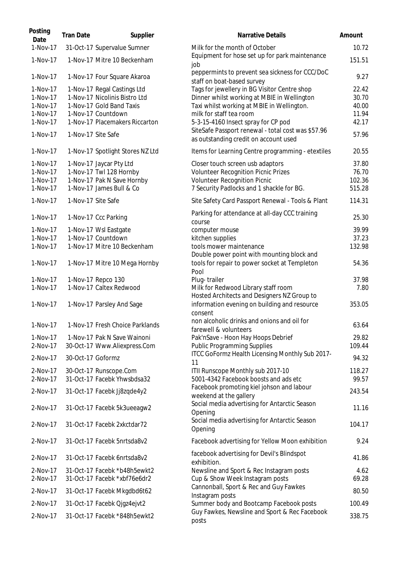| Posting<br>Date | <b>Tran Date</b>   | Supplier                         | <b>Narrative Details</b>                                                                    | Amount |
|-----------------|--------------------|----------------------------------|---------------------------------------------------------------------------------------------|--------|
| 1-Nov-17        |                    | 31-Oct-17 Supervalue Sumner      | Milk for the month of October                                                               | 10.72  |
| 1-Nov-17        |                    | 1-Nov-17 Mitre 10 Beckenham      | Equipment for hose set up for park maintenance<br>job                                       | 151.51 |
| 1-Nov-17        |                    | 1-Nov-17 Four Square Akaroa      | peppermints to prevent sea sickness for CCC/DoC<br>staff on boat-based survey               | 9.27   |
| 1-Nov-17        |                    | 1-Nov-17 Regal Castings Ltd      | Tags for jewellery in BG Visitor Centre shop                                                | 22.42  |
| 1-Nov-17        |                    | 1-Nov-17 Nicolinis Bistro Ltd    | Dinner whilst working at MBIE in Wellington                                                 | 30.70  |
| 1-Nov-17        |                    | 1-Nov-17 Gold Band Taxis         | Taxi whilst working at MBIE in Wellington.                                                  | 40.00  |
| 1-Nov-17        |                    | 1-Nov-17 Countdown               | milk for staff tea room                                                                     | 11.94  |
| 1-Nov-17        |                    | 1-Nov-17 Placemakers Riccarton   | 5-3-15-4160 Insect spray for CP pod                                                         | 42.17  |
| 1-Nov-17        | 1-Nov-17 Site Safe |                                  | SiteSafe Passport renewal - total cost was \$57.96<br>as outstanding credit on account used | 57.96  |
| 1-Nov-17        |                    | 1-Nov-17 Spotlight Stores NZ Ltd | Items for Learning Centre programming - etextiles                                           | 20.55  |
| 1-Nov-17        |                    | 1-Nov-17 Jaycar Pty Ltd          | Closer touch screen usb adaptors                                                            | 37.80  |
| 1-Nov-17        |                    | 1-Nov-17 Twl 128 Hornby          | <b>Volunteer Recognition Picnic Prizes</b>                                                  | 76.70  |
| 1-Nov-17        |                    | 1-Nov-17 Pak N Save Hornby       | Volunteer Recognition Picnic                                                                | 102.36 |
| 1-Nov-17        |                    | 1-Nov-17 James Bull & Co         | 7 Security Padlocks and 1 shackle for BG.                                                   | 515.28 |
| 1-Nov-17        | 1-Nov-17 Site Safe |                                  | Site Safety Card Passport Renewal - Tools & Plant                                           | 114.31 |
| 1-Nov-17        |                    | 1-Nov-17 Ccc Parking             | Parking for attendance at all-day CCC training<br>course                                    | 25.30  |
| 1-Nov-17        |                    | 1-Nov-17 Wsl Eastgate            | computer mouse                                                                              | 39.99  |
| 1-Nov-17        |                    | 1-Nov-17 Countdown               | kitchen supplies                                                                            | 37.23  |
| 1-Nov-17        |                    | 1-Nov-17 Mitre 10 Beckenham      | tools mower maintenance<br>Double power point with mounting block and                       | 132.98 |
| 1-Nov-17        |                    | 1-Nov-17 Mitre 10 Mega Hornby    | tools for repair to power socket at Templeton<br>Pool                                       | 54.36  |
| 1-Nov-17        |                    | 1-Nov-17 Repco 130               | Plug-trailer                                                                                | 37.98  |
| 1-Nov-17        |                    | 1-Nov-17 Caltex Redwood          | Milk for Redwood Library staff room<br>Hosted Architects and Designers NZ Group to          | 7.80   |
| 1-Nov-17        |                    | 1-Nov-17 Parsley And Sage        | information evening on building and resource<br>consent                                     | 353.05 |
| 1-Nov-17        |                    | 1-Nov-17 Fresh Choice Parklands  | non alcoholic drinks and onions and oil for<br>farewell & volunteers                        | 63.64  |
| 1-Nov-17        |                    | 1-Nov-17 Pak N Save Wainoni      | Pak'nSave - Hoon Hay Hoops Debrief                                                          | 29.82  |
| 2-Nov-17        |                    | 30-Oct-17 Www.Aliexpress.Com     | <b>Public Programming Supplies</b>                                                          | 109.44 |
| 2-Nov-17        | 30-Oct-17 Goformz  |                                  | ITCC GoFormz Health Licensing Monthly Sub 2017-<br>11                                       | 94.32  |
| 2-Nov-17        |                    | 30-Oct-17 Runscope.Com           | ITII Runscope Monthly sub 2017-10                                                           | 118.27 |
| 2-Nov-17        |                    | 31-Oct-17 Facebk Yhwsbdsa32      | 5001-4342 Facebook boosts and ads etc                                                       | 99.57  |
| 2-Nov-17        |                    | 31-Oct-17 Facebk Jj8zqde4y2      | Facebook promoting kiel johson and labour<br>weekend at the gallery                         | 243.54 |
| 2-Nov-17        |                    | 31-Oct-17 Facebk 5k3ueeagw2      | Social media advertising for Antarctic Season<br>Opening                                    | 11.16  |
| 2-Nov-17        |                    | 31-Oct-17 Facebk 2xkctdar72      | Social media advertising for Antarctic Season<br>Opening                                    | 104.17 |
| 2-Nov-17        |                    | 31-Oct-17 Facebk 5nrtsda8v2      | Facebook advertising for Yellow Moon exhibition                                             | 9.24   |
| 2-Nov-17        |                    | 31-Oct-17 Facebk 6nrtsda8v2      | facebook advertising for Devil's Blindspot<br>exhibition.                                   | 41.86  |
| 2-Nov-17        |                    | 31-Oct-17 Facebk *b48h5ewkt2     | Newsline and Sport & Rec Instagram posts                                                    | 4.62   |
| 2-Nov-17        |                    | 31-Oct-17 Facebk *xbf76e6dr2     | Cup & Show Week Instagram posts                                                             | 69.28  |
| 2-Nov-17        |                    | 31-Oct-17 Facebk Mkgdbd6t62      | Cannonball, Sport & Rec and Guy Fawkes<br>Instagram posts                                   | 80.50  |
| 2-Nov-17        |                    | 31-Oct-17 Facebk Ojgz4ejvt2      | Summer body and Bootcamp Facebook posts                                                     | 100.49 |
| 2-Nov-17        |                    | 31-Oct-17 Facebk *848h5ewkt2     | Guy Fawkes, Newsline and Sport & Rec Facebook<br>posts                                      | 338.75 |
|                 |                    |                                  |                                                                                             |        |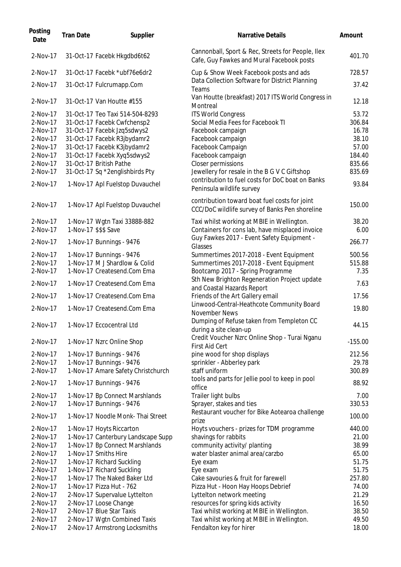| Posting<br>Date | <b>Tran Date</b> | Supplier                           | Narrative Details                                                                               | Amount    |
|-----------------|------------------|------------------------------------|-------------------------------------------------------------------------------------------------|-----------|
| 2-Nov-17        |                  | 31-Oct-17 Facebk Hkgdbd6t62        | Cannonball, Sport & Rec, Streets for People, Ilex<br>Cafe, Guy Fawkes and Mural Facebook posts  | 401.70    |
| 2-Nov-17        |                  | 31-Oct-17 Facebk *ubf76e6dr2       | Cup & Show Week Facebook posts and ads                                                          | 728.57    |
| 2-Nov-17        |                  | 31-Oct-17 Fulcrumapp.Com           | Data Collection Software for District Planning<br>Teams                                         | 37.42     |
| 2-Nov-17        |                  | 31-Oct-17 Van Houtte #155          | Van Houtte (breakfast) 2017 ITS World Congress in<br>Montreal                                   | 12.18     |
| 2-Nov-17        |                  | 31-Oct-17 Teo Taxi 514-504-8293    | <b>ITS World Congress</b>                                                                       | 53.72     |
| 2-Nov-17        |                  | 31-Oct-17 Facebk Cwfchensp2        | Social Media Fees for Facebook TI                                                               | 306.84    |
| 2-Nov-17        |                  | 31-Oct-17 Facebk Jzq5sdwys2        | Facebook campaign                                                                               | 16.78     |
| 2-Nov-17        |                  | 31-Oct-17 Facebk R3jbydamr2        | Facebook campaign                                                                               | 38.10     |
| 2-Nov-17        |                  | 31-Oct-17 Facebk K3jbydamr2        | Facebook Campaign                                                                               | 57.00     |
| 2-Nov-17        |                  | 31-Oct-17 Facebk Xyq5sdwys2        | Facebook campaign                                                                               | 184.40    |
| 2-Nov-17        |                  | 31-Oct-17 British Pathe            | Closer permissions                                                                              | 835.66    |
| 2-Nov-17        |                  | 31-Oct-17 Sq *2englishbirds Pty    | Jewellery for resale in the B G V C Giftshop                                                    | 835.69    |
| 2-Nov-17        |                  | 1-Nov-17 Apl Fuelstop Duvauchel    | contribution to fuel costs for DoC boat on Banks<br>Peninsula wildlife survey                   | 93.84     |
| 2-Nov-17        |                  | 1-Nov-17 Apl Fuelstop Duvauchel    | contribution toward boat fuel costs for joint<br>CCC/DoC wildlife survey of Banks Pen shoreline | 150.00    |
| 2-Nov-17        |                  | 1-Nov-17 Wgtn Taxi 33888-882       | Taxi whilst working at MBIE in Wellington.                                                      | 38.20     |
| 2-Nov-17        |                  | 1-Nov-17 \$\$\$ Save               | Containers for cons lab, have misplaced invoice                                                 | 6.00      |
| 2-Nov-17        |                  | 1-Nov-17 Bunnings - 9476           | Guy Fawkes 2017 - Event Safety Equipment -<br>Glasses                                           | 266.77    |
| 2-Nov-17        |                  | 1-Nov-17 Bunnings - 9476           | Summertimes 2017-2018 - Event Equipment                                                         | 500.56    |
| 2-Nov-17        |                  | 1-Nov-17 M J Shardlow & Colid      | Summertimes 2017-2018 - Event Equipment                                                         | 515.88    |
| 2-Nov-17        |                  | 1-Nov-17 Createsend.Com Ema        | Bootcamp 2017 - Spring Programme                                                                | 7.35      |
|                 |                  |                                    | Sth New Brighton Regeneration Project update                                                    |           |
| 2-Nov-17        |                  | 1-Nov-17 Createsend.Com Ema        | and Coastal Hazards Report                                                                      | 7.63      |
| 2-Nov-17        |                  | 1-Nov-17 Createsend.Com Ema        | Friends of the Art Gallery email                                                                | 17.56     |
|                 |                  |                                    | Linwood-Central-Heathcote Community Board                                                       |           |
| 2-Nov-17        |                  | 1-Nov-17 Createsend.Com Ema        | November News<br>Dumping of Refuse taken from Templeton CC                                      | 19.80     |
| 2-Nov-17        |                  | 1-Nov-17 Eccocentral Ltd           | during a site clean-up                                                                          | 44.15     |
| 2-Nov-17        |                  | 1-Nov-17 Nzrc Online Shop          | Credit Voucher Nzrc Online Shop - Turai Nganu<br><b>First Aid Cert</b>                          | $-155.00$ |
| 2-Nov-17        |                  | 1-Nov-17 Bunnings - 9476           | pine wood for shop displays                                                                     | 212.56    |
| $2-Nov-17$      |                  | 1-Nov-17 Bunnings - 9476           | sprinkler - Abberley park                                                                       | 29.78     |
| 2-Nov-17        |                  | 1-Nov-17 Amare Safety Christchurch | staff uniform                                                                                   | 300.89    |
| 2-Nov-17        |                  | 1-Nov-17 Bunnings - 9476           | tools and parts for Jellie pool to keep in pool<br>office                                       | 88.92     |
| 2-Nov-17        |                  | 1-Nov-17 Bp Connect Marshlands     | Trailer light bulbs                                                                             | 7.00      |
| 2-Nov-17        |                  | 1-Nov-17 Bunnings - 9476           | Sprayer, stakes and ties                                                                        | 330.53    |
| 2-Nov-17        |                  | 1-Nov-17 Noodle Monk- Thai Street  | Restaurant voucher for Bike Aotearoa challenge<br>prize                                         | 100.00    |
| 2-Nov-17        |                  | 1-Nov-17 Hoyts Riccarton           | Hoyts vouchers - prizes for TDM programme                                                       | 440.00    |
| 2-Nov-17        |                  | 1-Nov-17 Canterbury Landscape Supp | shavings for rabbits                                                                            | 21.00     |
| 2-Nov-17        |                  | 1-Nov-17 Bp Connect Marshlands     | community activity/ planting                                                                    | 38.99     |
| 2-Nov-17        |                  | 1-Nov-17 Smiths Hire               | water blaster animal area/carzbo                                                                | 65.00     |
| 2-Nov-17        |                  | 1-Nov-17 Richard Suckling          | Eye exam                                                                                        | 51.75     |
| 2-Nov-17        |                  | 1-Nov-17 Richard Suckling          | Eye exam                                                                                        | 51.75     |
| 2-Nov-17        |                  | 1-Nov-17 The Naked Baker Ltd       | Cake savouries & fruit for farewell                                                             | 257.80    |
| 2-Nov-17        |                  | 1-Nov-17 Pizza Hut - 762           | Pizza Hut - Hoon Hay Hoops Debrief                                                              | 74.00     |
| 2-Nov-17        |                  | 2-Nov-17 Supervalue Lyttelton      | Lyttelton network meeting                                                                       | 21.29     |
| 2-Nov-17        |                  | 2-Nov-17 Loose Change              | resources for spring kids activity                                                              | 16.50     |
| 2-Nov-17        |                  | 2-Nov-17 Blue Star Taxis           | Taxi whilst working at MBIE in Wellington.                                                      | 38.50     |
| 2-Nov-17        |                  | 2-Nov-17 Wgtn Combined Taxis       | Taxi whilst working at MBIE in Wellington.                                                      | 49.50     |
| 2-Nov-17        |                  | 2-Nov-17 Armstrong Locksmiths      | Fendalton key for hirer                                                                         | 18.00     |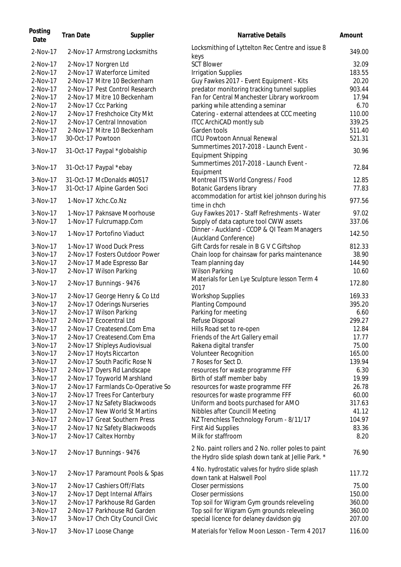| Posting<br>Date      | <b>Tran Date</b>  | Supplier                           | Narrative Details                                                                                         | Amount           |
|----------------------|-------------------|------------------------------------|-----------------------------------------------------------------------------------------------------------|------------------|
| 2-Nov-17             |                   | 2-Nov-17 Armstrong Locksmiths      | Locksmithing of Lyttelton Rec Centre and issue 8<br>keys                                                  | 349.00           |
| 2-Nov-17             |                   | 2-Nov-17 Norgren Ltd               | <b>SCT Blower</b>                                                                                         | 32.09            |
| 2-Nov-17             |                   | 2-Nov-17 Waterforce Limited        | <b>Irrigation Supplies</b>                                                                                | 183.55           |
| 2-Nov-17             |                   | 2-Nov-17 Mitre 10 Beckenham        | Guy Fawkes 2017 - Event Equipment - Kits                                                                  | 20.20            |
| 2-Nov-17             |                   | 2-Nov-17 Pest Control Research     | predator monitoring tracking tunnel supplies                                                              | 903.44           |
| 2-Nov-17             |                   | 2-Nov-17 Mitre 10 Beckenham        | Fan for Central Manchester Library workroom                                                               | 17.94            |
| 2-Nov-17             |                   | 2-Nov-17 Ccc Parking               | parking while attending a seminar                                                                         | 6.70             |
| 2-Nov-17             |                   | 2-Nov-17 Freshchoice City Mkt      | Catering - external attendees at CCC meeting                                                              | 110.00           |
| 2-Nov-17             |                   | 2-Nov-17 Central Innovation        | <b>ITCC ArchiCAD montly sub</b>                                                                           | 339.25           |
| 2-Nov-17             |                   | 2-Nov-17 Mitre 10 Beckenham        | Garden tools                                                                                              |                  |
|                      |                   |                                    | <b>ITCU Powtoon Annual Renewal</b>                                                                        | 511.40<br>521.31 |
| 3-Nov-17<br>3-Nov-17 | 30-Oct-17 Powtoon | 31-Oct-17 Paypal *globalship       | Summertimes 2017-2018 - Launch Event -                                                                    | 30.96            |
|                      |                   |                                    | <b>Equipment Shipping</b><br>Summertimes 2017-2018 - Launch Event -                                       |                  |
| $3-Nov-17$           |                   | 31-Oct-17 Paypal *ebay             | Equipment                                                                                                 | 72.84            |
| $3-Nov-17$           |                   | 31-Oct-17 McDonalds #40517         | Montreal ITS World Congress / Food                                                                        | 12.85            |
| 3-Nov-17             |                   | 31-Oct-17 Alpine Garden Soci       | <b>Botanic Gardens library</b>                                                                            | 77.83            |
|                      |                   |                                    |                                                                                                           |                  |
| 3-Nov-17             |                   | 1-Nov-17 Xchc.Co.Nz                | accommodation for artist kiel johnson during his                                                          | 977.56           |
|                      |                   |                                    | time in chch                                                                                              |                  |
| $3-Nov-17$           |                   | 1-Nov-17 Paknsave Moorhouse        | Guy Fawkes 2017 - Staff Refreshments - Water                                                              | 97.02            |
| 3-Nov-17             |                   | 1-Nov-17 Fulcrumapp.Com            | Supply of data capture tool CWW assets                                                                    | 337.06           |
| $3-Nov-17$           |                   | 1-Nov-17 Portofino Viaduct         | Dinner - Auckland - CCOP & QI Team Managers                                                               | 142.50           |
|                      |                   |                                    | (Auckland Conference)                                                                                     |                  |
| 3-Nov-17             |                   | 1-Nov-17 Wood Duck Press           | Gift Cards for resale in B G V C Giftshop                                                                 | 812.33           |
| 3-Nov-17             |                   | 2-Nov-17 Fosters Outdoor Power     | Chain loop for chainsaw for parks maintenance                                                             | 38.90            |
| 3-Nov-17             |                   | 2-Nov-17 Made Espresso Bar         | Team planning day                                                                                         | 144.90           |
| 3-Nov-17             |                   | 2-Nov-17 Wilson Parking            | <b>Wilson Parking</b>                                                                                     | 10.60            |
| 3-Nov-17             |                   | 2-Nov-17 Bunnings - 9476           | Materials for Len Lye Sculpture lesson Term 4<br>2017                                                     | 172.80           |
| $3-Nov-17$           |                   | 2-Nov-17 George Henry & Co Ltd     | <b>Workshop Supplies</b>                                                                                  | 169.33           |
| $3-Nov-17$           |                   | 2-Nov-17 Oderings Nurseries        | Planting Compound                                                                                         | 395.20           |
| 3-Nov-17             |                   | 2-Nov-17 Wilson Parking            | Parking for meeting                                                                                       | 6.60             |
| 3-Nov-17             |                   | 2-Nov-17 Ecocentral Ltd            | Refuse Disposal                                                                                           | 299.27           |
| 3-Nov-17             |                   | 2-Nov-17 Createsend.Com Ema        | Hills Road set to re-open                                                                                 | 12.84            |
| 3-Nov-17             |                   | 2-Nov-17 Createsend.Com Ema        | Friends of the Art Gallery email                                                                          | 17.77            |
| 3-Nov-17             |                   | 2-Nov-17 Shipleys Audiovisual      | Rakena digital transfer                                                                                   | 75.00            |
| $3-Nov-17$           |                   | 2-Nov-17 Hoyts Riccarton           | <b>Volunteer Recognition</b>                                                                              | 165.00           |
| 3-Nov-17             |                   | 2-Nov-17 South Pacific Rose N      | 7 Roses for Sect D.                                                                                       | 139.94           |
| 3-Nov-17             |                   |                                    |                                                                                                           | 6.30             |
| 3-Nov-17             |                   | 2-Nov-17 Dyers Rd Landscape        | resources for waste programme FFF                                                                         | 19.99            |
|                      |                   | 2-Nov-17 Toyworld Marshland        | Birth of staff member baby                                                                                |                  |
| $3-Nov-17$           |                   | 2-Nov-17 Farmlands Co-Operative So | resources for waste programme FFF                                                                         | 26.78            |
| 3-Nov-17             |                   | 2-Nov-17 Trees For Canterbury      | resources for waste programme FFF                                                                         | 60.00            |
| 3-Nov-17             |                   | 2-Nov-17 Nz Safety Blackwoods      | Uniform and boots purchased for AMO                                                                       | 317.63           |
| 3-Nov-17             |                   | 2-Nov-17 New World St Martins      | Nibbles after Councill Meeting                                                                            | 41.12            |
| 3-Nov-17             |                   | 2-Nov-17 Great Southern Press      | NZ Trenchless Technology Forum - 8/11/17                                                                  | 104.97           |
| 3-Nov-17             |                   | 2-Nov-17 Nz Safety Blackwoods      | <b>First Aid Supplies</b>                                                                                 | 83.36            |
| 3-Nov-17             |                   | 2-Nov-17 Caltex Hornby             | Milk for staffroom                                                                                        | 8.20             |
| $3-Nov-17$           |                   | 2-Nov-17 Bunnings - 9476           | 2 No. paint rollers and 2 No. roller poles to paint<br>the Hydro slide splash down tank at Jellie Park. * | 76.90            |
| 3-Nov-17             |                   | 2-Nov-17 Paramount Pools & Spas    | 4 No. hydrostatic valves for hydro slide splash<br>down tank at Halswell Pool                             | 117.72           |
| $3-Nov-17$           |                   | 2-Nov-17 Cashiers Off/Flats        | Closer permissions                                                                                        | 75.00            |
| $3-Nov-17$           |                   | 2-Nov-17 Dept Internal Affairs     | Closer permissions                                                                                        | 150.00           |
| 3-Nov-17             |                   | 2-Nov-17 Parkhouse Rd Garden       | Top soil for Wigram Gym grounds releveling                                                                | 360.00           |
| 3-Nov-17             |                   | 2-Nov-17 Parkhouse Rd Garden       | Top soil for Wigram Gym grounds releveling                                                                | 360.00           |
| 3-Nov-17             |                   | 3-Nov-17 Chch City Council Civic   | special licence for delaney davidson gig                                                                  | 207.00           |
| 3-Nov-17             |                   | 3-Nov-17 Loose Change              | Materials for Yellow Moon Lesson - Term 4 2017                                                            | 116.00           |
|                      |                   |                                    |                                                                                                           |                  |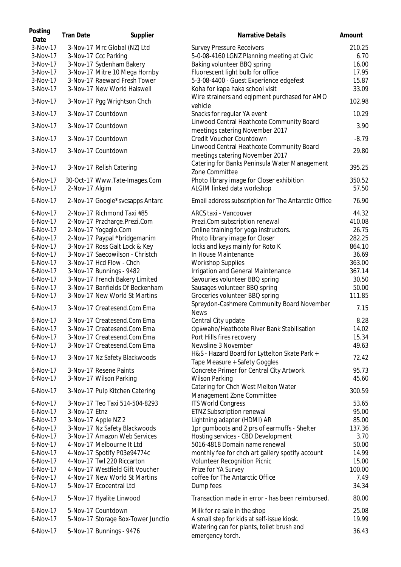| Posting<br>Date      | <b>Tran Date</b> | Supplier                                                         | Narrative Details                                                                | Amount          |
|----------------------|------------------|------------------------------------------------------------------|----------------------------------------------------------------------------------|-----------------|
| 3-Nov-17             |                  | 3-Nov-17 Mrc Global (NZ) Ltd                                     | <b>Survey Pressure Receivers</b>                                                 | 210.25          |
| 3-Nov-17             |                  | 3-Nov-17 Ccc Parking                                             | 5-0-08-4160 LGNZ Planning meeting at Civic                                       | 6.70            |
| 3-Nov-17             |                  | 3-Nov-17 Sydenham Bakery                                         | Baking volunteer BBQ spring                                                      | 16.00           |
| 3-Nov-17             |                  | 3-Nov-17 Mitre 10 Mega Hornby                                    | Fluorescent light bulb for office                                                | 17.95           |
| 3-Nov-17             |                  | 3-Nov-17 Raeward Fresh Tower                                     | 5-3-08-4400 - Guest Experience edgefest                                          | 15.87           |
| 3-Nov-17             |                  | 3-Nov-17 New World Halswell                                      | Koha for kapa haka school visit                                                  | 33.09           |
| 3-Nov-17             |                  | 3-Nov-17 Pgg Wrightson Chch                                      | Wire strainers and eqipment purchased for AMO<br>vehicle                         | 102.98          |
| 3-Nov-17             |                  | 3-Nov-17 Countdown                                               | Snacks for regular YA event                                                      | 10.29           |
| 3-Nov-17             |                  | 3-Nov-17 Countdown                                               | Linwood Central Heathcote Community Board                                        | 3.90            |
| 3-Nov-17             |                  | 3-Nov-17 Countdown                                               | meetings catering November 2017<br>Credit Voucher Countdown                      | $-8.79$         |
| 3-Nov-17             |                  |                                                                  | Linwood Central Heathcote Community Board                                        | 29.80           |
|                      |                  | 3-Nov-17 Countdown                                               | meetings catering November 2017<br>Catering for Banks Peninsula Water Management |                 |
| $3-Nov-17$           |                  | 3-Nov-17 Relish Catering                                         | Zone Committee                                                                   | 395.25          |
| 6-Nov-17             |                  | 30-Oct-17 Www.Tate-Images.Com                                    | Photo library image for Closer exhibition                                        | 350.52          |
| 6-Nov-17             | 2-Nov-17 Algim   |                                                                  | ALGIM linked data workshop                                                       | 57.50           |
| 6-Nov-17             |                  | 2-Nov-17 Google*svcsapps Antarc                                  | Email address subscription for The Antarctic Office                              | 76.90           |
| 6-Nov-17             |                  | 2-Nov-17 Richmond Taxi #85                                       | ARCS taxi - Vancouver                                                            | 44.32           |
| 6-Nov-17             |                  | 2-Nov-17 Przcharge.Prezi.Com                                     | Prezi.Com subscription renewal                                                   | 410.08          |
| 6-Nov-17             |                  | 2-Nov-17 Yogaglo.Com                                             | Online training for yoga instructors.                                            | 26.75           |
| 6-Nov-17             |                  | 2-Nov-17 Paypal *bridgemanim                                     | Photo library image for Closer                                                   | 282.25          |
| $6-Nov-17$           |                  | 3-Nov-17 Ross Galt Lock & Key                                    | locks and keys mainly for Roto K                                                 | 864.10          |
| 6-Nov-17             |                  | 3-Nov-17 Saecowilson - Christch                                  | In House Maintenance                                                             | 36.69           |
| 6-Nov-17             |                  | 3-Nov-17 Hcd Flow - Chch                                         | <b>Workshop Supplies</b>                                                         | 363.00          |
| $6-Nov-17$           |                  | 3-Nov-17 Bunnings - 9482                                         | Irrigation and General Maintenance                                               | 367.14          |
| $6-Nov-17$           |                  | 3-Nov-17 French Bakery Limited                                   | Savouries volunteer BBQ spring                                                   | 30.50           |
|                      |                  |                                                                  |                                                                                  |                 |
| 6-Nov-17<br>6-Nov-17 |                  | 3-Nov-17 Banfields Of Beckenham<br>3-Nov-17 New World St Martins | Sausages volunteer BBQ spring                                                    | 50.00<br>111.85 |
|                      |                  |                                                                  | Groceries volunteer BBQ spring<br>Spreydon-Cashmere Community Board November     |                 |
| 6-Nov-17             |                  | 3-Nov-17 Createsend.Com Ema                                      | <b>News</b>                                                                      | 7.15            |
| 6-Nov-17             |                  | 3-Nov-17 Createsend.Com Ema                                      | Central City update                                                              | 8.28            |
| 6-Nov-17             |                  | 3-Nov-17 Createsend.Com Ema                                      | Ōpāwaho/Heathcote River Bank Stabilisation                                       | 14.02           |
| 6-Nov-17             |                  | 3-Nov-17 Createsend.Com Ema                                      | Port Hills fires recovery                                                        | 15.34           |
| 6-Nov-17             |                  | 3-Nov-17 Createsend.Com Ema                                      | Newsline 3 November                                                              | 49.63           |
| 6-Nov-17             |                  | 3-Nov-17 Nz Safety Blackwoods                                    | H&S - Hazard Board for Lyttelton Skate Park +<br>Tape Measure + Safety Goggles   | 72.42           |
| 6-Nov-17             |                  | 3-Nov-17 Resene Paints                                           | Concrete Primer for Central City Artwork                                         | 95.73           |
| 6-Nov-17             |                  | 3-Nov-17 Wilson Parking                                          | <b>Wilson Parking</b>                                                            | 45.60           |
| 6-Nov-17             |                  | 3-Nov-17 Pulp Kitchen Catering                                   | Catering for Chch West Melton Water<br>Management Zone Committee                 | 300.59          |
| 6-Nov-17             |                  | 3-Nov-17 Teo Taxi 514-504-8293                                   | <b>ITS World Congress</b>                                                        | 53.65           |
| 6-Nov-17             | 3-Nov-17 Etnz    |                                                                  | <b>ETNZ Subscription renewal</b>                                                 | 95.00           |
| 6-Nov-17             |                  | 3-Nov-17 Apple NZ 2                                              | Lightning adapter (HDMI) AR                                                      | 85.00           |
| 6-Nov-17             |                  |                                                                  |                                                                                  | 137.36          |
|                      |                  | 3-Nov-17 Nz Safety Blackwoods                                    | 1pr gumboots and 2 prs of earmuffs - Shelter                                     | 3.70            |
| $6-Nov-17$           |                  | 3-Nov-17 Amazon Web Services                                     | Hosting services - CBD Development                                               |                 |
| $6-Nov-17$           |                  | 4-Nov-17 Melbourne It Ltd                                        | 5016-4818 Domain name renewal                                                    | 50.00           |
| $6-Nov-17$           |                  | 4-Nov-17 Spotify P03e94774c                                      | monthly fee for chch art gallery spotify account                                 | 14.99           |
| $6-Nov-17$           |                  | 4-Nov-17 Twl 220 Riccarton                                       | <b>Volunteer Recognition Picnic</b>                                              | 15.00           |
| $6-Nov-17$           |                  | 4-Nov-17 Westfield Gift Voucher                                  | Prize for YA Survey                                                              | 100.00          |
| 6-Nov-17             |                  | 4-Nov-17 New World St Martins                                    | coffee for The Antarctic Office                                                  | 7.49            |
| 6-Nov-17             |                  | 5-Nov-17 Ecocentral Ltd                                          | Dump fees                                                                        | 34.34           |
| 6-Nov-17             |                  | 5-Nov-17 Hyalite Linwood                                         | Transaction made in error - has been reimbursed.                                 | 80.00           |
| 6-Nov-17             |                  | 5-Nov-17 Countdown                                               | Milk for re sale in the shop                                                     | 25.08           |
| 6-Nov-17             |                  | 5-Nov-17 Storage Box-Tower Junctio                               | A small step for kids at self-issue kiosk.                                       | 19.99           |
| 6-Nov-17             |                  | 5-Nov-17 Bunnings - 9476                                         | Watering can for plants, toilet brush and<br>emergency torch.                    | 36.43           |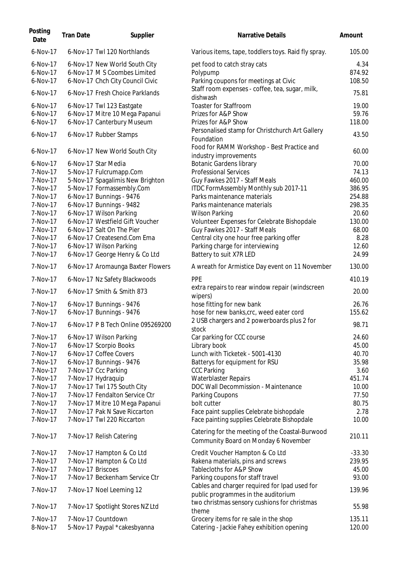| Posting<br>Date | <b>Tran Date</b>  | Supplier                           | Narrative Details                                                                       | Amount   |
|-----------------|-------------------|------------------------------------|-----------------------------------------------------------------------------------------|----------|
| 6-Nov-17        |                   | 6-Nov-17 Twl 120 Northlands        | Various items, tape, toddlers toys. Raid fly spray.                                     | 105.00   |
| 6-Nov-17        |                   | 6-Nov-17 New World South City      | pet food to catch stray cats                                                            | 4.34     |
| 6-Nov-17        |                   | 6-Nov-17 M S Coombes Limited       | Polypump                                                                                | 874.92   |
| 6-Nov-17        |                   | 6-Nov-17 Chch City Council Civic   | Parking coupons for meetings at Civic                                                   | 108.50   |
| 6-Nov-17        |                   | 6-Nov-17 Fresh Choice Parklands    | Staff room expenses - coffee, tea, sugar, milk,                                         | 75.81    |
| 6-Nov-17        |                   | 6-Nov-17 Twl 123 Eastgate          | dishwash<br><b>Toaster for Staffroom</b>                                                | 19.00    |
| 6-Nov-17        |                   | 6-Nov-17 Mitre 10 Mega Papanui     | Prizes for A&P Show                                                                     | 59.76    |
| 6-Nov-17        |                   | 6-Nov-17 Canterbury Museum         | Prizes for A&P Show                                                                     | 118.00   |
|                 |                   |                                    | Personalised stamp for Christchurch Art Gallery                                         |          |
| 6-Nov-17        |                   | 6-Nov-17 Rubber Stamps             | Foundation                                                                              | 43.50    |
| 6-Nov-17        |                   | 6-Nov-17 New World South City      | Food for RAMM Workshop - Best Practice and<br>industry improvements                     | 60.00    |
| 6-Nov-17        |                   | 6-Nov-17 Star Media                | <b>Botanic Gardens library</b>                                                          | 70.00    |
| 7-Nov-17        |                   | 5-Nov-17 Fulcrumapp.Com            | <b>Professional Services</b>                                                            | 74.13    |
| 7-Nov-17        |                   | 5-Nov-17 Spagalimis New Brighton   | Guy Fawkes 2017 - Staff Meals                                                           | 460.00   |
| 7-Nov-17        |                   | 5-Nov-17 Formassembly.Com          | ITDC FormAssembly Monthly sub 2017-11                                                   | 386.95   |
| 7-Nov-17        |                   | 6-Nov-17 Bunnings - 9476           | Parks maintenance materials                                                             | 254.88   |
| 7-Nov-17        |                   | 6-Nov-17 Bunnings - 9482           | Parks maintenance materials                                                             | 298.35   |
| 7-Nov-17        |                   | 6-Nov-17 Wilson Parking            | <b>Wilson Parking</b>                                                                   | 20.60    |
| 7-Nov-17        |                   | 6-Nov-17 Westfield Gift Voucher    | Volunteer Expenses for Celebrate Bishopdale                                             | 130.00   |
| 7-Nov-17        |                   | 6-Nov-17 Salt On The Pier          | Guy Fawkes 2017 - Staff Meals                                                           | 68.00    |
| 7-Nov-17        |                   | 6-Nov-17 Createsend.Com Ema        | Central city one hour free parking offer                                                | 8.28     |
| 7-Nov-17        |                   | 6-Nov-17 Wilson Parking            | Parking charge for interviewing                                                         | 12.60    |
| 7-Nov-17        |                   | 6-Nov-17 George Henry & Co Ltd     | Battery to suit X7R LED                                                                 | 24.99    |
| 7-Nov-17        |                   | 6-Nov-17 Aromaunga Baxter Flowers  | A wreath for Armistice Day event on 11 November                                         | 130.00   |
| 7-Nov-17        |                   | 6-Nov-17 Nz Safety Blackwoods      | <b>PPE</b>                                                                              | 410.19   |
| 7-Nov-17        |                   | 6-Nov-17 Smith & Smith 873         | extra repairs to rear window repair (windscreen<br>wipers)                              | 20.00    |
| 7-Nov-17        |                   | 6-Nov-17 Bunnings - 9476           | hose fitting for new bank                                                               | 26.76    |
| 7-Nov-17        |                   | 6-Nov-17 Bunnings - 9476           | hose for new banks, crc, weed eater cord                                                | 155.62   |
|                 |                   |                                    | 2 USB chargers and 2 powerboards plus 2 for                                             |          |
| 7-Nov-17        |                   | 6-Nov-17 P B Tech Online 095269200 | stock                                                                                   | 98.71    |
| 7-Nov-17        |                   | 6-Nov-17 Wilson Parking            | Car parking for CCC course                                                              | 24.60    |
| 7-Nov-17        |                   | 6-Nov-17 Scorpio Books             | Library book                                                                            | 45.00    |
| 7-Nov-17        |                   | 6-Nov-17 Coffee Covers             | Lunch with Ticketek - 5001-4130                                                         | 40.70    |
| 7-Nov-17        |                   | 6-Nov-17 Bunnings - 9476           | Batterys for equipment for RSU                                                          | 35.98    |
| 7-Nov-17        |                   | 7-Nov-17 Ccc Parking               | <b>CCC Parking</b>                                                                      | 3.60     |
| 7-Nov-17        |                   | 7-Nov-17 Hydraquip                 | <b>Waterblaster Repairs</b>                                                             | 451.74   |
| 7-Nov-17        |                   | 7-Nov-17 Twl 175 South City        | DOC Wall Decommission - Maintenance                                                     | 10.00    |
| 7-Nov-17        |                   | 7-Nov-17 Fendalton Service Ctr     | Parking Coupons                                                                         | 77.50    |
| 7-Nov-17        |                   | 7-Nov-17 Mitre 10 Mega Papanui     | bolt cutter                                                                             | 80.75    |
| 7-Nov-17        |                   | 7-Nov-17 Pak N Save Riccarton      | Face paint supplies Celebrate bishopdale                                                | 2.78     |
| 7-Nov-17        |                   | 7-Nov-17 Twl 220 Riccarton         | Face painting supplies Celebrate Bishopdale                                             | 10.00    |
| 7-Nov-17        |                   | 7-Nov-17 Relish Catering           | Catering for the meeting of the Coastal-Burwood<br>Community Board on Monday 6 November | 210.11   |
| 7-Nov-17        |                   | 7-Nov-17 Hampton & Co Ltd          | Credit Voucher Hampton & Co Ltd                                                         | $-33.30$ |
| 7-Nov-17        |                   | 7-Nov-17 Hampton & Co Ltd          | Rakena materials, pins and screws                                                       | 239.95   |
| 7-Nov-17        | 7-Nov-17 Briscoes |                                    | Tablecloths for A&P Show                                                                | 45.00    |
| 7-Nov-17        |                   | 7-Nov-17 Beckenham Service Ctr     | Parking coupons for staff travel                                                        | 93.00    |
| 7-Nov-17        |                   | 7-Nov-17 Noel Leeming 12           | Cables and charger required for Ipad used for<br>public programmes in the auditorium    | 139.96   |
|                 |                   |                                    | two christmas sensory cushions for christmas                                            |          |
| 7-Nov-17        |                   | 7-Nov-17 Spotlight Stores NZ Ltd   | theme                                                                                   | 55.98    |
| 7-Nov-17        |                   | 7-Nov-17 Countdown                 | Grocery items for re sale in the shop                                                   | 135.11   |
| 8-Nov-17        |                   | 5-Nov-17 Paypal *cakesbyanna       | Catering - Jackie Fahey exhibition opening                                              | 120.00   |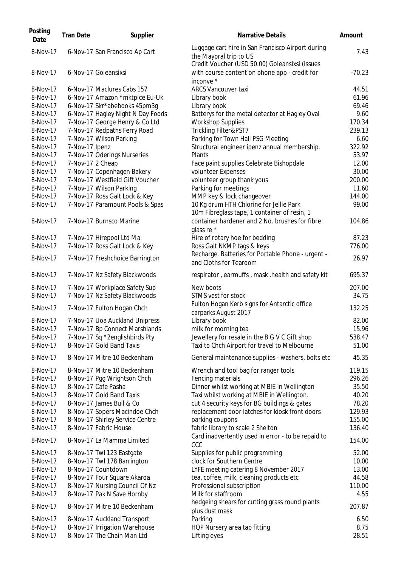| Posting<br>Date | <b>Tran Date</b> | Supplier                          | <b>Narrative Details</b>                                                                                                      | Amount   |
|-----------------|------------------|-----------------------------------|-------------------------------------------------------------------------------------------------------------------------------|----------|
| 8-Nov-17        |                  | 6-Nov-17 San Francisco Ap Cart    | Luggage cart hire in San Francisco Airport during<br>the Mayoral trip to US<br>Credit Voucher (USD 50.00) Goleansixsi (issues | 7.43     |
| 8-Nov-17        |                  | 6-Nov-17 Goleansixsi              | with course content on phone app - credit for<br>inconve *                                                                    | $-70.23$ |
| 8-Nov-17        |                  | 6-Nov-17 Maclures Cabs 157        | <b>ARCS Vancouver taxi</b>                                                                                                    | 44.51    |
| 8-Nov-17        |                  | 6-Nov-17 Amazon *mktplce Eu-Uk    | Library book                                                                                                                  | 61.96    |
| 8-Nov-17        |                  | 6-Nov-17 Skr*abebooks 45pm3g      | Library book                                                                                                                  | 69.46    |
| 8-Nov-17        |                  | 6-Nov-17 Hagley Night N Day Foods | Batterys for the metal detector at Hagley Oval                                                                                | 9.60     |
| 8-Nov-17        |                  | 7-Nov-17 George Henry & Co Ltd    | <b>Workshop Supplies</b>                                                                                                      | 170.34   |
| 8-Nov-17        |                  | 7-Nov-17 Redpaths Ferry Road      | Trickling Filter&PST7                                                                                                         | 239.13   |
| 8-Nov-17        |                  | 7-Nov-17 Wilson Parking           | Parking for Town Hall PSG Meeting                                                                                             | 6.60     |
| 8-Nov-17        | 7-Nov-17 Ipenz   |                                   | Structural engineer ipenz annual membership.                                                                                  | 322.92   |
| 8-Nov-17        |                  | 7-Nov-17 Oderings Nurseries       | Plants                                                                                                                        | 53.97    |
| 8-Nov-17        | 7-Nov-17 2 Cheap |                                   | Face paint supplies Celebrate Bishopdale                                                                                      | 12.00    |
| 8-Nov-17        |                  | 7-Nov-17 Copenhagen Bakery        | volunteer Expenses                                                                                                            | 30.00    |
| 8-Nov-17        |                  | 7-Nov-17 Westfield Gift Voucher   | volunteer group thank yous                                                                                                    | 200.00   |
| 8-Nov-17        |                  | 7-Nov-17 Wilson Parking           | Parking for meetings                                                                                                          | 11.60    |
| 8-Nov-17        |                  | 7-Nov-17 Ross Galt Lock & Key     | MMP key & lock changeover                                                                                                     | 144.00   |
| 8-Nov-17        |                  | 7-Nov-17 Paramount Pools & Spas   | 10 Kg drum HTH Chlorine for Jellie Park                                                                                       | 99.00    |
|                 |                  |                                   | 10m Fibreglass tape, 1 container of resin, 1                                                                                  |          |
| 8-Nov-17        |                  | 7-Nov-17 Burnsco Marine           | container hardener and 2 No. brushes for fibre<br>qlass re *                                                                  | 104.86   |
| 8-Nov-17        |                  | 7-Nov-17 Hirepool Ltd Ma          | Hire of rotary hoe for bedding                                                                                                | 87.23    |
| 8-Nov-17        |                  | 7-Nov-17 Ross Galt Lock & Key     | Ross Galt NKMP tags & keys                                                                                                    | 776.00   |
| 8-Nov-17        |                  | 7-Nov-17 Freshchoice Barrington   | Recharge. Batteries for Portable Phone - urgent -<br>and Cloths for Tearoom                                                   | 26.97    |
| 8-Nov-17        |                  | 7-Nov-17 Nz Safety Blackwoods     | respirator, earmuffs, mask.health and safety kit                                                                              | 695.37   |
| 8-Nov-17        |                  | 7-Nov-17 Workplace Safety Sup     | New boots                                                                                                                     | 207.00   |
| 8-Nov-17        |                  | 7-Nov-17 Nz Safety Blackwoods     | STMS vest for stock<br>Fulton Hogan Kerb signs for Antarctic office                                                           | 34.75    |
| 8-Nov-17        |                  | 7-Nov-17 Fulton Hogan Chch        | carparks August 2017                                                                                                          | 132.25   |
| 8-Nov-17        |                  | 7-Nov-17 Uoa Auckland Unipress    | Library book                                                                                                                  | 82.00    |
| 8-Nov-17        |                  | 7-Nov-17 Bp Connect Marshlands    | milk for morning tea                                                                                                          | 15.96    |
| 8-Nov-17        |                  | 7-Nov-17 Sq *2englishbirds Pty    | Jewellery for resale in the B G V C Gift shop                                                                                 | 538.47   |
| 8-Nov-17        |                  | 8-Nov-17 Gold Band Taxis          | Taxi to Chch Airport for travel to Melbourne                                                                                  | 51.00    |
| 8-Nov-17        |                  | 8-Nov-17 Mitre 10 Beckenham       | General maintenance supplies - washers, bolts etc                                                                             | 45.35    |
| 8-Nov-17        |                  | 8-Nov-17 Mitre 10 Beckenham       | Wrench and tool bag for ranger tools                                                                                          | 119.15   |
| 8-Nov-17        |                  | 8-Nov-17 Pgg Wrightson Chch       | Fencing materials                                                                                                             | 296.26   |
| 8-Nov-17        |                  | 8-Nov-17 Cafe Pasha               | Dinner whilst working at MBIE in Wellington                                                                                   | 35.50    |
| 8-Nov-17        |                  | 8-Nov-17 Gold Band Taxis          | Taxi whilst working at MBIE in Wellington.                                                                                    | 40.20    |
| 8-Nov-17        |                  | 8-Nov-17 James Bull & Co          | cut 4 security keys for BG buildings & gates                                                                                  | 78.20    |
| 8-Nov-17        |                  | 8-Nov-17 Sopers Macindoe Chch     | replacement door latches for kiosk front doors                                                                                | 129.93   |
| 8-Nov-17        |                  | 8-Nov-17 Shirley Service Centre   | parking coupons                                                                                                               | 155.00   |
| 8-Nov-17        |                  | 8-Nov-17 Fabric House             | fabric library to scale 2 Shelton                                                                                             | 136.40   |
| 8-Nov-17        |                  | 8-Nov-17 La Mamma Limited         | Card inadvertently used in error - to be repaid to<br>CCC                                                                     | 154.00   |
| 8-Nov-17        |                  | 8-Nov-17 Twl 123 Eastgate         | Supplies for public programming                                                                                               | 52.00    |
| 8-Nov-17        |                  | 8-Nov-17 Twl 178 Barrington       | clock for Southern Centre                                                                                                     | 10.00    |
| 8-Nov-17        |                  | 8-Nov-17 Countdown                | LYFE meeting catering 8 November 2017                                                                                         | 13.00    |
| 8-Nov-17        |                  | 8-Nov-17 Four Square Akaroa       | tea, coffee, milk, cleaning products etc                                                                                      | 44.58    |
| 8-Nov-17        |                  | 8-Nov-17 Nursing Council Of Nz    | Professional subscription                                                                                                     | 110.00   |
| 8-Nov-17        |                  | 8-Nov-17 Pak N Save Hornby        | Milk for staffroom                                                                                                            | 4.55     |
| 8-Nov-17        |                  | 8-Nov-17 Mitre 10 Beckenham       | hedgeing shears for cutting grass round plants<br>plus dust mask                                                              | 207.87   |
| 8-Nov-17        |                  | 8-Nov-17 Auckland Transport       | Parking                                                                                                                       | 6.50     |
| 8-Nov-17        |                  | 8-Nov-17 Irrigation Warehouse     | HQP Nursery area tap fitting                                                                                                  | 8.75     |
| 8-Nov-17        |                  | 8-Nov-17 The Chain Man Ltd        | Lifting eyes                                                                                                                  | 28.51    |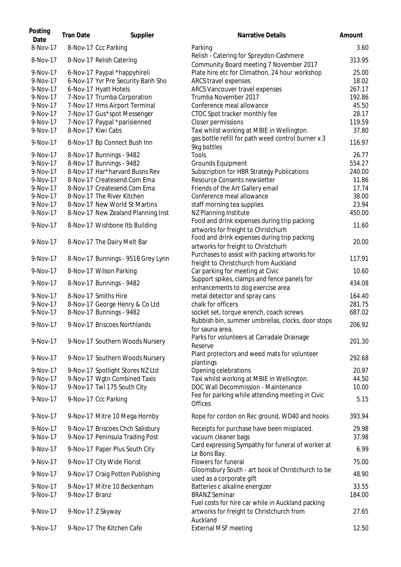| Posting<br>Date      | <b>Tran Date</b> | Supplier                                                   | Narrative Details                                                                                | Amount           |
|----------------------|------------------|------------------------------------------------------------|--------------------------------------------------------------------------------------------------|------------------|
| 8-Nov-17             |                  | 8-Nov-17 Ccc Parking                                       | Parking                                                                                          | 3.60             |
| 8-Nov-17             |                  | 8-Nov-17 Relish Catering                                   | Relish - Catering for Spreydon-Cashmere<br>Community Board meeting 7 November 2017               | 313.95           |
| 9-Nov-17             |                  | 6-Nov-17 Paypal *happyhireli                               | Plate hire etc for Climathon, 24 hour workshop                                                   | 25.00            |
| 9-Nov-17             |                  | 6-Nov-17 Yvr Pre Security Banh Sho                         | ARCS travel expenses                                                                             | 18.02            |
| 9-Nov-17             |                  | 6-Nov-17 Hyatt Hotels                                      | ARCS Vancouver travel expenses                                                                   | 267.17           |
| 9-Nov-17             |                  | 7-Nov-17 Trumba Corporation                                | Trumba November 2017                                                                             | 192.86           |
| 9-Nov-17             |                  | 7-Nov-17 Hms Airport Terminal                              | Conference meal allowance                                                                        | 45.50            |
| 9-Nov-17             |                  | 7-Nov-17 Gus*spot Messenger                                | CTOC Spot tracker monthly fee                                                                    | 28.17            |
| 9-Nov-17             |                  | 7-Nov-17 Paypal *parisienned                               | Closer permissions                                                                               | 119.59           |
| 9-Nov-17             |                  | 8-Nov-17 Kiwi Cabs                                         | Taxi whilst working at MBIE in Wellington.<br>gas bottle refill for path weed control burner x 3 | 37.80            |
| 9-Nov-17             |                  | 8-Nov-17 Bp Connect Bush Inn                               | 9kg bottles                                                                                      | 116.97           |
| 9-Nov-17             |                  | 8-Nov-17 Bunnings - 9482                                   | Tools                                                                                            | 26.77            |
| 9-Nov-17             |                  | 8-Nov-17 Bunnings - 9482                                   | Grounds Equipment                                                                                | 554.27           |
| 9-Nov-17             |                  | 8-Nov-17 Har*harvard Busns Rev                             | Subscription for HBR Strategy Publications                                                       | 240.00           |
| 9-Nov-17             |                  | 8-Nov-17 Createsend.Com Ema                                | Resource Consents newsletter                                                                     | 11.86            |
| 9-Nov-17             |                  | 8-Nov-17 Createsend.Com Ema                                | Friends of the Art Gallery email                                                                 | 17.74            |
| 9-Nov-17             |                  | 8-Nov-17 The River Kitchen                                 | Conference meal allowance                                                                        | 38.00            |
| 9-Nov-17<br>9-Nov-17 |                  | 8-Nov-17 New World St Martins                              | staff morning tea supplies                                                                       | 23.94<br>450.00  |
|                      |                  | 8-Nov-17 New Zealand Planning Inst                         | NZ Planning Institute<br>Food and drink expenses during trip packing                             |                  |
| 9-Nov-17             |                  | 8-Nov-17 Wishbone Itb Building                             | artworks for freight to Christchurh                                                              | 11.60            |
| 9-Nov-17             |                  | 8-Nov-17 The Dairy Melt Bar                                | Food and drink expenses during trip packing<br>artworks for freight to Christchurh               | 20.00            |
|                      |                  |                                                            | Purchases to assist with packing artworks for                                                    |                  |
| 9-Nov-17             |                  | 8-Nov-17 Bunnings - 9518 Grey Lynn                         | freight to Christchurch from Auckland                                                            | 117.91           |
| 9-Nov-17             |                  | 8-Nov-17 Wilson Parking                                    | Car parking for meeting at Civic                                                                 | 10.60            |
| 9-Nov-17             |                  | 8-Nov-17 Bunnings - 9482                                   | Support spikes, clamps and fence panels for                                                      | 434.08           |
| 9-Nov-17             |                  | 8-Nov-17 Smiths Hire                                       | enhancements to dog exercise area                                                                |                  |
| 9-Nov-17             |                  |                                                            | metal detector and spray cans<br>chalk for officers                                              | 164.40<br>281.75 |
| 9-Nov-17             |                  | 8-Nov-17 George Henry & Co Ltd<br>8-Nov-17 Bunnings - 9482 | socket set, torque wrench, coach screws                                                          | 687.02           |
|                      |                  |                                                            | Rubbish bin, summer umbrellas, clocks, door stops                                                |                  |
| 9-Nov-17             |                  | 9-Nov-17 Briscoes Northlands                               | for sauna area.                                                                                  | 206.92           |
| 9-Nov-17             |                  | 9-Nov-17 Southern Woods Nursery                            | Parks for volunteers at Carradale Drainage                                                       | 201.30           |
|                      |                  |                                                            | Reserve<br>Plant protectors and weed mats for volunteer                                          |                  |
| 9-Nov-17             |                  | 9-Nov-17 Southern Woods Nursery                            | plantings                                                                                        | 292.68           |
| 9-Nov-17             |                  | 9-Nov-17 Spotlight Stores NZ Ltd                           | Opening celebrations                                                                             | 20.97            |
| 9-Nov-17             |                  | 9-Nov-17 Wgtn Combined Taxis                               | Taxi whilst working at MBIE in Wellington.                                                       | 44.50            |
| 9-Nov-17             |                  | 9-Nov-17 Twl 175 South City                                | DOC Wall Decommission - Maintenance                                                              | 10.00            |
| 9-Nov-17             |                  | 9-Nov-17 Ccc Parking                                       | Fee for parking while attending meeting in Civic<br><b>Offices</b>                               | 5.15             |
| 9-Nov-17             |                  | 9-Nov-17 Mitre 10 Mega Hornby                              | Rope for cordon on Rec ground, WD40 and hooks                                                    | 393.94           |
| 9-Nov-17             |                  | 9-Nov-17 Briscoes Chch Salisbury                           | Receipts for purchase have been misplaced.                                                       | 29.98            |
| 9-Nov-17             |                  | 9-Nov-17 Peninsula Trading Post                            | vacuum cleaner bags                                                                              | 37.98            |
| 9-Nov-17             |                  | 9-Nov-17 Paper Plus South City                             | Card expressing Sympathy for funeral of worker at<br>Le Bons Bay.                                | 6.99             |
| 9-Nov-17             |                  | 9-Nov-17 City Wide Florist                                 | Flowers for funeral                                                                              | 75.00            |
| 9-Nov-17             |                  | 9-Nov-17 Craig Potton Publishing                           | Gloomsbury South - art book of Christchurch to be                                                | 48.90            |
| 9-Nov-17             |                  | 9-Nov-17 Mitre 10 Beckenham                                | used as a corporate gift<br>Batteries c alkaline energizer                                       | 33.55            |
| 9-Nov-17             | 9-Nov-17 Branz   |                                                            | <b>BRANZ Seminar</b>                                                                             | 184.00           |
|                      |                  |                                                            | Fuel costs for hire car while in Auckland packing                                                |                  |
| 9-Nov-17             |                  | 9-Nov-17 Z Skyway                                          | artworks for freight to Christchurch from<br>Auckland                                            | 27.65            |
| 9-Nov-17             |                  | 9-Nov-17 The Kitchen Cafe                                  | <b>External MSF meeting</b>                                                                      | 12.50            |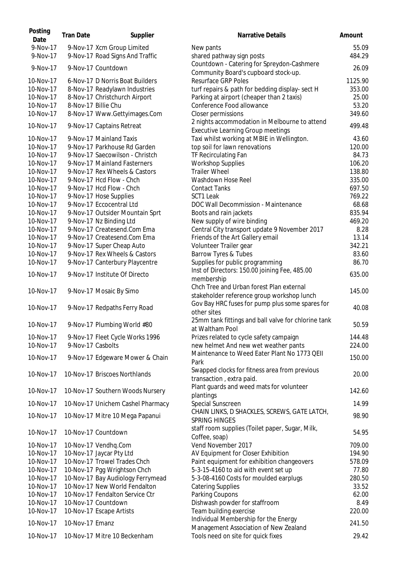| Posting<br>Date | <b>Tran Date</b>  | Supplier                          | <b>Narrative Details</b>                                                               | Amount  |
|-----------------|-------------------|-----------------------------------|----------------------------------------------------------------------------------------|---------|
| 9-Nov-17        |                   | 9-Nov-17 Xcm Group Limited        | New pants                                                                              | 55.09   |
| 9-Nov-17        |                   | 9-Nov-17 Road Signs And Traffic   | shared pathway sign posts                                                              | 484.29  |
| 9-Nov-17        |                   | 9-Nov-17 Countdown                | Countdown - Catering for Spreydon-Cashmere<br>Community Board's cupboard stock-up.     | 26.09   |
| 10-Nov-17       |                   | 6-Nov-17 D Norris Boat Builders   | <b>Resurface GRP Poles</b>                                                             | 1125.90 |
| 10-Nov-17       |                   | 8-Nov-17 Readylawn Industries     | turf repairs & path for bedding display- sect H                                        | 353.00  |
| 10-Nov-17       |                   | 8-Nov-17 Christchurch Airport     | Parking at airport (cheaper than 2 taxis)                                              | 25.00   |
| 10-Nov-17       |                   | 8-Nov-17 Billie Chu               | Conference Food allowance                                                              | 53.20   |
| 10-Nov-17       |                   | 8-Nov-17 Www.Gettyimages.Com      | Closer permissions                                                                     | 349.60  |
| 10-Nov-17       |                   |                                   | 2 nights accommodation in Melbourne to attend                                          | 499.48  |
|                 |                   | 9-Nov-17 Captains Retreat         | <b>Executive Learning Group meetings</b>                                               |         |
| 10-Nov-17       |                   | 9-Nov-17 Mainland Taxis           | Taxi whilst working at MBIE in Wellington.                                             | 43.60   |
| 10-Nov-17       |                   | 9-Nov-17 Parkhouse Rd Garden      | top soil for lawn renovations                                                          | 120.00  |
| 10-Nov-17       |                   | 9-Nov-17 Saecowilson - Christch   | TF Recirculating Fan                                                                   | 84.73   |
| 10-Nov-17       |                   | 9-Nov-17 Mainland Fasterners      | <b>Workshop Supplies</b>                                                               | 106.20  |
| 10-Nov-17       |                   | 9-Nov-17 Rex Wheels & Castors     | <b>Trailer Wheel</b>                                                                   | 138.80  |
| 10-Nov-17       |                   | 9-Nov-17 Hcd Flow - Chch          | Washdown Hose Reel                                                                     | 335.00  |
| 10-Nov-17       |                   | 9-Nov-17 Hcd Flow - Chch          | <b>Contact Tanks</b>                                                                   | 697.50  |
| 10-Nov-17       |                   | 9-Nov-17 Hose Supplies            | SCT1 Leak                                                                              | 769.22  |
| 10-Nov-17       |                   | 9-Nov-17 Eccocentral Ltd          | DOC Wall Decommission - Maintenance                                                    | 68.68   |
| 10-Nov-17       |                   | 9-Nov-17 Outsider Mountain Sprt   | Boots and rain jackets                                                                 | 835.94  |
| 10-Nov-17       |                   | 9-Nov-17 Nz Binding Ltd           | New supply of wire binding                                                             | 469.20  |
| 10-Nov-17       |                   | 9-Nov-17 Createsend.Com Ema       | Central City transport update 9 November 2017                                          | 8.28    |
| 10-Nov-17       |                   | 9-Nov-17 Createsend.Com Ema       | Friends of the Art Gallery email                                                       | 13.14   |
| 10-Nov-17       |                   | 9-Nov-17 Super Cheap Auto         | Volunteer Trailer gear                                                                 | 342.21  |
| 10-Nov-17       |                   | 9-Nov-17 Rex Wheels & Castors     | Barrow Tyres & Tubes                                                                   | 83.60   |
| 10-Nov-17       |                   | 9-Nov-17 Canterbury Playcentre    | Supplies for public programming                                                        | 86.70   |
| 10-Nov-17       |                   | 9-Nov-17 Institute Of Directo     | Inst of Directors: 150.00 joining Fee, 485.00<br>membership                            | 635.00  |
| 10-Nov-17       |                   | 9-Nov-17 Mosaic By Simo           | Chch Tree and Urban forest Plan external<br>stakeholder reference group workshop lunch | 145.00  |
| 10-Nov-17       |                   | 9-Nov-17 Redpaths Ferry Road      | Gov Bay HRC fuses for pump plus some spares for<br>other sites                         | 40.08   |
| 10-Nov-17       |                   | 9-Nov-17 Plumbing World #80       | 25mm tank fittings and ball valve for chlorine tank<br>at Waltham Pool                 | 50.59   |
| 10-Nov-17       |                   | 9-Nov-17 Fleet Cycle Works 1996   | Prizes related to cycle safety campaign                                                | 144.48  |
| 10-Nov-17       | 9-Nov-17 Casbolts |                                   | new helmet And new wet weather pants                                                   | 224.00  |
| 10-Nov-17       |                   | 9-Nov-17 Edgeware Mower & Chain   | Maintenance to Weed Eater Plant No 1773 QEII<br>Park                                   | 150.00  |
| 10-Nov-17       |                   | 10-Nov-17 Briscoes Northlands     | Swapped clocks for fitness area from previous                                          | 20.00   |
|                 |                   |                                   | transaction, extra paid.                                                               |         |
| 10-Nov-17       |                   | 10-Nov-17 Southern Woods Nursery  | Plant guards and weed mats for volunteer<br>plantings                                  | 142.60  |
| 10-Nov-17       |                   | 10-Nov-17 Unichem Cashel Pharmacy | Special Sunscreen                                                                      | 14.99   |
| 10-Nov-17       |                   | 10-Nov-17 Mitre 10 Mega Papanui   | CHAIN LINKS, D SHACKLES, SCREWS, GATE LATCH,<br><b>SPRING HINGES</b>                   | 98.90   |
| 10-Nov-17       |                   | 10-Nov-17 Countdown               | staff room supplies (Toilet paper, Sugar, Milk,<br>Coffee, soap)                       | 54.95   |
| 10-Nov-17       |                   | 10-Nov-17 Vendhq.Com              | Vend November 2017                                                                     | 709.00  |
| 10-Nov-17       |                   | 10-Nov-17 Jaycar Pty Ltd          | AV Equipment for Closer Exhibition                                                     | 194.90  |
| 10-Nov-17       |                   | 10-Nov-17 Trowel Trades Chch      | Paint equipment for exhibition changeovers                                             | 578.09  |
| 10-Nov-17       |                   | 10-Nov-17 Pgg Wrightson Chch      | 5-3-15-4160 to aid with event set up                                                   | 77.80   |
| 10-Nov-17       |                   | 10-Nov-17 Bay Audiology Ferrymead | 5-3-08-4160 Costs for moulded earplugs                                                 | 280.50  |
| 10-Nov-17       |                   | 10-Nov-17 New World Fendalton     | <b>Catering Supplies</b>                                                               | 33.52   |
| 10-Nov-17       |                   | 10-Nov-17 Fendalton Service Ctr   | Parking Coupons                                                                        | 62.00   |
| 10-Nov-17       |                   | 10-Nov-17 Countdown               | Dishwash powder for staffroom                                                          | 8.49    |
| 10-Nov-17       |                   | 10-Nov-17 Escape Artists          | Team building exercise                                                                 | 220.00  |
| 10-Nov-17       | 10-Nov-17 Emanz   |                                   | Individual Membership for the Energy                                                   | 241.50  |
|                 |                   |                                   | Management Association of New Zealand                                                  |         |
| 10-Nov-17       |                   | 10-Nov-17 Mitre 10 Beckenham      | Tools need on site for quick fixes                                                     | 29.42   |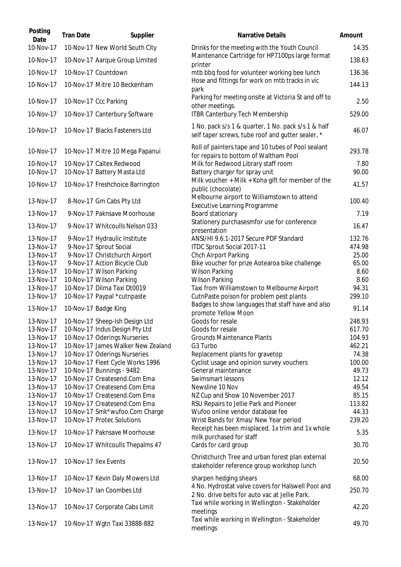| Posting<br>Date        | <b>Tran Date</b> | Supplier                                                | <b>Narrative Details</b>                                                                                 | Amount        |
|------------------------|------------------|---------------------------------------------------------|----------------------------------------------------------------------------------------------------------|---------------|
| 10-Nov-17              |                  | 10-Nov-17 New World South City                          | Drinks for the meeting with the Youth Council                                                            | 14.35         |
| 10-Nov-17              |                  | 10-Nov-17 Aarque Group Limited                          | Maintenance Cartridge for HP7100ps large format<br>printer                                               | 138.63        |
| 10-Nov-17              |                  | 10-Nov-17 Countdown                                     | mtb bbq food for volunteer working bee lunch                                                             | 136.36        |
| 10-Nov-17              |                  | 10-Nov-17 Mitre 10 Beckenham                            | Hose and fittings for work on mtb tracks in vic<br>park                                                  | 144.13        |
| 10-Nov-17              |                  | 10-Nov-17 Ccc Parking                                   | Parking for meeting onsite at Victoria St and off to<br>other meetings.                                  | 2.50          |
| 10-Nov-17              |                  | 10-Nov-17 Canterbury Software                           | <b>ITBR Canterbury Tech Membership</b>                                                                   | 529.00        |
| 10-Nov-17              |                  | 10-Nov-17 Blacks Fasteners Ltd                          | 1 No. pack s/s 1 & quarter, 1 No. pack s/s 1 & half<br>self taper screws, tube roof and gutter sealer, * | 46.07         |
| 10-Nov-17              |                  | 10-Nov-17 Mitre 10 Mega Papanui                         | Roll of painters tape and 10 tubes of Pool sealant<br>for repairs to bottom of Waltham Pool              | 293.78        |
| 10-Nov-17<br>10-Nov-17 |                  | 10-Nov-17 Caltex Redwood<br>10-Nov-17 Battery Masta Ltd | Milk for Redwood Library staff room<br>Battery charger for spray unit                                    | 7.80<br>90.00 |
| 10-Nov-17              |                  | 10-Nov-17 Freshchoice Barrington                        | Milk voucher + Milk + Koha gift for member of the<br>public (chocolate)                                  | 41.57         |
| 13-Nov-17              |                  | 8-Nov-17 Gm Cabs Pty Ltd                                | Melbourne airport to Williamstown to attend<br><b>Executive Learning Programme</b>                       | 100.40        |
| 13-Nov-17              |                  | 9-Nov-17 Paknsave Moorhouse                             | Board stationary                                                                                         | 7.19          |
| 13-Nov-17              |                  | 9-Nov-17 Whitcoulls Nelson 033                          | Stationery purchasesmfor use for conference<br>presentation                                              | 16.47         |
| 13-Nov-17              |                  | 9-Nov-17 Hydraulic Institute                            | ANSI/HI 9.6.1-2017 Secure PDF Standard                                                                   | 132.76        |
| 13-Nov-17              |                  | 9-Nov-17 Sprout Social                                  | ITDC Sprout Social 2017-11                                                                               | 474.98        |
| 13-Nov-17              |                  | 9-Nov-17 Christchurch Airport                           | Chch Airport Parking                                                                                     | 25.00         |
| 13-Nov-17              |                  | 9-Nov-17 Action Bicycle Club                            | Bike voucher for prize Aotearoa bike challenge                                                           | 65.00         |
| 13-Nov-17              |                  | 10-Nov-17 Wilson Parking                                | Wilson Parking                                                                                           | 8.60          |
| 13-Nov-17              |                  | 10-Nov-17 Wilson Parking                                | <b>Wilson Parking</b>                                                                                    | 8.60          |
| 13-Nov-17              |                  | 10-Nov-17 Dilma Taxi Dt0019                             | Taxi from Williamstown to Melbourne Airport                                                              | 94.31         |
| 13-Nov-17              |                  | 10-Nov-17 Paypal *cutnpaste                             | CutnPaste poison for problem pest plants                                                                 | 299.10        |
| 13-Nov-17              |                  | 10-Nov-17 Badge King                                    | Badges to show languages that staff have and also<br>promote Yellow Moon                                 | 91.14         |
| 13-Nov-17              |                  | 10-Nov-17 Sheep-Ish Design Ltd                          | Goods for resale                                                                                         | 248.93        |
| 13-Nov-17              |                  | 10-Nov-17 Indus Design Pty Ltd                          | Goods for resale                                                                                         | 617.70        |
| 13-Nov-17              |                  | 10-Nov-17 Oderings Nurseries                            | <b>Grounds Maintenance Plants</b>                                                                        | 104.93        |
| 13-Nov-17              |                  | 10-Nov-17 James Walker New Zealand                      | G3 Turbo                                                                                                 | 462.21        |
| 13-Nov-17              |                  | 10-Nov-17 Oderings Nurseries                            | Replacement plants for gravetop                                                                          | 74.38         |
| 13-Nov-17              |                  | 10-Nov-17 Fleet Cycle Works 1996                        | Cyclist usage and opinion survey vouchers                                                                | 100.00        |
| 13-Nov-17              |                  | 10-Nov-17 Bunnings - 9482                               | General maintenance                                                                                      | 49.73         |
| 13-Nov-17              |                  | 10-Nov-17 Createsend.Com Ema                            | Swimsmart lessons                                                                                        | 12.12         |
| 13-Nov-17              |                  | 10-Nov-17 Createsend.Com Ema                            | Newsline 10 Nov                                                                                          | 49.54         |
| 13-Nov-17              |                  | 10-Nov-17 Createsend.Com Ema                            | NZ Cup and Show 10 November 2017                                                                         | 85.15         |
| 13-Nov-17              |                  | 10-Nov-17 Createsend.Com Ema                            | RSU Repairs to Jellie Park and Pioneer                                                                   | 113.82        |
| 13-Nov-17              |                  | 10-Nov-17 Smk*wufoo.Com Charge                          | Wufoo online vendor database fee                                                                         | 44.33         |
| 13-Nov-17              |                  | 10-Nov-17 Protec Solutions                              | Wrist Bands for Xmas/ New Year period                                                                    | 239.20        |
| 13-Nov-17              |                  | 10-Nov-17 Paknsave Moorhouse                            | Receipt has been misplaced. 1x trim and 1x whole<br>milk purchased for staff                             | 5.35          |
| 13-Nov-17              |                  | 10-Nov-17 Whitcoulls Thepalms 47                        | Cards for card group                                                                                     | 30.70         |
| 13-Nov-17              |                  | 10-Nov-17 Ilex Events                                   | Christchurch Tree and urban forest plan external<br>stakeholder reference group workshop lunch           | 20.50         |
| 13-Nov-17              |                  | 10-Nov-17 Kevin Daly Mowers Ltd                         | sharpen hedging shears                                                                                   | 68.00         |
| 13-Nov-17              |                  | 10-Nov-17 Ian Coombes Ltd                               | 4 No. Hydrostat valve covers for Halswell Pool and<br>2 No. drive belts for auto vac at Jellie Park.     | 250.70        |
| 13-Nov-17              |                  | 10-Nov-17 Corporate Cabs Limit                          | Taxi while working in Wellington - Stakeholder<br>meetings                                               | 42.20         |
| 13-Nov-17              |                  | 10-Nov-17 Wgtn Taxi 33888-882                           | Taxi while working in Wellington - Stakeholder<br>meetings                                               | 49.70         |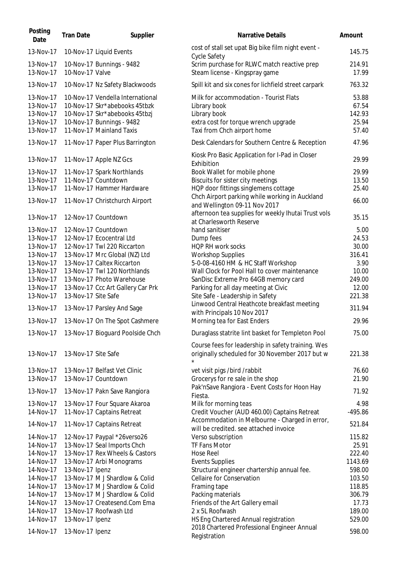| Posting<br>Date                                                                                                                             | <b>Tran Date</b>    | Supplier                                                                                                                                                                                                                                                                                                                                                      | <b>Narrative Details</b>                                                                                                                                                                                                                                                                                                                                                                                                                                  | Amount                                                                                                     |
|---------------------------------------------------------------------------------------------------------------------------------------------|---------------------|---------------------------------------------------------------------------------------------------------------------------------------------------------------------------------------------------------------------------------------------------------------------------------------------------------------------------------------------------------------|-----------------------------------------------------------------------------------------------------------------------------------------------------------------------------------------------------------------------------------------------------------------------------------------------------------------------------------------------------------------------------------------------------------------------------------------------------------|------------------------------------------------------------------------------------------------------------|
| 13-Nov-17                                                                                                                                   |                     | 10-Nov-17 Liquid Events                                                                                                                                                                                                                                                                                                                                       | cost of stall set upat Big bike film night event -<br>Cycle Safety                                                                                                                                                                                                                                                                                                                                                                                        | 145.75                                                                                                     |
| 13-Nov-17<br>13-Nov-17                                                                                                                      | 10-Nov-17 Valve     | 10-Nov-17 Bunnings - 9482                                                                                                                                                                                                                                                                                                                                     | Scrim purchase for RLWC match reactive prep<br>Steam license - Kingspray game                                                                                                                                                                                                                                                                                                                                                                             | 214.91<br>17.99                                                                                            |
| 13-Nov-17                                                                                                                                   |                     | 10-Nov-17 Nz Safety Blackwoods                                                                                                                                                                                                                                                                                                                                | Spill kit and six cones for lichfield street carpark                                                                                                                                                                                                                                                                                                                                                                                                      | 763.32                                                                                                     |
| 13-Nov-17<br>13-Nov-17<br>13-Nov-17<br>13-Nov-17<br>13-Nov-17                                                                               |                     | 10-Nov-17 Vendella International<br>10-Nov-17 Skr*abebooks 45tbzk<br>10-Nov-17 Skr*abebooks 45tbzj<br>10-Nov-17 Bunnings - 9482<br>11-Nov-17 Mainland Taxis                                                                                                                                                                                                   | Milk for accommodation - Tourist Flats<br>Library book<br>Library book<br>extra cost for torque wrench upgrade<br>Taxi from Chch airport home                                                                                                                                                                                                                                                                                                             | 53.88<br>67.54<br>142.93<br>25.94<br>57.40                                                                 |
| 13-Nov-17                                                                                                                                   |                     | 11-Nov-17 Paper Plus Barrington                                                                                                                                                                                                                                                                                                                               | Desk Calendars for Southern Centre & Reception                                                                                                                                                                                                                                                                                                                                                                                                            | 47.96                                                                                                      |
| 13-Nov-17                                                                                                                                   |                     | 11-Nov-17 Apple NZ Gcs                                                                                                                                                                                                                                                                                                                                        | Kiosk Pro Basic Application for I-Pad in Closer<br>Exhibition                                                                                                                                                                                                                                                                                                                                                                                             | 29.99                                                                                                      |
| 13-Nov-17<br>13-Nov-17<br>13-Nov-17<br>13-Nov-17                                                                                            |                     | 11-Nov-17 Spark Northlands<br>11-Nov-17 Countdown<br>11-Nov-17 Hammer Hardware<br>11-Nov-17 Christchurch Airport                                                                                                                                                                                                                                              | Book Wallet for mobile phone<br>Biscuits for sister city meetings<br>HQP door fittings singlemens cottage<br>Chch Airport parking while working in Auckland<br>and Wellington 09-11 Nov 2017                                                                                                                                                                                                                                                              | 29.99<br>13.50<br>25.40<br>66.00                                                                           |
| 13-Nov-17                                                                                                                                   |                     | 12-Nov-17 Countdown                                                                                                                                                                                                                                                                                                                                           | afternoon tea supplies for weekly Ihutai Trust vols<br>at Charlesworth Reserve                                                                                                                                                                                                                                                                                                                                                                            | 35.15                                                                                                      |
| 13-Nov-17<br>13-Nov-17<br>13-Nov-17<br>13-Nov-17<br>13-Nov-17<br>13-Nov-17<br>13-Nov-17<br>13-Nov-17<br>13-Nov-17<br>13-Nov-17<br>13-Nov-17 | 13-Nov-17 Site Safe | 12-Nov-17 Countdown<br>12-Nov-17 Ecocentral Ltd<br>12-Nov-17 Twl 220 Riccarton<br>13-Nov-17 Mrc Global (NZ) Ltd<br>13-Nov-17 Caltex Riccarton<br>13-Nov-17 Twl 120 Northlands<br>13-Nov-17 Photo Warehouse<br>13-Nov-17 Ccc Art Gallery Car Prk<br>13-Nov-17 Parsley And Sage<br>13-Nov-17 On The Spot Cashmere<br>13-Nov-17 13-Nov-17 Bioguard Poolside Chch | hand sanitiser<br>Dump fees<br>HQP RH work socks<br><b>Workshop Supplies</b><br>5-0-08-4160 HM & HC Staff Workshop<br>Wall Clock for Pool Hall to cover maintenance<br>SanDisc Extreme Pro 64GB memory card<br>Parking for all day meeting at Civic<br>Site Safe - Leadership in Safety<br>Linwood Central Heathcote breakfast meeting<br>with Principals 10 Nov 2017<br>Morning tea for East Enders<br>Duraglass statrite lint basket for Templeton Pool | 5.00<br>24.53<br>30.00<br>316.41<br>3.90<br>10.00<br>249.00<br>12.00<br>221.38<br>311.94<br>29.96<br>75.00 |
|                                                                                                                                             |                     |                                                                                                                                                                                                                                                                                                                                                               | Course fees for leadership in safety training. Wes                                                                                                                                                                                                                                                                                                                                                                                                        |                                                                                                            |
| 13-Nov-17                                                                                                                                   | 13-Nov-17 Site Safe |                                                                                                                                                                                                                                                                                                                                                               | originally scheduled for 30 November 2017 but w<br>$\star$                                                                                                                                                                                                                                                                                                                                                                                                | 221.38                                                                                                     |
| 13-Nov-17<br>13-Nov-17<br>13-Nov-17                                                                                                         |                     | 13-Nov-17 Belfast Vet Clinic<br>13-Nov-17 Countdown<br>13-Nov-17 Pakn Save Rangiora                                                                                                                                                                                                                                                                           | vet visit pigs /bird /rabbit<br>Grocerys for re sale in the shop<br>Pak'nSave Rangiora - Event Costs for Hoon Hay<br>Fiesta.                                                                                                                                                                                                                                                                                                                              | 76.60<br>21.90<br>71.92                                                                                    |
| 13-Nov-17                                                                                                                                   |                     | 13-Nov-17 Four Square Akaroa                                                                                                                                                                                                                                                                                                                                  | Milk for morning teas                                                                                                                                                                                                                                                                                                                                                                                                                                     | 4.98                                                                                                       |
| 14-Nov-17<br>14-Nov-17                                                                                                                      |                     | 11-Nov-17 Captains Retreat<br>11-Nov-17 Captains Retreat                                                                                                                                                                                                                                                                                                      | Credit Voucher (AUD 460.00) Captains Retreat<br>Accommodation in Melbourne - Charged in error,<br>will be credited. see attached invoice                                                                                                                                                                                                                                                                                                                  | $-495.86$<br>521.84                                                                                        |
| 14-Nov-17<br>14-Nov-17<br>14-Nov-17<br>14-Nov-17<br>14-Nov-17<br>14-Nov-17<br>14-Nov-17<br>14-Nov-17<br>14-Nov-17                           | 13-Nov-17 Ipenz     | 12-Nov-17 Paypal *26verso26<br>13-Nov-17 Seal Imports Chch<br>13-Nov-17 Rex Wheels & Castors<br>13-Nov-17 Arbi Monograms<br>13-Nov-17 M J Shardlow & Colid<br>13-Nov-17 M J Shardlow & Colid<br>13-Nov-17 M J Shardlow & Colid<br>13-Nov-17 Createsend.Com Ema                                                                                                | Verso subscription<br>TF Fans Motor<br><b>Hose Reel</b><br><b>Events Supplies</b><br>Structural engineer chartership annual fee.<br>Cellaire for Conservation<br>Framing tape<br>Packing materials<br>Friends of the Art Gallery email                                                                                                                                                                                                                    | 115.82<br>25.91<br>222.40<br>1143.69<br>598.00<br>103.50<br>118.85<br>306.79<br>17.73                      |
| 14-Nov-17<br>14-Nov-17                                                                                                                      | 13-Nov-17 Ipenz     | 13-Nov-17 Roofwash Ltd                                                                                                                                                                                                                                                                                                                                        | 2 x 5L Roofwash<br>HS Eng Chartered Annual registration                                                                                                                                                                                                                                                                                                                                                                                                   | 189.00<br>529.00                                                                                           |
| 14-Nov-17                                                                                                                                   | 13-Nov-17 Ipenz     |                                                                                                                                                                                                                                                                                                                                                               | 2018 Chartered Professional Engineer Annual<br>Registration                                                                                                                                                                                                                                                                                                                                                                                               | 598.00                                                                                                     |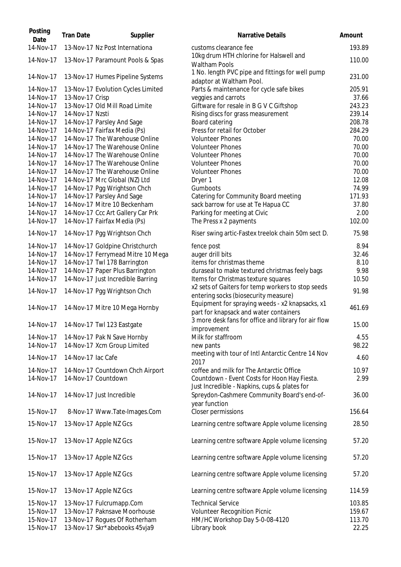| Posting<br>Date        | <b>Tran Date</b>   | Supplier                                                             | <b>Narrative Details</b>                                                                     | Amount          |
|------------------------|--------------------|----------------------------------------------------------------------|----------------------------------------------------------------------------------------------|-----------------|
| 14-Nov-17              |                    | 13-Nov-17 Nz Post Internationa                                       | customs clearance fee                                                                        | 193.89          |
| 14-Nov-17              |                    | 13-Nov-17 Paramount Pools & Spas                                     | 10kg drum HTH chlorine for Halswell and<br><b>Waltham Pools</b>                              | 110.00          |
| 14-Nov-17              |                    | 13-Nov-17 Humes Pipeline Systems                                     | 1 No. length PVC pipe and fittings for well pump<br>adaptor at Waltham Pool.                 | 231.00          |
| 14-Nov-17              |                    | 13-Nov-17 Evolution Cycles Limited                                   | Parts & maintenance for cycle safe bikes                                                     | 205.91          |
| 14-Nov-17              | 13-Nov-17 Crisp    | 13-Nov-17 Old Mill Road Limite                                       | veggies and carrots                                                                          | 37.66<br>243.23 |
| 14-Nov-17<br>14-Nov-17 | 14-Nov-17 Nzsti    |                                                                      | Giftware for resale in B G V C Giftshop<br>Rising discs for grass measurement                | 239.14          |
| 14-Nov-17              |                    | 14-Nov-17 Parsley And Sage                                           | Board catering                                                                               | 208.78          |
| 14-Nov-17              |                    | 14-Nov-17 Fairfax Media (Ps)                                         | Press for retail for October                                                                 | 284.29          |
| 14-Nov-17              |                    | 14-Nov-17 The Warehouse Online                                       | <b>Volunteer Phones</b>                                                                      | 70.00           |
| 14-Nov-17              |                    | 14-Nov-17 The Warehouse Online                                       | <b>Volunteer Phones</b>                                                                      | 70.00           |
| 14-Nov-17              |                    | 14-Nov-17 The Warehouse Online                                       | <b>Volunteer Phones</b>                                                                      | 70.00           |
| 14-Nov-17              |                    | 14-Nov-17 The Warehouse Online                                       | <b>Volunteer Phones</b>                                                                      | 70.00           |
| 14-Nov-17              |                    | 14-Nov-17 The Warehouse Online                                       | <b>Volunteer Phones</b>                                                                      | 70.00           |
| 14-Nov-17              |                    | 14-Nov-17 Mrc Global (NZ) Ltd                                        | Dryer 1                                                                                      | 12.08           |
| 14-Nov-17<br>14-Nov-17 |                    | 14-Nov-17 Pgg Wrightson Chch<br>14-Nov-17 Parsley And Sage           | Gumboots<br>Catering for Community Board meeting                                             | 74.99<br>171.93 |
| 14-Nov-17              |                    | 14-Nov-17 Mitre 10 Beckenham                                         | sack barrow for use at Te Hapua CC                                                           | 37.80           |
| 14-Nov-17              |                    | 14-Nov-17 Ccc Art Gallery Car Prk                                    | Parking for meeting at Civic                                                                 | 2.00            |
| 14-Nov-17              |                    | 14-Nov-17 Fairfax Media (Ps)                                         | The Press x 2 payments                                                                       | 102.00          |
| 14-Nov-17              |                    | 14-Nov-17 Pgg Wrightson Chch                                         | Riser swing artic-Fastex treelok chain 50m sect D.                                           | 75.98           |
| 14-Nov-17              |                    | 14-Nov-17 Goldpine Christchurch                                      | fence post                                                                                   | 8.94            |
| 14-Nov-17              |                    | 14-Nov-17 Ferrymead Mitre 10 Mega                                    | auger drill bits                                                                             | 32.46           |
| 14-Nov-17              |                    | 14-Nov-17 Twl 178 Barrington                                         | items for christmas theme                                                                    | 8.10<br>9.98    |
| 14-Nov-17<br>14-Nov-17 |                    | 14-Nov-17 Paper Plus Barrington<br>14-Nov-17 Just Incredible Barring | duraseal to make textured christmas feely bags<br>Items for Christmas texture squares        | 10.50           |
| 14-Nov-17              |                    | 14-Nov-17 Pgg Wrightson Chch                                         | x2 sets of Gaiters for temp workers to stop seeds<br>entering socks (biosecurity measure)    | 91.98           |
| 14-Nov-17              |                    | 14-Nov-17 Mitre 10 Mega Hornby                                       | Equipment for spraying weeds - x2 knapsacks, x1<br>part for knapsack and water containers    | 461.69          |
| 14-Nov-17              |                    | 14-Nov-17 Twl 123 Eastgate                                           | 3 more desk fans for office and library for air flow<br>improvement                          | 15.00           |
| 14-Nov-17              |                    | 14-Nov-17 Pak N Save Hornby                                          | Milk for staffroom                                                                           | 4.55            |
| 14-Nov-17              |                    | 14-Nov-17 Xcm Group Limited                                          | new pants                                                                                    | 98.22           |
| 14-Nov-17              | 14-Nov-17 lac Cafe |                                                                      | meeting with tour of Intl Antarctic Centre 14 Nov<br>2017                                    | 4.60            |
| 14-Nov-17              |                    | 14-Nov-17 Countdown Chch Airport                                     | coffee and milk for The Antarctic Office                                                     | 10.97           |
| 14-Nov-17              |                    | 14-Nov-17 Countdown                                                  | Countdown - Event Costs for Hoon Hay Fiesta.<br>Just Incredible - Napkins, cups & plates for | 2.99            |
| 14-Nov-17              |                    | 14-Nov-17 Just Incredible                                            | Spreydon-Cashmere Community Board's end-of-<br>year function                                 | 36.00           |
| 15-Nov-17              |                    | 8-Nov-17 Www.Tate-Images.Com                                         | Closer permissions                                                                           | 156.64          |
| 15-Nov-17              |                    | 13-Nov-17 Apple NZ Gcs                                               | Learning centre software Apple volume licensing                                              | 28.50           |
| 15-Nov-17              |                    | 13-Nov-17 Apple NZ Gcs                                               | Learning centre software Apple volume licensing                                              | 57.20           |
| 15-Nov-17              |                    | 13-Nov-17 Apple NZ Gcs                                               | Learning centre software Apple volume licensing                                              | 57.20           |
| 15-Nov-17              |                    | 13-Nov-17 Apple NZ Gcs                                               | Learning centre software Apple volume licensing                                              | 57.20           |
| 15-Nov-17              |                    | 13-Nov-17 Apple NZ Gcs                                               | Learning centre software Apple volume licensing                                              | 114.59          |
| 15-Nov-17              |                    | 13-Nov-17 Fulcrumapp.Com                                             | <b>Technical Service</b>                                                                     | 103.85          |
| 15-Nov-17              |                    | 13-Nov-17 Paknsave Moorhouse                                         | Volunteer Recognition Picnic                                                                 | 159.67          |
| 15-Nov-17              |                    | 13-Nov-17 Rogues Of Rotherham                                        | HM/HC Workshop Day 5-0-08-4120                                                               | 113.70          |
| 15-Nov-17              |                    | 13-Nov-17 Skr*abebooks 45vja9                                        | Library book                                                                                 | 22.25           |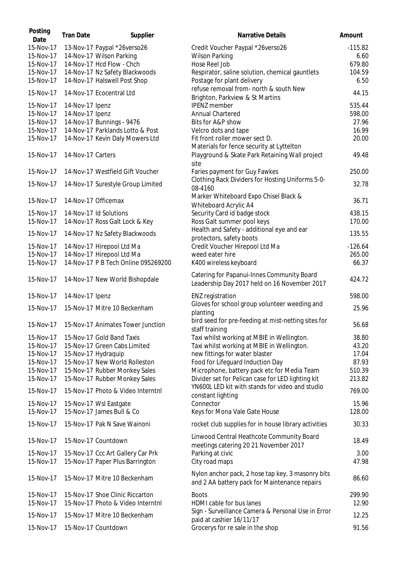| Posting<br>Date        | <b>Tran Date</b>  | Supplier                                              | <b>Narrative Details</b>                                                                   | Amount          |
|------------------------|-------------------|-------------------------------------------------------|--------------------------------------------------------------------------------------------|-----------------|
| 15-Nov-17              |                   | 13-Nov-17 Paypal *26verso26                           | Credit Voucher Paypal *26verso26                                                           | $-115.82$       |
| 15-Nov-17              |                   | 14-Nov-17 Wilson Parking<br>14-Nov-17 Hcd Flow - Chch | <b>Wilson Parking</b><br>Hose Reel Job                                                     | 6.60<br>679.80  |
| 15-Nov-17<br>15-Nov-17 |                   |                                                       |                                                                                            |                 |
| 15-Nov-17              |                   | 14-Nov-17 Nz Safety Blackwoods                        | Respirator, saline solution, chemical gauntlets                                            | 104.59<br>6.50  |
|                        |                   | 14-Nov-17 Halswell Post Shop                          | Postage for plant delivery<br>refuse removal from- north & south New                       |                 |
| 15-Nov-17              |                   | 14-Nov-17 Ecocentral Ltd                              |                                                                                            | 44.15           |
| 15-Nov-17              | 14-Nov-17 Ipenz   |                                                       | Brighton, Parkview & St Martins<br><b>IPENZ</b> member                                     | 535.44          |
| 15-Nov-17              | 14-Nov-17 Ipenz   |                                                       | Annual Chartered                                                                           | 598.00          |
| 15-Nov-17              |                   | 14-Nov-17 Bunnings - 9476                             | Bits for A&P show                                                                          | 27.96           |
| 15-Nov-17              |                   | 14-Nov-17 Parklands Lotto & Post                      | Velcro dots and tape                                                                       | 16.99           |
| 15-Nov-17              |                   | 14-Nov-17 Kevin Daly Mowers Ltd                       | Fit front roller mower sect D.                                                             | 20.00           |
|                        |                   |                                                       | Materials for fence security at Lyttelton                                                  |                 |
| 15-Nov-17              | 14-Nov-17 Carters |                                                       | Playground & Skate Park Retaining Wall project                                             | 49.48           |
|                        |                   |                                                       | site                                                                                       |                 |
| 15-Nov-17              |                   | 14-Nov-17 Westfield Gift Voucher                      | Faries payment for Guy Fawkes                                                              | 250.00          |
|                        |                   |                                                       | Clothing Rack Dividers for Hosting Uniforms 5-0-                                           |                 |
| 15-Nov-17              |                   | 14-Nov-17 Surestyle Group Limited                     | 08-4160                                                                                    | 32.78           |
| 15-Nov-17              |                   | 14-Nov-17 Officemax                                   | Marker Whiteboard Expo Chisel Black &                                                      | 36.71           |
|                        |                   |                                                       | Whiteboard Acrylic A4                                                                      |                 |
| 15-Nov-17              |                   | 14-Nov-17 Id Solutions                                | Security Card id badge stock                                                               | 438.15          |
| 15-Nov-17              |                   | 14-Nov-17 Ross Galt Lock & Key                        | Ross Galt summer pool keys                                                                 | 170.00          |
| 15-Nov-17              |                   | 14-Nov-17 Nz Safety Blackwoods                        | Health and Safety - additional eye and ear<br>protectors, safety boots                     | 135.55          |
| 15-Nov-17              |                   | 14-Nov-17 Hirepool Ltd Ma                             | Credit Voucher Hirepool Ltd Ma                                                             | $-126.64$       |
| 15-Nov-17              |                   | 14-Nov-17 Hirepool Ltd Ma                             | weed eater hire                                                                            | 265.00          |
| 15-Nov-17              |                   | 14-Nov-17 P B Tech Online 095269200                   | K400 wireless keyboard                                                                     | 66.37           |
| 15-Nov-17              |                   | 14-Nov-17 New World Bishopdale                        | Catering for Papanui-Innes Community Board<br>Leadership Day 2017 held on 16 November 2017 | 424.72          |
| 15-Nov-17              | 14-Nov-17 Ipenz   |                                                       | <b>ENZ</b> registration                                                                    | 598.00          |
| 15-Nov-17              |                   | 15-Nov-17 Mitre 10 Beckenham                          | Gloves for school group volunteer weeding and                                              | 25.96           |
|                        |                   |                                                       | planting                                                                                   |                 |
|                        |                   | 15-Nov-17 15-Nov-17 Animates Tower Junction           | bird seed for pre-feeding at mist-netting sites for<br>staff training                      | 56.68           |
| 15-Nov-17              |                   | 15-Nov-17 Gold Band Taxis                             | Taxi whilst working at MBIE in Wellington.                                                 | 38.80           |
| 15-Nov-17              |                   | 15-Nov-17 Green Cabs Limited                          | Taxi whilst working at MBIE in Wellington.                                                 | 43.20           |
| 15-Nov-17              |                   | 15-Nov-17 Hydraquip                                   | new fittings for water blaster                                                             | 17.04           |
| 15-Nov-17              |                   | 15-Nov-17 New World Rolleston                         | Food for Lifeguard Induction Day                                                           | 87.93           |
| 15-Nov-17              |                   | 15-Nov-17 Rubber Monkey Sales                         | Microphone, battery pack etc for Media Team                                                | 510.39          |
| 15-Nov-17              |                   | 15-Nov-17 Rubber Monkey Sales                         | Divider set for Pelican case for LED lighting kit                                          | 213.82          |
| 15-Nov-17              |                   | 15-Nov-17 Photo & Video Interntnl                     | YN600L LED kit with stands for video and studio                                            | 769.00          |
|                        |                   |                                                       | constant lighting                                                                          |                 |
| 15-Nov-17<br>15-Nov-17 |                   | 15-Nov-17 Wsl Eastgate<br>15-Nov-17 James Bull & Co   | Connector<br>Keys for Mona Vale Gate House                                                 | 15.96<br>128.00 |
|                        |                   |                                                       |                                                                                            |                 |
| 15-Nov-17              |                   | 15-Nov-17 Pak N Save Wainoni                          | rocket club supplies for in house library activities                                       | 30.33           |
| 15-Nov-17              |                   | 15-Nov-17 Countdown                                   | Linwood Central Heathcote Community Board<br>meetings catering 20 21 November 2017         | 18.49           |
| 15-Nov-17              |                   | 15-Nov-17 Ccc Art Gallery Car Prk                     | Parking at civic                                                                           | 3.00            |
| 15-Nov-17              |                   | 15-Nov-17 Paper Plus Barrington                       | City road maps                                                                             | 47.98           |
|                        |                   |                                                       | Nylon anchor pack, 2 hose tap key, 3 masonry bits                                          |                 |
| 15-Nov-17              |                   | 15-Nov-17 Mitre 10 Beckenham                          | and 2 AA battery pack for Maintenance repairs                                              | 86.60           |
| 15-Nov-17              |                   | 15-Nov-17 Shoe Clinic Riccarton                       | <b>Boots</b>                                                                               | 299.90          |
| 15-Nov-17              |                   | 15-Nov-17 Photo & Video Interntnl                     | HDMI cable for bus lanes                                                                   | 12.90           |
|                        |                   |                                                       | Sign - Surveillance Camera & Personal Use in Error                                         |                 |
| 15-Nov-17              |                   | 15-Nov-17 Mitre 10 Beckenham                          | paid at cashier 16/11/17                                                                   | 12.25           |
| 15-Nov-17              |                   | 15-Nov-17 Countdown                                   | Grocerys for re sale in the shop                                                           | 91.56           |
|                        |                   |                                                       |                                                                                            |                 |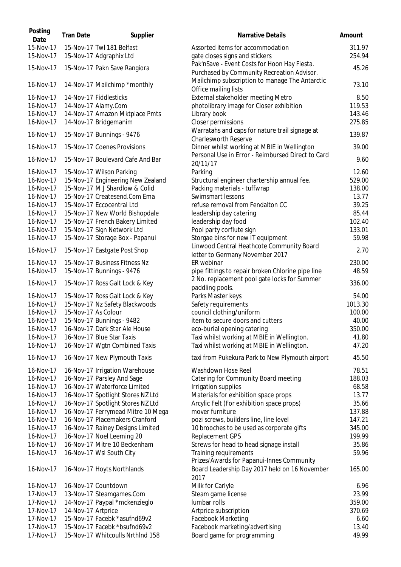| Posting<br>Date        | <b>Tran Date</b>    | Supplier                                             | Narrative Details                                                              | Amount           |
|------------------------|---------------------|------------------------------------------------------|--------------------------------------------------------------------------------|------------------|
| 15-Nov-17<br>15-Nov-17 |                     | 15-Nov-17 Twl 181 Belfast<br>15-Nov-17 Adgraphix Ltd | Assorted items for accommodation<br>gate closes signs and stickers             | 311.97<br>254.94 |
|                        |                     |                                                      | Pak'nSave - Event Costs for Hoon Hay Fiesta.                                   |                  |
| 15-Nov-17              |                     | 15-Nov-17 Pakn Save Rangiora                         | Purchased by Community Recreation Advisor.                                     | 45.26            |
| 16-Nov-17              |                     | 14-Nov-17 Mailchimp *monthly                         | Mailchimp subscription to manage The Antarctic<br>Office mailing lists         | 73.10            |
| 16-Nov-17              |                     | 14-Nov-17 Fiddlesticks                               | External stakeholder meeting Metro                                             | 8.50             |
| 16-Nov-17              |                     | 14-Nov-17 Alamy.Com                                  | photolibrary image for Closer exhibition                                       | 119.53           |
| 16-Nov-17              |                     | 14-Nov-17 Amazon Mktplace Pmts                       | Library book                                                                   | 143.46           |
| 16-Nov-17              |                     | 14-Nov-17 Bridgemanim                                | Closer permissions                                                             | 275.85           |
|                        |                     |                                                      | Warratahs and caps for nature trail signage at                                 |                  |
| 16-Nov-17              |                     | 15-Nov-17 Bunnings - 9476                            | <b>Charlesworth Reserve</b>                                                    | 139.87           |
| 16-Nov-17              |                     | 15-Nov-17 Coenes Provisions                          | Dinner whilst working at MBIE in Wellington                                    | 39.00            |
| 16-Nov-17              |                     | 15-Nov-17 Boulevard Cafe And Bar                     | Personal Use in Error - Reimbursed Direct to Card<br>20/11/17                  | 9.60             |
| 16-Nov-17              |                     | 15-Nov-17 Wilson Parking                             | Parking                                                                        | 12.60            |
| 16-Nov-17              |                     | 15-Nov-17 Engineering New Zealand                    | Structural engineer chartership annual fee.                                    | 529.00           |
| 16-Nov-17              |                     | 15-Nov-17 M J Shardlow & Colid                       | Packing materials - tuffwrap                                                   | 138.00           |
| 16-Nov-17              |                     | 15-Nov-17 Createsend.Com Ema                         | Swimsmart lessons                                                              | 13.77            |
| 16-Nov-17              |                     | 15-Nov-17 Eccocentral Ltd                            | refuse removal from Fendalton CC                                               | 39.25            |
| 16-Nov-17              |                     | 15-Nov-17 New World Bishopdale                       | leadership day catering                                                        | 85.44            |
|                        |                     |                                                      |                                                                                | 102.40           |
| 16-Nov-17              |                     | 15-Nov-17 French Bakery Limited                      | leadership day food                                                            |                  |
| 16-Nov-17              |                     | 15-Nov-17 Sign Network Ltd                           | Pool party corflute sign                                                       | 133.01           |
| 16-Nov-17<br>16-Nov-17 |                     | 15-Nov-17 Storage Box - Papanui                      | Storgae bins for new IT equipment<br>Linwood Central Heathcote Community Board | 59.98<br>2.70    |
|                        |                     | 15-Nov-17 Eastgate Post Shop                         | letter to Germany November 2017                                                |                  |
| 16-Nov-17              |                     | 15-Nov-17 Business Fitness Nz                        | ER webinar                                                                     | 230.00           |
| 16-Nov-17              |                     | 15-Nov-17 Bunnings - 9476                            | pipe fittings to repair broken Chlorine pipe line                              | 48.59            |
| 16-Nov-17              |                     | 15-Nov-17 Ross Galt Lock & Key                       | 2 No. replacement pool gate locks for Summer<br>paddling pools.                | 336.00           |
| 16-Nov-17              |                     | 15-Nov-17 Ross Galt Lock & Key                       | Parks Master keys                                                              | 54.00            |
| 16-Nov-17              |                     | 15-Nov-17 Nz Safety Blackwoods                       | Safety requirements                                                            | 1013.30          |
| 16-Nov-17              | 15-Nov-17 As Colour |                                                      | council clothing/uniform                                                       | 100.00           |
| 16-Nov-17              |                     | 15-Nov-17 Bunnings - 9482                            | item to secure doors and cutters                                               | 40.00            |
|                        |                     |                                                      |                                                                                |                  |
| 16-Nov-17              |                     | 16-Nov-17 Dark Star Ale House                        | eco-burial opening catering                                                    | 350.00           |
| 16-Nov-17              |                     | 16-Nov-17 Blue Star Taxis                            | Taxi whilst working at MBIE in Wellington.                                     | 41.80            |
| 16-Nov-17              |                     | 16-Nov-17 Wgtn Combined Taxis                        | Taxi whilst working at MBIE in Wellington.                                     | 47.20            |
| 16-Nov-17              |                     | 16-Nov-17 New Plymouth Taxis                         | taxi from Pukekura Park to New Plymouth airport                                | 45.50            |
| 16-Nov-17              |                     | 16-Nov-17 Irrigation Warehouse                       | Washdown Hose Reel                                                             | 78.51            |
| 16-Nov-17              |                     | 16-Nov-17 Parsley And Sage                           | Catering for Community Board meeting                                           | 188.03           |
| 16-Nov-17              |                     | 16-Nov-17 Waterforce Limited                         | Irrigation supplies                                                            | 68.58            |
| 16-Nov-17              |                     | 16-Nov-17 Spotlight Stores NZ Ltd                    | Materials for exhibition space props                                           | 13.77            |
| 16-Nov-17              |                     | 16-Nov-17 Spotlight Stores NZ Ltd                    | Arcylic Felt (For exhibition space props)                                      | 35.66            |
| 16-Nov-17              |                     | 16-Nov-17 Ferrymead Mitre 10 Mega                    | mover furniture                                                                | 137.88           |
| 16-Nov-17              |                     | 16-Nov-17 Placemakers Cranford                       | pozi screws, builders line, line level                                         | 147.21           |
| 16-Nov-17              |                     | 16-Nov-17 Rainey Designs Limited                     | 10 brooches to be used as corporate gifts                                      | 345.00           |
| 16-Nov-17              |                     | 16-Nov-17 Noel Leeming 20                            | Replacement GPS                                                                | 199.99           |
| 16-Nov-17              |                     | 16-Nov-17 Mitre 10 Beckenham                         | Screws for head to head signage install                                        | 35.86            |
| 16-Nov-17              |                     | 16-Nov-17 Wsl South City                             | Training requirements                                                          | 59.96            |
|                        |                     |                                                      | Prizes/Awards for Papanui-Innes Community                                      |                  |
| 16-Nov-17              |                     | 16-Nov-17 Hoyts Northlands                           | Board Leadership Day 2017 held on 16 November<br>2017                          | 165.00           |
| 16-Nov-17              |                     | 16-Nov-17 Countdown                                  | Milk for Carlyle                                                               | 6.96             |
| 17-Nov-17              |                     | 13-Nov-17 Steamgames.Com                             | Steam game license                                                             | 23.99            |
| 17-Nov-17              |                     | 14-Nov-17 Paypal *mckenzieglo                        | lumbar rolls                                                                   | 359.00           |
| 17-Nov-17              | 14-Nov-17 Artprice  |                                                      | Artprice subscription                                                          | 370.69           |
| 17-Nov-17              |                     | 15-Nov-17 Facebk *asufnd69v2                         | <b>Facebook Marketing</b>                                                      | 6.60             |
| 17-Nov-17              |                     | 15-Nov-17 Facebk *bsufnd69v2                         | Facebook marketing/advertising                                                 | 13.40            |
| 17-Nov-17              |                     | 15-Nov-17 Whitcoulls NrthInd 158                     | Board game for programming                                                     | 49.99            |
|                        |                     |                                                      |                                                                                |                  |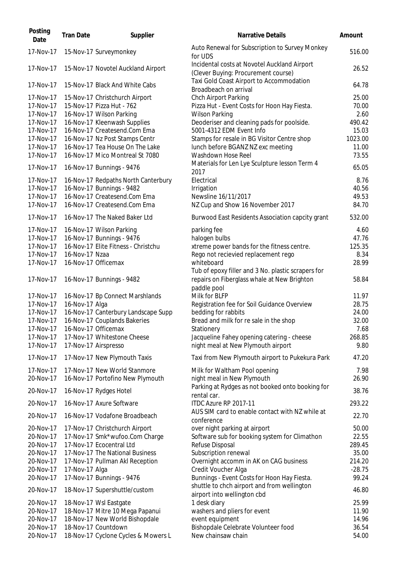| Auto Renewal for Subscription to Survey Monkey<br>17-Nov-17<br>15-Nov-17 Surveymonkey<br>for UDS<br>Incidental costs at Novotel Auckland Airport<br>17-Nov-17<br>15-Nov-17 Novotel Auckland Airport<br>(Clever Buying: Procurement course)<br>Taxi Gold Coast Airport to Accommodation<br>17-Nov-17<br>15-Nov-17 Black And White Cabs<br>Broadbeach on arrival<br>Chch Airport Parking<br>17-Nov-17<br>15-Nov-17 Christchurch Airport<br>17-Nov-17<br>15-Nov-17 Pizza Hut - 762<br>Pizza Hut - Event Costs for Hoon Hay Fiesta.<br>16-Nov-17 Wilson Parking<br>2.60<br>17-Nov-17<br><b>Wilson Parking</b><br>16-Nov-17 Kleenwash Supplies<br>Deoderiser and cleaning pads for poolside.<br>490.42<br>17-Nov-17<br>16-Nov-17 Createsend.Com Ema<br>5001-4312 EDM Event Info<br>17-Nov-17<br>15.03<br>16-Nov-17 Nz Post Stamps Centr<br>17-Nov-17<br>Stamps for resale in BG Visitor Centre shop<br>1023.00<br>16-Nov-17 Tea House On The Lake<br>17-Nov-17<br>lunch before BGANZ NZ exc meeting<br>11.00<br>17-Nov-17<br>Washdown Hose Reel<br>73.55<br>16-Nov-17 Mico Montreal St 7080<br>Materials for Len Lye Sculpture lesson Term 4<br>17-Nov-17<br>16-Nov-17 Bunnings - 9476<br>2017<br>17-Nov-17<br>Electrical<br>8.76<br>16-Nov-17 Redpaths North Canterbury<br>16-Nov-17 Bunnings - 9482<br>17-Nov-17<br>Irrigation<br>40.56<br>16-Nov-17 Createsend.Com Ema<br>Newsline 16/11/2017<br>17-Nov-17<br>49.53<br>17-Nov-17<br>16-Nov-17 Createsend.Com Ema<br>NZ Cup and Show 16 November 2017<br>84.70<br>17-Nov-17<br>16-Nov-17 The Naked Baker Ltd<br>Burwood East Residents Association capcity grant<br>532.00<br>17-Nov-17<br>16-Nov-17 Wilson Parking<br>parking fee<br>4.60<br>16-Nov-17 Bunnings - 9476<br>halogen bulbs<br>17-Nov-17<br>47.76<br>16-Nov-17 Elite Fitness - Christchu<br>17-Nov-17<br>xtreme power bands for the fitness centre.<br>16-Nov-17 Nzaa<br>17-Nov-17<br>Rego not recievied replacement rego<br>17-Nov-17<br>16-Nov-17 Officemax<br>whiteboard<br>Tub of epoxy filler and 3 No. plastic scrapers for<br>repairs on Fiberglass whale at New Brighton<br>17-Nov-17<br>16-Nov-17 Bunnings - 9482<br>paddle pool<br>17-Nov-17<br>16-Nov-17 Bp Connect Marshlands<br>Milk for BLFP<br>16-Nov-17 Alga<br>17-Nov-17<br>Registration fee for Soil Guidance Overview<br>16-Nov-17 Canterbury Landscape Supp<br>bedding for rabbits<br>17-Nov-17<br>17-Nov-17<br>16-Nov-17 Couplands Bakeries<br>Bread and milk for re sale in the shop<br>17-Nov-17<br>16-Nov-17 Officemax<br>Stationery<br>17-Nov-17<br>17-Nov-17 Whitestone Cheese<br>Jacqueline Fahey opening catering - cheese<br>268.85<br>17-Nov-17<br>night meal at New Plymouth airport<br>9.80<br>17-Nov-17 Airspresso<br>17-Nov-17<br>47.20<br>17-Nov-17 New Plymouth Taxis<br>Taxi from New Plymouth airport to Pukekura Park<br>17-Nov-17<br>17-Nov-17 New World Stanmore<br>Milk for Waltham Pool opening<br>7.98<br>20-Nov-17<br>16-Nov-17 Portofino New Plymouth<br>night meal in New Plymouth<br>26.90<br>Parking at Rydges as not booked onto booking for<br>20-Nov-17<br>38.76<br>16-Nov-17 Rydges Hotel<br>rental car.<br>ITDC Azure RP 2017-11<br>20-Nov-17<br>16-Nov-17 Axure Software<br>AUS SIM card to enable contact with NZ while at<br>20-Nov-17<br>16-Nov-17 Vodafone Broadbeach<br>conference<br>over night parking at airport<br>20-Nov-17<br>17-Nov-17 Christchurch Airport<br>50.00<br>20-Nov-17<br>17-Nov-17 Smk*wufoo.Com Charge<br>Software sub for booking system for Climathon<br>17-Nov-17 Ecocentral Ltd<br>Refuse Disposal<br>20-Nov-17<br>20-Nov-17<br>17-Nov-17 The National Business<br>Subscription renewal<br>20-Nov-17<br>Overnight accomm in AK on CAG business<br>17-Nov-17 Pullman Akl Reception<br>Credit Voucher Alga<br>20-Nov-17<br>17-Nov-17 Alga<br>20-Nov-17<br>17-Nov-17 Bunnings - 9476<br>Bunnings - Event Costs for Hoon Hay Fiesta.<br>shuttle to chch airport and from wellington<br>20-Nov-17<br>18-Nov-17 Supershuttle/custom<br>46.80<br>airport into wellington cbd<br>1 desk diary<br>25.99<br>20-Nov-17<br>18-Nov-17 Wsl Eastgate<br>18-Nov-17 Mitre 10 Mega Papanui<br>washers and pliers for event<br>11.90<br>20-Nov-17<br>20-Nov-17<br>18-Nov-17 New World Bishopdale<br>event equipment<br>14.96<br>Bishopdale Celebrate Volunteer food<br>20-Nov-17<br>18-Nov-17 Countdown<br>36.54<br>20-Nov-17<br>18-Nov-17 Cyclone Cycles & Mowers L<br>New chainsaw chain | Posting<br>Date | <b>Tran Date</b> | Supplier | Narrative Details | Amount   |
|-----------------------------------------------------------------------------------------------------------------------------------------------------------------------------------------------------------------------------------------------------------------------------------------------------------------------------------------------------------------------------------------------------------------------------------------------------------------------------------------------------------------------------------------------------------------------------------------------------------------------------------------------------------------------------------------------------------------------------------------------------------------------------------------------------------------------------------------------------------------------------------------------------------------------------------------------------------------------------------------------------------------------------------------------------------------------------------------------------------------------------------------------------------------------------------------------------------------------------------------------------------------------------------------------------------------------------------------------------------------------------------------------------------------------------------------------------------------------------------------------------------------------------------------------------------------------------------------------------------------------------------------------------------------------------------------------------------------------------------------------------------------------------------------------------------------------------------------------------------------------------------------------------------------------------------------------------------------------------------------------------------------------------------------------------------------------------------------------------------------------------------------------------------------------------------------------------------------------------------------------------------------------------------------------------------------------------------------------------------------------------------------------------------------------------------------------------------------------------------------------------------------------------------------------------------------------------------------------------------------------------------------------------------------------------------------------------------------------------------------------------------------------------------------------------------------------------------------------------------------------------------------------------------------------------------------------------------------------------------------------------------------------------------------------------------------------------------------------------------------------------------------------------------------------------------------------------------------------------------------------------------------------------------------------------------------------------------------------------------------------------------------------------------------------------------------------------------------------------------------------------------------------------------------------------------------------------------------------------------------------------------------------------------------------------------------------------------------------------------------------------------------------------------------------------------------------------------------------------------------------------------------------------------------------------------------------------------------------------------------------------------------------------------------------------------------------------------------------------------------------------------------------------------------------------------------------------------------------------------------------------------------------------------------------------------------------------------------------------------------------------------------------------------------------|-----------------|------------------|----------|-------------------|----------|
|                                                                                                                                                                                                                                                                                                                                                                                                                                                                                                                                                                                                                                                                                                                                                                                                                                                                                                                                                                                                                                                                                                                                                                                                                                                                                                                                                                                                                                                                                                                                                                                                                                                                                                                                                                                                                                                                                                                                                                                                                                                                                                                                                                                                                                                                                                                                                                                                                                                                                                                                                                                                                                                                                                                                                                                                                                                                                                                                                                                                                                                                                                                                                                                                                                                                                                                                                                                                                                                                                                                                                                                                                                                                                                                                                                                                                                                                                                                                                                                                                                                                                                                                                                                                                                                                                                                                                                                                                       |                 |                  |          |                   | 516.00   |
|                                                                                                                                                                                                                                                                                                                                                                                                                                                                                                                                                                                                                                                                                                                                                                                                                                                                                                                                                                                                                                                                                                                                                                                                                                                                                                                                                                                                                                                                                                                                                                                                                                                                                                                                                                                                                                                                                                                                                                                                                                                                                                                                                                                                                                                                                                                                                                                                                                                                                                                                                                                                                                                                                                                                                                                                                                                                                                                                                                                                                                                                                                                                                                                                                                                                                                                                                                                                                                                                                                                                                                                                                                                                                                                                                                                                                                                                                                                                                                                                                                                                                                                                                                                                                                                                                                                                                                                                                       |                 |                  |          |                   | 26.52    |
|                                                                                                                                                                                                                                                                                                                                                                                                                                                                                                                                                                                                                                                                                                                                                                                                                                                                                                                                                                                                                                                                                                                                                                                                                                                                                                                                                                                                                                                                                                                                                                                                                                                                                                                                                                                                                                                                                                                                                                                                                                                                                                                                                                                                                                                                                                                                                                                                                                                                                                                                                                                                                                                                                                                                                                                                                                                                                                                                                                                                                                                                                                                                                                                                                                                                                                                                                                                                                                                                                                                                                                                                                                                                                                                                                                                                                                                                                                                                                                                                                                                                                                                                                                                                                                                                                                                                                                                                                       |                 |                  |          |                   | 64.78    |
|                                                                                                                                                                                                                                                                                                                                                                                                                                                                                                                                                                                                                                                                                                                                                                                                                                                                                                                                                                                                                                                                                                                                                                                                                                                                                                                                                                                                                                                                                                                                                                                                                                                                                                                                                                                                                                                                                                                                                                                                                                                                                                                                                                                                                                                                                                                                                                                                                                                                                                                                                                                                                                                                                                                                                                                                                                                                                                                                                                                                                                                                                                                                                                                                                                                                                                                                                                                                                                                                                                                                                                                                                                                                                                                                                                                                                                                                                                                                                                                                                                                                                                                                                                                                                                                                                                                                                                                                                       |                 |                  |          |                   | 25.00    |
|                                                                                                                                                                                                                                                                                                                                                                                                                                                                                                                                                                                                                                                                                                                                                                                                                                                                                                                                                                                                                                                                                                                                                                                                                                                                                                                                                                                                                                                                                                                                                                                                                                                                                                                                                                                                                                                                                                                                                                                                                                                                                                                                                                                                                                                                                                                                                                                                                                                                                                                                                                                                                                                                                                                                                                                                                                                                                                                                                                                                                                                                                                                                                                                                                                                                                                                                                                                                                                                                                                                                                                                                                                                                                                                                                                                                                                                                                                                                                                                                                                                                                                                                                                                                                                                                                                                                                                                                                       |                 |                  |          |                   | 70.00    |
|                                                                                                                                                                                                                                                                                                                                                                                                                                                                                                                                                                                                                                                                                                                                                                                                                                                                                                                                                                                                                                                                                                                                                                                                                                                                                                                                                                                                                                                                                                                                                                                                                                                                                                                                                                                                                                                                                                                                                                                                                                                                                                                                                                                                                                                                                                                                                                                                                                                                                                                                                                                                                                                                                                                                                                                                                                                                                                                                                                                                                                                                                                                                                                                                                                                                                                                                                                                                                                                                                                                                                                                                                                                                                                                                                                                                                                                                                                                                                                                                                                                                                                                                                                                                                                                                                                                                                                                                                       |                 |                  |          |                   |          |
|                                                                                                                                                                                                                                                                                                                                                                                                                                                                                                                                                                                                                                                                                                                                                                                                                                                                                                                                                                                                                                                                                                                                                                                                                                                                                                                                                                                                                                                                                                                                                                                                                                                                                                                                                                                                                                                                                                                                                                                                                                                                                                                                                                                                                                                                                                                                                                                                                                                                                                                                                                                                                                                                                                                                                                                                                                                                                                                                                                                                                                                                                                                                                                                                                                                                                                                                                                                                                                                                                                                                                                                                                                                                                                                                                                                                                                                                                                                                                                                                                                                                                                                                                                                                                                                                                                                                                                                                                       |                 |                  |          |                   |          |
|                                                                                                                                                                                                                                                                                                                                                                                                                                                                                                                                                                                                                                                                                                                                                                                                                                                                                                                                                                                                                                                                                                                                                                                                                                                                                                                                                                                                                                                                                                                                                                                                                                                                                                                                                                                                                                                                                                                                                                                                                                                                                                                                                                                                                                                                                                                                                                                                                                                                                                                                                                                                                                                                                                                                                                                                                                                                                                                                                                                                                                                                                                                                                                                                                                                                                                                                                                                                                                                                                                                                                                                                                                                                                                                                                                                                                                                                                                                                                                                                                                                                                                                                                                                                                                                                                                                                                                                                                       |                 |                  |          |                   |          |
|                                                                                                                                                                                                                                                                                                                                                                                                                                                                                                                                                                                                                                                                                                                                                                                                                                                                                                                                                                                                                                                                                                                                                                                                                                                                                                                                                                                                                                                                                                                                                                                                                                                                                                                                                                                                                                                                                                                                                                                                                                                                                                                                                                                                                                                                                                                                                                                                                                                                                                                                                                                                                                                                                                                                                                                                                                                                                                                                                                                                                                                                                                                                                                                                                                                                                                                                                                                                                                                                                                                                                                                                                                                                                                                                                                                                                                                                                                                                                                                                                                                                                                                                                                                                                                                                                                                                                                                                                       |                 |                  |          |                   |          |
|                                                                                                                                                                                                                                                                                                                                                                                                                                                                                                                                                                                                                                                                                                                                                                                                                                                                                                                                                                                                                                                                                                                                                                                                                                                                                                                                                                                                                                                                                                                                                                                                                                                                                                                                                                                                                                                                                                                                                                                                                                                                                                                                                                                                                                                                                                                                                                                                                                                                                                                                                                                                                                                                                                                                                                                                                                                                                                                                                                                                                                                                                                                                                                                                                                                                                                                                                                                                                                                                                                                                                                                                                                                                                                                                                                                                                                                                                                                                                                                                                                                                                                                                                                                                                                                                                                                                                                                                                       |                 |                  |          |                   |          |
|                                                                                                                                                                                                                                                                                                                                                                                                                                                                                                                                                                                                                                                                                                                                                                                                                                                                                                                                                                                                                                                                                                                                                                                                                                                                                                                                                                                                                                                                                                                                                                                                                                                                                                                                                                                                                                                                                                                                                                                                                                                                                                                                                                                                                                                                                                                                                                                                                                                                                                                                                                                                                                                                                                                                                                                                                                                                                                                                                                                                                                                                                                                                                                                                                                                                                                                                                                                                                                                                                                                                                                                                                                                                                                                                                                                                                                                                                                                                                                                                                                                                                                                                                                                                                                                                                                                                                                                                                       |                 |                  |          |                   |          |
|                                                                                                                                                                                                                                                                                                                                                                                                                                                                                                                                                                                                                                                                                                                                                                                                                                                                                                                                                                                                                                                                                                                                                                                                                                                                                                                                                                                                                                                                                                                                                                                                                                                                                                                                                                                                                                                                                                                                                                                                                                                                                                                                                                                                                                                                                                                                                                                                                                                                                                                                                                                                                                                                                                                                                                                                                                                                                                                                                                                                                                                                                                                                                                                                                                                                                                                                                                                                                                                                                                                                                                                                                                                                                                                                                                                                                                                                                                                                                                                                                                                                                                                                                                                                                                                                                                                                                                                                                       |                 |                  |          |                   | 65.05    |
|                                                                                                                                                                                                                                                                                                                                                                                                                                                                                                                                                                                                                                                                                                                                                                                                                                                                                                                                                                                                                                                                                                                                                                                                                                                                                                                                                                                                                                                                                                                                                                                                                                                                                                                                                                                                                                                                                                                                                                                                                                                                                                                                                                                                                                                                                                                                                                                                                                                                                                                                                                                                                                                                                                                                                                                                                                                                                                                                                                                                                                                                                                                                                                                                                                                                                                                                                                                                                                                                                                                                                                                                                                                                                                                                                                                                                                                                                                                                                                                                                                                                                                                                                                                                                                                                                                                                                                                                                       |                 |                  |          |                   |          |
|                                                                                                                                                                                                                                                                                                                                                                                                                                                                                                                                                                                                                                                                                                                                                                                                                                                                                                                                                                                                                                                                                                                                                                                                                                                                                                                                                                                                                                                                                                                                                                                                                                                                                                                                                                                                                                                                                                                                                                                                                                                                                                                                                                                                                                                                                                                                                                                                                                                                                                                                                                                                                                                                                                                                                                                                                                                                                                                                                                                                                                                                                                                                                                                                                                                                                                                                                                                                                                                                                                                                                                                                                                                                                                                                                                                                                                                                                                                                                                                                                                                                                                                                                                                                                                                                                                                                                                                                                       |                 |                  |          |                   |          |
|                                                                                                                                                                                                                                                                                                                                                                                                                                                                                                                                                                                                                                                                                                                                                                                                                                                                                                                                                                                                                                                                                                                                                                                                                                                                                                                                                                                                                                                                                                                                                                                                                                                                                                                                                                                                                                                                                                                                                                                                                                                                                                                                                                                                                                                                                                                                                                                                                                                                                                                                                                                                                                                                                                                                                                                                                                                                                                                                                                                                                                                                                                                                                                                                                                                                                                                                                                                                                                                                                                                                                                                                                                                                                                                                                                                                                                                                                                                                                                                                                                                                                                                                                                                                                                                                                                                                                                                                                       |                 |                  |          |                   |          |
|                                                                                                                                                                                                                                                                                                                                                                                                                                                                                                                                                                                                                                                                                                                                                                                                                                                                                                                                                                                                                                                                                                                                                                                                                                                                                                                                                                                                                                                                                                                                                                                                                                                                                                                                                                                                                                                                                                                                                                                                                                                                                                                                                                                                                                                                                                                                                                                                                                                                                                                                                                                                                                                                                                                                                                                                                                                                                                                                                                                                                                                                                                                                                                                                                                                                                                                                                                                                                                                                                                                                                                                                                                                                                                                                                                                                                                                                                                                                                                                                                                                                                                                                                                                                                                                                                                                                                                                                                       |                 |                  |          |                   |          |
|                                                                                                                                                                                                                                                                                                                                                                                                                                                                                                                                                                                                                                                                                                                                                                                                                                                                                                                                                                                                                                                                                                                                                                                                                                                                                                                                                                                                                                                                                                                                                                                                                                                                                                                                                                                                                                                                                                                                                                                                                                                                                                                                                                                                                                                                                                                                                                                                                                                                                                                                                                                                                                                                                                                                                                                                                                                                                                                                                                                                                                                                                                                                                                                                                                                                                                                                                                                                                                                                                                                                                                                                                                                                                                                                                                                                                                                                                                                                                                                                                                                                                                                                                                                                                                                                                                                                                                                                                       |                 |                  |          |                   |          |
|                                                                                                                                                                                                                                                                                                                                                                                                                                                                                                                                                                                                                                                                                                                                                                                                                                                                                                                                                                                                                                                                                                                                                                                                                                                                                                                                                                                                                                                                                                                                                                                                                                                                                                                                                                                                                                                                                                                                                                                                                                                                                                                                                                                                                                                                                                                                                                                                                                                                                                                                                                                                                                                                                                                                                                                                                                                                                                                                                                                                                                                                                                                                                                                                                                                                                                                                                                                                                                                                                                                                                                                                                                                                                                                                                                                                                                                                                                                                                                                                                                                                                                                                                                                                                                                                                                                                                                                                                       |                 |                  |          |                   |          |
|                                                                                                                                                                                                                                                                                                                                                                                                                                                                                                                                                                                                                                                                                                                                                                                                                                                                                                                                                                                                                                                                                                                                                                                                                                                                                                                                                                                                                                                                                                                                                                                                                                                                                                                                                                                                                                                                                                                                                                                                                                                                                                                                                                                                                                                                                                                                                                                                                                                                                                                                                                                                                                                                                                                                                                                                                                                                                                                                                                                                                                                                                                                                                                                                                                                                                                                                                                                                                                                                                                                                                                                                                                                                                                                                                                                                                                                                                                                                                                                                                                                                                                                                                                                                                                                                                                                                                                                                                       |                 |                  |          |                   | 125.35   |
|                                                                                                                                                                                                                                                                                                                                                                                                                                                                                                                                                                                                                                                                                                                                                                                                                                                                                                                                                                                                                                                                                                                                                                                                                                                                                                                                                                                                                                                                                                                                                                                                                                                                                                                                                                                                                                                                                                                                                                                                                                                                                                                                                                                                                                                                                                                                                                                                                                                                                                                                                                                                                                                                                                                                                                                                                                                                                                                                                                                                                                                                                                                                                                                                                                                                                                                                                                                                                                                                                                                                                                                                                                                                                                                                                                                                                                                                                                                                                                                                                                                                                                                                                                                                                                                                                                                                                                                                                       |                 |                  |          |                   | 8.34     |
|                                                                                                                                                                                                                                                                                                                                                                                                                                                                                                                                                                                                                                                                                                                                                                                                                                                                                                                                                                                                                                                                                                                                                                                                                                                                                                                                                                                                                                                                                                                                                                                                                                                                                                                                                                                                                                                                                                                                                                                                                                                                                                                                                                                                                                                                                                                                                                                                                                                                                                                                                                                                                                                                                                                                                                                                                                                                                                                                                                                                                                                                                                                                                                                                                                                                                                                                                                                                                                                                                                                                                                                                                                                                                                                                                                                                                                                                                                                                                                                                                                                                                                                                                                                                                                                                                                                                                                                                                       |                 |                  |          |                   | 28.99    |
|                                                                                                                                                                                                                                                                                                                                                                                                                                                                                                                                                                                                                                                                                                                                                                                                                                                                                                                                                                                                                                                                                                                                                                                                                                                                                                                                                                                                                                                                                                                                                                                                                                                                                                                                                                                                                                                                                                                                                                                                                                                                                                                                                                                                                                                                                                                                                                                                                                                                                                                                                                                                                                                                                                                                                                                                                                                                                                                                                                                                                                                                                                                                                                                                                                                                                                                                                                                                                                                                                                                                                                                                                                                                                                                                                                                                                                                                                                                                                                                                                                                                                                                                                                                                                                                                                                                                                                                                                       |                 |                  |          |                   | 58.84    |
|                                                                                                                                                                                                                                                                                                                                                                                                                                                                                                                                                                                                                                                                                                                                                                                                                                                                                                                                                                                                                                                                                                                                                                                                                                                                                                                                                                                                                                                                                                                                                                                                                                                                                                                                                                                                                                                                                                                                                                                                                                                                                                                                                                                                                                                                                                                                                                                                                                                                                                                                                                                                                                                                                                                                                                                                                                                                                                                                                                                                                                                                                                                                                                                                                                                                                                                                                                                                                                                                                                                                                                                                                                                                                                                                                                                                                                                                                                                                                                                                                                                                                                                                                                                                                                                                                                                                                                                                                       |                 |                  |          |                   | 11.97    |
|                                                                                                                                                                                                                                                                                                                                                                                                                                                                                                                                                                                                                                                                                                                                                                                                                                                                                                                                                                                                                                                                                                                                                                                                                                                                                                                                                                                                                                                                                                                                                                                                                                                                                                                                                                                                                                                                                                                                                                                                                                                                                                                                                                                                                                                                                                                                                                                                                                                                                                                                                                                                                                                                                                                                                                                                                                                                                                                                                                                                                                                                                                                                                                                                                                                                                                                                                                                                                                                                                                                                                                                                                                                                                                                                                                                                                                                                                                                                                                                                                                                                                                                                                                                                                                                                                                                                                                                                                       |                 |                  |          |                   | 28.75    |
|                                                                                                                                                                                                                                                                                                                                                                                                                                                                                                                                                                                                                                                                                                                                                                                                                                                                                                                                                                                                                                                                                                                                                                                                                                                                                                                                                                                                                                                                                                                                                                                                                                                                                                                                                                                                                                                                                                                                                                                                                                                                                                                                                                                                                                                                                                                                                                                                                                                                                                                                                                                                                                                                                                                                                                                                                                                                                                                                                                                                                                                                                                                                                                                                                                                                                                                                                                                                                                                                                                                                                                                                                                                                                                                                                                                                                                                                                                                                                                                                                                                                                                                                                                                                                                                                                                                                                                                                                       |                 |                  |          |                   | 24.00    |
|                                                                                                                                                                                                                                                                                                                                                                                                                                                                                                                                                                                                                                                                                                                                                                                                                                                                                                                                                                                                                                                                                                                                                                                                                                                                                                                                                                                                                                                                                                                                                                                                                                                                                                                                                                                                                                                                                                                                                                                                                                                                                                                                                                                                                                                                                                                                                                                                                                                                                                                                                                                                                                                                                                                                                                                                                                                                                                                                                                                                                                                                                                                                                                                                                                                                                                                                                                                                                                                                                                                                                                                                                                                                                                                                                                                                                                                                                                                                                                                                                                                                                                                                                                                                                                                                                                                                                                                                                       |                 |                  |          |                   | 32.00    |
|                                                                                                                                                                                                                                                                                                                                                                                                                                                                                                                                                                                                                                                                                                                                                                                                                                                                                                                                                                                                                                                                                                                                                                                                                                                                                                                                                                                                                                                                                                                                                                                                                                                                                                                                                                                                                                                                                                                                                                                                                                                                                                                                                                                                                                                                                                                                                                                                                                                                                                                                                                                                                                                                                                                                                                                                                                                                                                                                                                                                                                                                                                                                                                                                                                                                                                                                                                                                                                                                                                                                                                                                                                                                                                                                                                                                                                                                                                                                                                                                                                                                                                                                                                                                                                                                                                                                                                                                                       |                 |                  |          |                   | 7.68     |
|                                                                                                                                                                                                                                                                                                                                                                                                                                                                                                                                                                                                                                                                                                                                                                                                                                                                                                                                                                                                                                                                                                                                                                                                                                                                                                                                                                                                                                                                                                                                                                                                                                                                                                                                                                                                                                                                                                                                                                                                                                                                                                                                                                                                                                                                                                                                                                                                                                                                                                                                                                                                                                                                                                                                                                                                                                                                                                                                                                                                                                                                                                                                                                                                                                                                                                                                                                                                                                                                                                                                                                                                                                                                                                                                                                                                                                                                                                                                                                                                                                                                                                                                                                                                                                                                                                                                                                                                                       |                 |                  |          |                   |          |
|                                                                                                                                                                                                                                                                                                                                                                                                                                                                                                                                                                                                                                                                                                                                                                                                                                                                                                                                                                                                                                                                                                                                                                                                                                                                                                                                                                                                                                                                                                                                                                                                                                                                                                                                                                                                                                                                                                                                                                                                                                                                                                                                                                                                                                                                                                                                                                                                                                                                                                                                                                                                                                                                                                                                                                                                                                                                                                                                                                                                                                                                                                                                                                                                                                                                                                                                                                                                                                                                                                                                                                                                                                                                                                                                                                                                                                                                                                                                                                                                                                                                                                                                                                                                                                                                                                                                                                                                                       |                 |                  |          |                   |          |
|                                                                                                                                                                                                                                                                                                                                                                                                                                                                                                                                                                                                                                                                                                                                                                                                                                                                                                                                                                                                                                                                                                                                                                                                                                                                                                                                                                                                                                                                                                                                                                                                                                                                                                                                                                                                                                                                                                                                                                                                                                                                                                                                                                                                                                                                                                                                                                                                                                                                                                                                                                                                                                                                                                                                                                                                                                                                                                                                                                                                                                                                                                                                                                                                                                                                                                                                                                                                                                                                                                                                                                                                                                                                                                                                                                                                                                                                                                                                                                                                                                                                                                                                                                                                                                                                                                                                                                                                                       |                 |                  |          |                   |          |
|                                                                                                                                                                                                                                                                                                                                                                                                                                                                                                                                                                                                                                                                                                                                                                                                                                                                                                                                                                                                                                                                                                                                                                                                                                                                                                                                                                                                                                                                                                                                                                                                                                                                                                                                                                                                                                                                                                                                                                                                                                                                                                                                                                                                                                                                                                                                                                                                                                                                                                                                                                                                                                                                                                                                                                                                                                                                                                                                                                                                                                                                                                                                                                                                                                                                                                                                                                                                                                                                                                                                                                                                                                                                                                                                                                                                                                                                                                                                                                                                                                                                                                                                                                                                                                                                                                                                                                                                                       |                 |                  |          |                   |          |
|                                                                                                                                                                                                                                                                                                                                                                                                                                                                                                                                                                                                                                                                                                                                                                                                                                                                                                                                                                                                                                                                                                                                                                                                                                                                                                                                                                                                                                                                                                                                                                                                                                                                                                                                                                                                                                                                                                                                                                                                                                                                                                                                                                                                                                                                                                                                                                                                                                                                                                                                                                                                                                                                                                                                                                                                                                                                                                                                                                                                                                                                                                                                                                                                                                                                                                                                                                                                                                                                                                                                                                                                                                                                                                                                                                                                                                                                                                                                                                                                                                                                                                                                                                                                                                                                                                                                                                                                                       |                 |                  |          |                   |          |
|                                                                                                                                                                                                                                                                                                                                                                                                                                                                                                                                                                                                                                                                                                                                                                                                                                                                                                                                                                                                                                                                                                                                                                                                                                                                                                                                                                                                                                                                                                                                                                                                                                                                                                                                                                                                                                                                                                                                                                                                                                                                                                                                                                                                                                                                                                                                                                                                                                                                                                                                                                                                                                                                                                                                                                                                                                                                                                                                                                                                                                                                                                                                                                                                                                                                                                                                                                                                                                                                                                                                                                                                                                                                                                                                                                                                                                                                                                                                                                                                                                                                                                                                                                                                                                                                                                                                                                                                                       |                 |                  |          |                   | 293.22   |
|                                                                                                                                                                                                                                                                                                                                                                                                                                                                                                                                                                                                                                                                                                                                                                                                                                                                                                                                                                                                                                                                                                                                                                                                                                                                                                                                                                                                                                                                                                                                                                                                                                                                                                                                                                                                                                                                                                                                                                                                                                                                                                                                                                                                                                                                                                                                                                                                                                                                                                                                                                                                                                                                                                                                                                                                                                                                                                                                                                                                                                                                                                                                                                                                                                                                                                                                                                                                                                                                                                                                                                                                                                                                                                                                                                                                                                                                                                                                                                                                                                                                                                                                                                                                                                                                                                                                                                                                                       |                 |                  |          |                   | 22.70    |
|                                                                                                                                                                                                                                                                                                                                                                                                                                                                                                                                                                                                                                                                                                                                                                                                                                                                                                                                                                                                                                                                                                                                                                                                                                                                                                                                                                                                                                                                                                                                                                                                                                                                                                                                                                                                                                                                                                                                                                                                                                                                                                                                                                                                                                                                                                                                                                                                                                                                                                                                                                                                                                                                                                                                                                                                                                                                                                                                                                                                                                                                                                                                                                                                                                                                                                                                                                                                                                                                                                                                                                                                                                                                                                                                                                                                                                                                                                                                                                                                                                                                                                                                                                                                                                                                                                                                                                                                                       |                 |                  |          |                   |          |
|                                                                                                                                                                                                                                                                                                                                                                                                                                                                                                                                                                                                                                                                                                                                                                                                                                                                                                                                                                                                                                                                                                                                                                                                                                                                                                                                                                                                                                                                                                                                                                                                                                                                                                                                                                                                                                                                                                                                                                                                                                                                                                                                                                                                                                                                                                                                                                                                                                                                                                                                                                                                                                                                                                                                                                                                                                                                                                                                                                                                                                                                                                                                                                                                                                                                                                                                                                                                                                                                                                                                                                                                                                                                                                                                                                                                                                                                                                                                                                                                                                                                                                                                                                                                                                                                                                                                                                                                                       |                 |                  |          |                   | 22.55    |
|                                                                                                                                                                                                                                                                                                                                                                                                                                                                                                                                                                                                                                                                                                                                                                                                                                                                                                                                                                                                                                                                                                                                                                                                                                                                                                                                                                                                                                                                                                                                                                                                                                                                                                                                                                                                                                                                                                                                                                                                                                                                                                                                                                                                                                                                                                                                                                                                                                                                                                                                                                                                                                                                                                                                                                                                                                                                                                                                                                                                                                                                                                                                                                                                                                                                                                                                                                                                                                                                                                                                                                                                                                                                                                                                                                                                                                                                                                                                                                                                                                                                                                                                                                                                                                                                                                                                                                                                                       |                 |                  |          |                   | 289.45   |
|                                                                                                                                                                                                                                                                                                                                                                                                                                                                                                                                                                                                                                                                                                                                                                                                                                                                                                                                                                                                                                                                                                                                                                                                                                                                                                                                                                                                                                                                                                                                                                                                                                                                                                                                                                                                                                                                                                                                                                                                                                                                                                                                                                                                                                                                                                                                                                                                                                                                                                                                                                                                                                                                                                                                                                                                                                                                                                                                                                                                                                                                                                                                                                                                                                                                                                                                                                                                                                                                                                                                                                                                                                                                                                                                                                                                                                                                                                                                                                                                                                                                                                                                                                                                                                                                                                                                                                                                                       |                 |                  |          |                   | 35.00    |
|                                                                                                                                                                                                                                                                                                                                                                                                                                                                                                                                                                                                                                                                                                                                                                                                                                                                                                                                                                                                                                                                                                                                                                                                                                                                                                                                                                                                                                                                                                                                                                                                                                                                                                                                                                                                                                                                                                                                                                                                                                                                                                                                                                                                                                                                                                                                                                                                                                                                                                                                                                                                                                                                                                                                                                                                                                                                                                                                                                                                                                                                                                                                                                                                                                                                                                                                                                                                                                                                                                                                                                                                                                                                                                                                                                                                                                                                                                                                                                                                                                                                                                                                                                                                                                                                                                                                                                                                                       |                 |                  |          |                   | 214.20   |
|                                                                                                                                                                                                                                                                                                                                                                                                                                                                                                                                                                                                                                                                                                                                                                                                                                                                                                                                                                                                                                                                                                                                                                                                                                                                                                                                                                                                                                                                                                                                                                                                                                                                                                                                                                                                                                                                                                                                                                                                                                                                                                                                                                                                                                                                                                                                                                                                                                                                                                                                                                                                                                                                                                                                                                                                                                                                                                                                                                                                                                                                                                                                                                                                                                                                                                                                                                                                                                                                                                                                                                                                                                                                                                                                                                                                                                                                                                                                                                                                                                                                                                                                                                                                                                                                                                                                                                                                                       |                 |                  |          |                   | $-28.75$ |
|                                                                                                                                                                                                                                                                                                                                                                                                                                                                                                                                                                                                                                                                                                                                                                                                                                                                                                                                                                                                                                                                                                                                                                                                                                                                                                                                                                                                                                                                                                                                                                                                                                                                                                                                                                                                                                                                                                                                                                                                                                                                                                                                                                                                                                                                                                                                                                                                                                                                                                                                                                                                                                                                                                                                                                                                                                                                                                                                                                                                                                                                                                                                                                                                                                                                                                                                                                                                                                                                                                                                                                                                                                                                                                                                                                                                                                                                                                                                                                                                                                                                                                                                                                                                                                                                                                                                                                                                                       |                 |                  |          |                   | 99.24    |
|                                                                                                                                                                                                                                                                                                                                                                                                                                                                                                                                                                                                                                                                                                                                                                                                                                                                                                                                                                                                                                                                                                                                                                                                                                                                                                                                                                                                                                                                                                                                                                                                                                                                                                                                                                                                                                                                                                                                                                                                                                                                                                                                                                                                                                                                                                                                                                                                                                                                                                                                                                                                                                                                                                                                                                                                                                                                                                                                                                                                                                                                                                                                                                                                                                                                                                                                                                                                                                                                                                                                                                                                                                                                                                                                                                                                                                                                                                                                                                                                                                                                                                                                                                                                                                                                                                                                                                                                                       |                 |                  |          |                   |          |
|                                                                                                                                                                                                                                                                                                                                                                                                                                                                                                                                                                                                                                                                                                                                                                                                                                                                                                                                                                                                                                                                                                                                                                                                                                                                                                                                                                                                                                                                                                                                                                                                                                                                                                                                                                                                                                                                                                                                                                                                                                                                                                                                                                                                                                                                                                                                                                                                                                                                                                                                                                                                                                                                                                                                                                                                                                                                                                                                                                                                                                                                                                                                                                                                                                                                                                                                                                                                                                                                                                                                                                                                                                                                                                                                                                                                                                                                                                                                                                                                                                                                                                                                                                                                                                                                                                                                                                                                                       |                 |                  |          |                   |          |
|                                                                                                                                                                                                                                                                                                                                                                                                                                                                                                                                                                                                                                                                                                                                                                                                                                                                                                                                                                                                                                                                                                                                                                                                                                                                                                                                                                                                                                                                                                                                                                                                                                                                                                                                                                                                                                                                                                                                                                                                                                                                                                                                                                                                                                                                                                                                                                                                                                                                                                                                                                                                                                                                                                                                                                                                                                                                                                                                                                                                                                                                                                                                                                                                                                                                                                                                                                                                                                                                                                                                                                                                                                                                                                                                                                                                                                                                                                                                                                                                                                                                                                                                                                                                                                                                                                                                                                                                                       |                 |                  |          |                   |          |
|                                                                                                                                                                                                                                                                                                                                                                                                                                                                                                                                                                                                                                                                                                                                                                                                                                                                                                                                                                                                                                                                                                                                                                                                                                                                                                                                                                                                                                                                                                                                                                                                                                                                                                                                                                                                                                                                                                                                                                                                                                                                                                                                                                                                                                                                                                                                                                                                                                                                                                                                                                                                                                                                                                                                                                                                                                                                                                                                                                                                                                                                                                                                                                                                                                                                                                                                                                                                                                                                                                                                                                                                                                                                                                                                                                                                                                                                                                                                                                                                                                                                                                                                                                                                                                                                                                                                                                                                                       |                 |                  |          |                   |          |
|                                                                                                                                                                                                                                                                                                                                                                                                                                                                                                                                                                                                                                                                                                                                                                                                                                                                                                                                                                                                                                                                                                                                                                                                                                                                                                                                                                                                                                                                                                                                                                                                                                                                                                                                                                                                                                                                                                                                                                                                                                                                                                                                                                                                                                                                                                                                                                                                                                                                                                                                                                                                                                                                                                                                                                                                                                                                                                                                                                                                                                                                                                                                                                                                                                                                                                                                                                                                                                                                                                                                                                                                                                                                                                                                                                                                                                                                                                                                                                                                                                                                                                                                                                                                                                                                                                                                                                                                                       |                 |                  |          |                   | 54.00    |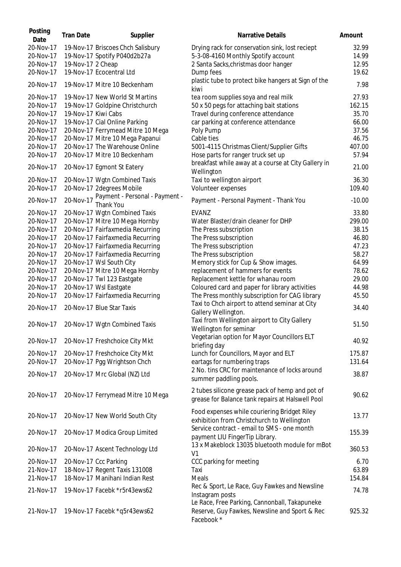| Posting<br>Date        | <b>Tran Date</b>    | Supplier                                                             | <b>Narrative Details</b>                                                                                     | Amount         |
|------------------------|---------------------|----------------------------------------------------------------------|--------------------------------------------------------------------------------------------------------------|----------------|
| 20-Nov-17<br>20-Nov-17 |                     | 19-Nov-17 Briscoes Chch Salisbury<br>19-Nov-17 Spotify P040d2b27a    | Drying rack for conservation sink, lost reciept<br>5-3-08-4160 Monthly Spotify account                       | 32.99<br>14.99 |
| 20-Nov-17              |                     |                                                                      | 2 Santa Sacks, christmas door hanger                                                                         | 12.95          |
| 20-Nov-17              | 19-Nov-17 2 Cheap   | 19-Nov-17 Ecocentral Ltd                                             |                                                                                                              | 19.62          |
| 20-Nov-17              |                     | 19-Nov-17 Mitre 10 Beckenham                                         | Dump fees<br>plastic tube to protect bike hangers at Sign of the                                             | 7.98           |
| 20-Nov-17              |                     | 19-Nov-17 New World St Martins                                       | kiwi                                                                                                         | 27.93          |
| 20-Nov-17              |                     |                                                                      | tea room supplies soya and real milk                                                                         | 162.15         |
| 20-Nov-17              | 19-Nov-17 Kiwi Cabs | 19-Nov-17 Goldpine Christchurch                                      | 50 x 50 pegs for attaching bait stations<br>Travel during conference attendance                              | 35.70          |
| 20-Nov-17              |                     |                                                                      |                                                                                                              |                |
| 20-Nov-17              |                     | 19-Nov-17 Cial Online Parking                                        | car parking at conference attendance                                                                         | 66.00          |
| 20-Nov-17              |                     | 20-Nov-17 Ferrymead Mitre 10 Mega<br>20-Nov-17 Mitre 10 Mega Papanui | Poly Pump<br>Cable ties                                                                                      | 37.56<br>46.75 |
| 20-Nov-17              |                     | 20-Nov-17 The Warehouse Online                                       |                                                                                                              | 407.00         |
| 20-Nov-17              |                     |                                                                      | 5001-4115 Christmas Client/Supplier Gifts                                                                    |                |
|                        |                     | 20-Nov-17 Mitre 10 Beckenham                                         | Hose parts for ranger truck set up<br>breakfast while away at a course at City Gallery in                    | 57.94          |
| 20-Nov-17              |                     | 20-Nov-17 Egmont St Eatery                                           | Wellington                                                                                                   | 21.00          |
| 20-Nov-17              |                     | 20-Nov-17 Wgtn Combined Taxis                                        | Taxi to wellington airport                                                                                   | 36.30          |
| 20-Nov-17              |                     | 20-Nov-17 2degrees Mobile                                            | Volunteer expenses                                                                                           | 109.40         |
| 20-Nov-17              | 20-Nov-17           | Payment - Personal - Payment -<br>Thank You                          | Payment - Personal Payment - Thank You                                                                       | $-10.00$       |
| 20-Nov-17              |                     | 20-Nov-17 Wgtn Combined Taxis                                        | EVANZ                                                                                                        | 33.80          |
| 20-Nov-17              |                     | 20-Nov-17 Mitre 10 Mega Hornby                                       | Water Blaster/drain cleaner for DHP                                                                          | 299.00         |
| 20-Nov-17              |                     | 20-Nov-17 Fairfaxmedia Recurring                                     | The Press subscription                                                                                       | 38.15          |
| 20-Nov-17              |                     | 20-Nov-17 Fairfaxmedia Recurring                                     | The Press subscription                                                                                       | 46.80          |
| 20-Nov-17              |                     | 20-Nov-17 Fairfaxmedia Recurring                                     | The Press subscription                                                                                       | 47.23          |
| 20-Nov-17              |                     | 20-Nov-17 Fairfaxmedia Recurring                                     | The Press subscription                                                                                       | 58.27          |
| 20-Nov-17              |                     | 20-Nov-17 Wsl South City                                             | Memory stick for Cup & Show images.                                                                          | 64.99          |
| 20-Nov-17              |                     | 20-Nov-17 Mitre 10 Mega Hornby                                       | replacement of hammers for events                                                                            | 78.62          |
| 20-Nov-17              |                     | 20-Nov-17 Twl 123 Eastgate                                           | Replacement kettle for whanau room                                                                           | 29.00          |
| 20-Nov-17              |                     | 20-Nov-17 Wsl Eastgate                                               | Coloured card and paper for library activities                                                               | 44.98          |
| 20-Nov-17              |                     | 20-Nov-17 Fairfaxmedia Recurring                                     | The Press monthly subscription for CAG library                                                               | 45.50          |
| 20-Nov-17              |                     | 20-Nov-17 Blue Star Taxis                                            | Taxi to Chch airport to attend seminar at City<br>Gallery Wellington.                                        | 34.40          |
| 20-Nov-17              |                     | 20-Nov-17 Wgtn Combined Taxis                                        | Taxi from Wellington airport to City Gallery<br>Wellington for seminar                                       | 51.50          |
| 20-Nov-17              |                     | 20-Nov-17 Freshchoice City Mkt                                       | Vegetarian option for Mayor Councillors ELT<br>briefing day                                                  | 40.92          |
| 20-Nov-17              |                     | 20-Nov-17 Freshchoice City Mkt                                       | Lunch for Councillors, Mayor and ELT                                                                         | 175.87         |
| 20-Nov-17              |                     | 20-Nov-17 Pgg Wrightson Chch                                         | eartags for numbering traps                                                                                  | 131.64         |
| 20-Nov-17              |                     | 20-Nov-17 Mrc Global (NZ) Ltd                                        | 2 No. tins CRC for maintenance of locks around<br>summer paddling pools.                                     | 38.87          |
| 20-Nov-17              |                     | 20-Nov-17 Ferrymead Mitre 10 Mega                                    | 2 tubes silicone grease pack of hemp and pot of<br>grease for Balance tank repairs at Halswell Pool          | 90.62          |
| 20-Nov-17              |                     | 20-Nov-17 New World South City                                       | Food expenses while couriering Bridget Riley<br>exhibition from Christchurch to Wellington                   | 13.77          |
| 20-Nov-17              |                     | 20-Nov-17 Modica Group Limited                                       | Service contract - email to SMS - one month<br>payment LIU FingerTip Library.                                | 155.39         |
| 20-Nov-17              |                     | 20-Nov-17 Ascent Technology Ltd                                      | 13 x Makeblock 13035 bluetooth module for mBot<br>V <sub>1</sub>                                             | 360.53         |
| 20-Nov-17              |                     | 20-Nov-17 Ccc Parking                                                | CCC parking for meeting                                                                                      | 6.70           |
| 21-Nov-17              |                     | 18-Nov-17 Regent Taxis 131008                                        | Taxi                                                                                                         | 63.89          |
| 21-Nov-17              |                     | 18-Nov-17 Manihani Indian Rest                                       | Meals                                                                                                        | 154.84         |
| 21-Nov-17              |                     | 19-Nov-17 Facebk *r5r43ews62                                         | Rec & Sport, Le Race, Guy Fawkes and Newsline<br>Instagram posts                                             | 74.78          |
| 21-Nov-17              |                     | 19-Nov-17 Facebk *q5r43ews62                                         | Le Race, Free Parking, Cannonball, Takapuneke<br>Reserve, Guy Fawkes, Newsline and Sport & Rec<br>Facebook * | 925.32         |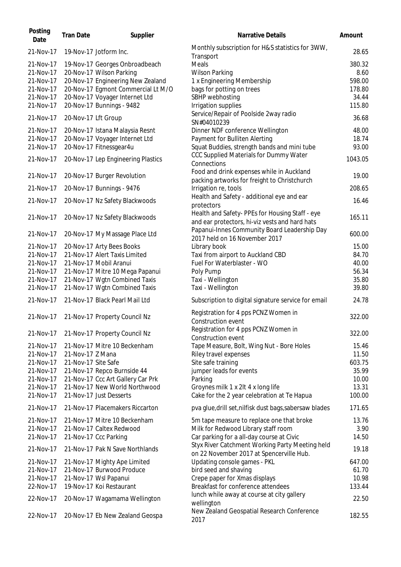| Posting<br>Date                     | <b>Tran Date</b>    | Supplier                                                                                          | <b>Narrative Details</b>                                                                                         | Amount                    |
|-------------------------------------|---------------------|---------------------------------------------------------------------------------------------------|------------------------------------------------------------------------------------------------------------------|---------------------------|
| 21-Nov-17                           |                     | 19-Nov-17 Jotform Inc.                                                                            | Monthly subscription for H&S statistics for 3WW,<br>Transport                                                    | 28.65                     |
| 21-Nov-17<br>21-Nov-17<br>21-Nov-17 |                     | 19-Nov-17 Georges Onbroadbeach<br>20-Nov-17 Wilson Parking<br>20-Nov-17 Engineering New Zealand   | Meals<br><b>Wilson Parking</b><br>1 x Engineering Membership                                                     | 380.32<br>8.60<br>598.00  |
| 21-Nov-17<br>21-Nov-17<br>21-Nov-17 |                     | 20-Nov-17 Egmont Commercial Lt M/O<br>20-Nov-17 Voyager Internet Ltd<br>20-Nov-17 Bunnings - 9482 | bags for potting on trees<br>SBHP webhosting<br>Irrigation supplies                                              | 178.80<br>34.44<br>115.80 |
| 21-Nov-17                           | 20-Nov-17 Lft Group |                                                                                                   | Service/Repair of Poolside 2way radio<br>SN#04010239                                                             | 36.68                     |
| 21-Nov-17<br>21-Nov-17<br>21-Nov-17 |                     | 20-Nov-17 Istana Malaysia Resnt<br>20-Nov-17 Voyager Internet Ltd<br>20-Nov-17 Fitnessgear4u      | Dinner NDF conference Wellington<br>Payment for Bulliten Alerting<br>Squat Buddies, strength bands and mini tube | 48.00<br>18.74<br>93.00   |
| 21-Nov-17                           |                     | 20-Nov-17 Lep Engineering Plastics                                                                | CCC Supplied Materials for Dummy Water<br>Connections                                                            | 1043.05                   |
| 21-Nov-17                           |                     | 20-Nov-17 Burger Revolution                                                                       | Food and drink expenses while in Auckland<br>packing artworks for freight to Christchurch                        | 19.00                     |
| 21-Nov-17                           |                     | 20-Nov-17 Bunnings - 9476                                                                         | Irrigation re, tools<br>Health and Safety - additional eye and ear                                               | 208.65                    |
| 21-Nov-17                           |                     | 20-Nov-17 Nz Safety Blackwoods                                                                    | protectors                                                                                                       | 16.46                     |
| 21-Nov-17                           |                     | 20-Nov-17 Nz Safety Blackwoods                                                                    | Health and Safety- PPEs for Housing Staff - eye<br>and ear protectors, hi-viz vests and hard hats                | 165.11                    |
| 21-Nov-17                           |                     | 20-Nov-17 My Massage Place Ltd                                                                    | Papanui-Innes Community Board Leadership Day<br>2017 held on 16 November 2017                                    | 600.00                    |
| 21-Nov-17                           |                     | 20-Nov-17 Arty Bees Books                                                                         | Library book                                                                                                     | 15.00                     |
| 21-Nov-17                           |                     | 21-Nov-17 Alert Taxis Limited                                                                     | Taxi from airport to Auckland CBD                                                                                | 84.70                     |
| 21-Nov-17                           |                     | 21-Nov-17 Mobil Aranui                                                                            | Fuel For Waterblaster - WO                                                                                       | 40.00                     |
| 21-Nov-17                           |                     | 21-Nov-17 Mitre 10 Mega Papanui                                                                   | Poly Pump                                                                                                        | 56.34                     |
| 21-Nov-17<br>21-Nov-17              |                     | 21-Nov-17 Wgtn Combined Taxis<br>21-Nov-17 Wgtn Combined Taxis                                    | Taxi - Wellington<br>Taxi - Wellington                                                                           | 35.80<br>39.80            |
| 21-Nov-17                           |                     | 21-Nov-17 Black Pearl Mail Ltd                                                                    | Subscription to digital signature service for email                                                              | 24.78                     |
| 21-Nov-17                           |                     | 21-Nov-17 Property Council Nz                                                                     | Registration for 4 pps PCNZ Women in<br>Construction event                                                       | 322.00                    |
| 21-Nov-17                           |                     | 21-Nov-17 Property Council Nz                                                                     | Registration for 4 pps PCNZ Women in<br>Construction event                                                       | 322.00                    |
| 21-Nov-17                           |                     | 21-Nov-17 Mitre 10 Beckenham                                                                      | Tape Measure, Bolt, Wing Nut - Bore Holes                                                                        | 15.46                     |
| 21-Nov-17                           | 21-Nov-17 Z Mana    |                                                                                                   | Riley travel expenses                                                                                            | 11.50                     |
| 21-Nov-17                           | 21-Nov-17 Site Safe |                                                                                                   | Site safe training                                                                                               | 603.75                    |
| 21-Nov-17                           |                     | 21-Nov-17 Repco Burnside 44                                                                       | jumper leads for events                                                                                          | 35.99                     |
| 21-Nov-17                           |                     | 21-Nov-17 Ccc Art Gallery Car Prk                                                                 | Parking                                                                                                          | 10.00                     |
| 21-Nov-17                           |                     | 21-Nov-17 New World Northwood                                                                     | Groynes milk 1 x 2lt 4 x long life                                                                               | 13.31                     |
| 21-Nov-17                           |                     | 21-Nov-17 Just Desserts                                                                           | Cake for the 2 year celebration at Te Hapua                                                                      | 100.00                    |
| 21-Nov-17                           |                     | 21-Nov-17 Placemakers Riccarton                                                                   | pva glue, drill set, nilfisk dust bags, sabersaw blades                                                          | 171.65                    |
| 21-Nov-17                           |                     | 21-Nov-17 Mitre 10 Beckenham                                                                      | 5m tape measure to replace one that broke                                                                        | 13.76                     |
| 21-Nov-17                           |                     | 21-Nov-17 Caltex Redwood                                                                          | Milk for Redwood Library staff room                                                                              | 3.90                      |
| 21-Nov-17                           |                     | 21-Nov-17 Ccc Parking                                                                             | Car parking for a all-day course at Civic                                                                        | 14.50                     |
| 21-Nov-17                           |                     | 21-Nov-17 Pak N Save Northlands                                                                   | Styx River Catchment Working Party Meeting held<br>on 22 November 2017 at Spencerville Hub.                      | 19.18                     |
| 21-Nov-17                           |                     | 21-Nov-17 Mighty Ape Limited                                                                      | Updating console games - PKL                                                                                     | 647.00                    |
| 21-Nov-17                           |                     | 21-Nov-17 Burwood Produce                                                                         | bird seed and shaving                                                                                            | 61.70                     |
| 21-Nov-17                           |                     | 21-Nov-17 Wsl Papanui                                                                             | Crepe paper for Xmas displays                                                                                    | 10.98                     |
| 22-Nov-17                           |                     | 19-Nov-17 Koi Restaurant                                                                          | Breakfast for conference attendees                                                                               | 133.44                    |
| 22-Nov-17                           |                     | 20-Nov-17 Wagamama Wellington                                                                     | lunch while away at course at city gallery<br>wellington                                                         | 22.50                     |
| 22-Nov-17                           |                     | 20-Nov-17 Eb New Zealand Geospa                                                                   | New Zealand Geospatial Research Conference<br>2017                                                               | 182.55                    |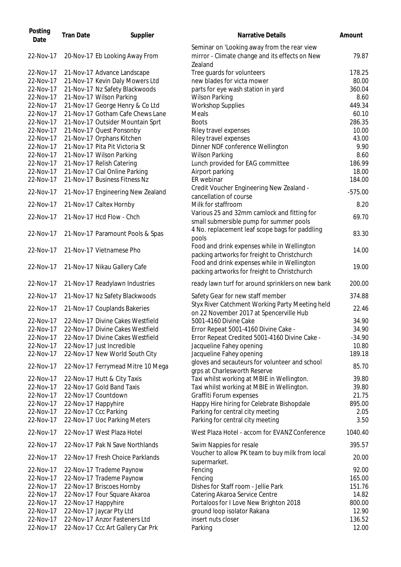| Posting<br>Date | <b>Tran Date</b> | Supplier                          | <b>Narrative Details</b>                                                                                 | Amount    |
|-----------------|------------------|-----------------------------------|----------------------------------------------------------------------------------------------------------|-----------|
| 22-Nov-17       |                  | 20-Nov-17 Eb Looking Away From    | Seminar on 'Looking away from the rear view<br>mirror - Climate change and its effects on New<br>Zealand | 79.87     |
| 22-Nov-17       |                  | 21-Nov-17 Advance Landscape       | Tree guards for volunteers                                                                               | 178.25    |
| 22-Nov-17       |                  | 21-Nov-17 Kevin Daly Mowers Ltd   | new blades for victa mower                                                                               | 80.00     |
| 22-Nov-17       |                  | 21-Nov-17 Nz Safety Blackwoods    | parts for eye wash station in yard                                                                       | 360.04    |
| 22-Nov-17       |                  | 21-Nov-17 Wilson Parking          | <b>Wilson Parking</b>                                                                                    | 8.60      |
| 22-Nov-17       |                  | 21-Nov-17 George Henry & Co Ltd   | <b>Workshop Supplies</b>                                                                                 | 449.34    |
| 22-Nov-17       |                  | 21-Nov-17 Gotham Cafe Chews Lane  | Meals                                                                                                    | 60.10     |
| 22-Nov-17       |                  | 21-Nov-17 Outsider Mountain Sprt  | <b>Boots</b>                                                                                             | 286.35    |
| 22-Nov-17       |                  | 21-Nov-17 Quest Ponsonby          | Riley travel expenses                                                                                    | 10.00     |
| 22-Nov-17       |                  | 21-Nov-17 Orphans Kitchen         | Riley travel expenses                                                                                    | 43.00     |
| 22-Nov-17       |                  | 21-Nov-17 Pita Pit Victoria St    | Dinner NDF conference Wellington                                                                         | 9.90      |
| 22-Nov-17       |                  | 21-Nov-17 Wilson Parking          | <b>Wilson Parking</b>                                                                                    | 8.60      |
| 22-Nov-17       |                  | 21-Nov-17 Relish Catering         | Lunch provided for EAG committee                                                                         | 186.99    |
| 22-Nov-17       |                  | 21-Nov-17 Cial Online Parking     | Airport parking                                                                                          | 18.00     |
| 22-Nov-17       |                  | 21-Nov-17 Business Fitness Nz     | ER webinar                                                                                               | 184.00    |
|                 |                  |                                   | Credit Voucher Engineering New Zealand -                                                                 |           |
| 22-Nov-17       |                  | 21-Nov-17 Engineering New Zealand | cancellation of course                                                                                   | $-575.00$ |
| 22-Nov-17       |                  | 21-Nov-17 Caltex Hornby           | Milk for staffroom                                                                                       | 8.20      |
|                 |                  |                                   | Various 25 and 32mm camlock and fitting for                                                              |           |
| 22-Nov-17       |                  | 21-Nov-17 Hcd Flow - Chch         | small submersible pump for summer pools                                                                  | 69.70     |
|                 |                  |                                   | 4 No. replacement leaf scope bags for paddling                                                           |           |
| 22-Nov-17       |                  | 21-Nov-17 Paramount Pools & Spas  | pools                                                                                                    | 83.30     |
| 22-Nov-17       |                  | 21-Nov-17 Vietnamese Pho          | Food and drink expenses while in Wellington<br>packing artworks for freight to Christchurch              | 14.00     |
| 22-Nov-17       |                  | 21-Nov-17 Nikau Gallery Cafe      | Food and drink expenses while in Wellington<br>packing artworks for freight to Christchurch              | 19.00     |
| 22-Nov-17       |                  | 21-Nov-17 Readylawn Industries    | ready lawn turf for around sprinklers on new bank                                                        | 200.00    |
| 22-Nov-17       |                  | 21-Nov-17 Nz Safety Blackwoods    | Safety Gear for new staff member                                                                         | 374.88    |
| 22-Nov-17       |                  | 21-Nov-17 Couplands Bakeries      | Styx River Catchment Working Party Meeting held<br>on 22 November 2017 at Spencerville Hub               | 22.46     |
| 22-Nov-17       |                  | 22-Nov-17 Divine Cakes Westfield  | 5001-4160 Divine Cake                                                                                    | 34.90     |
| 22-Nov-17       |                  | 22-Nov-17 Divine Cakes Westfield  | Error Repeat 5001-4160 Divine Cake -                                                                     | 34.90     |
| 22-Nov-17       |                  | 22-Nov-17 Divine Cakes Westfield  | Error Repeat Credited 5001-4160 Divine Cake -                                                            | $-34.90$  |
| 22-Nov-17       |                  | 22-Nov-17 Just Incredible         | Jacqueline Fahey opening                                                                                 | 10.80     |
| 22-Nov-17       |                  | 22-Nov-17 New World South City    | Jacqueline Fahey opening                                                                                 | 189.18    |
| 22-Nov-17       |                  | 22-Nov-17 Ferrymead Mitre 10 Mega | gloves and secauteurs for volunteer and school<br>grps at Charlesworth Reserve                           | 85.70     |
| 22-Nov-17       |                  | 22-Nov-17 Hutt & City Taxis       | Taxi whilst working at MBIE in Wellington.                                                               | 39.80     |
| 22-Nov-17       |                  | 22-Nov-17 Gold Band Taxis         | Taxi whilst working at MBIE in Wellington.                                                               | 39.80     |
| 22-Nov-17       |                  | 22-Nov-17 Countdown               | Graffiti Forum expenses                                                                                  | 21.75     |
| 22-Nov-17       |                  | 22-Nov-17 Happyhire               | Happy Hire hiring for Celebrate Bishopdale                                                               | 895.00    |
| 22-Nov-17       |                  | 22-Nov-17 Ccc Parking             | Parking for central city meeting                                                                         | 2.05      |
| 22-Nov-17       |                  | 22-Nov-17 Uoc Parking Meters      | Parking for central city meeting                                                                         | 3.5C      |
| 22-Nov-17       |                  | 22-Nov-17 West Plaza Hotel        | West Plaza Hotel - accom for EVANZ Conference                                                            | 1040.40   |
| 22-Nov-17       |                  | 22-Nov-17 Pak N Save Northlands   | Swim Nappies for resale                                                                                  | 395.57    |
| 22-Nov-17       |                  | 22-Nov-17 Fresh Choice Parklands  | Voucher to allow PK team to buy milk from local                                                          | 20.00     |
| 22-Nov-17       |                  | 22-Nov-17 Trademe Paynow          | supermarket.<br>Fencing                                                                                  | 92.00     |
| 22-Nov-17       |                  | 22-Nov-17 Trademe Paynow          | Fencing                                                                                                  | 165.00    |
| 22-Nov-17       |                  | 22-Nov-17 Briscoes Hornby         | Dishes for Staff room - Jellie Park                                                                      | 151.76    |
| 22-Nov-17       |                  | 22-Nov-17 Four Square Akaroa      | Catering Akaroa Service Centre                                                                           | 14.82     |
| 22-Nov-17       |                  | 22-Nov-17 Happyhire               | Portaloos for I Love New Brighton 2018                                                                   | 800.00    |
| 22-Nov-17       |                  | 22-Nov-17 Jaycar Pty Ltd          | ground loop isolator Rakana                                                                              | 12.90     |
| 22-Nov-17       |                  | 22-Nov-17 Anzor Fasteners Ltd     | insert nuts closer                                                                                       | 136.52    |
| 22-Nov-17       |                  | 22-Nov-17 Ccc Art Gallery Car Prk | Parking                                                                                                  | 12.00     |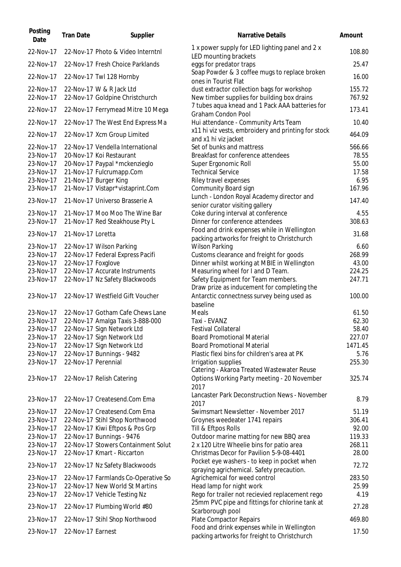| Posting<br>Date | <b>Tran Date</b>    | Supplier                            | <b>Narrative Details</b>                                                                       | Amount  |
|-----------------|---------------------|-------------------------------------|------------------------------------------------------------------------------------------------|---------|
| 22-Nov-17       |                     | 22-Nov-17 Photo & Video Interntnl   | 1 x power supply for LED lighting panel and 2 x<br>LED mounting brackets                       | 108.80  |
| 22-Nov-17       |                     | 22-Nov-17 Fresh Choice Parklands    | eggs for predator traps                                                                        | 25.47   |
| 22-Nov-17       |                     | 22-Nov-17 Twl 128 Hornby            | Soap Powder & 3 coffee mugs to replace broken<br>ones in Tourist Flat                          | 16.00   |
| 22-Nov-17       |                     | 22-Nov-17 W & R Jack Ltd            | dust extractor collection bags for workshop                                                    | 155.72  |
| 22-Nov-17       |                     | 22-Nov-17 Goldpine Christchurch     | New timber supplies for building box drains<br>7 tubes aqua knead and 1 Pack AAA batteries for | 767.92  |
| 22-Nov-17       |                     | 22-Nov-17 Ferrymead Mitre 10 Mega   | <b>Graham Condon Pool</b>                                                                      | 173.41  |
| 22-Nov-17       |                     | 22-Nov-17 The West End Express Ma   | Hui attendance - Community Arts Team                                                           | 10.40   |
| 22-Nov-17       |                     | 22-Nov-17 Xcm Group Limited         | x11 hi viz vests, embroidery and printing for stock<br>and x1 hi viz jacket                    | 464.09  |
| 22-Nov-17       |                     | 22-Nov-17 Vendella International    | Set of bunks and mattress                                                                      | 566.66  |
| 23-Nov-17       |                     | 20-Nov-17 Koi Restaurant            | Breakfast for conference attendees                                                             | 78.55   |
| 23-Nov-17       |                     | 20-Nov-17 Paypal *mckenzieglo       | Super Ergonomic Roll                                                                           | 55.00   |
| 23-Nov-17       |                     | 21-Nov-17 Fulcrumapp.Com            | <b>Technical Service</b>                                                                       | 17.58   |
| 23-Nov-17       |                     | 21-Nov-17 Burger King               | Riley travel expenses                                                                          | 6.95    |
| 23-Nov-17       |                     | 21-Nov-17 Vistapr*vistaprint.Com    | Community Board sign                                                                           | 167.96  |
|                 |                     |                                     | Lunch - London Royal Academy director and                                                      |         |
| 23-Nov-17       |                     | 21-Nov-17 Universo Brasserie A      | senior curator visiting gallery                                                                | 147.40  |
| 23-Nov-17       |                     | 21-Nov-17 Moo Moo The Wine Bar      | Coke during interval at conference                                                             | 4.55    |
| 23-Nov-17       |                     | 21-Nov-17 Red Steakhouse Pty L      | Dinner for conference attendees                                                                | 308.63  |
|                 |                     |                                     | Food and drink expenses while in Wellington                                                    |         |
| 23-Nov-17       | 21-Nov-17 Loretta   |                                     | packing artworks for freight to Christchurch                                                   | 31.68   |
| 23-Nov-17       |                     | 22-Nov-17 Wilson Parking            | <b>Wilson Parking</b>                                                                          | 6.60    |
| 23-Nov-17       |                     | 22-Nov-17 Federal Express Pacifi    | Customs clearance and freight for goods                                                        | 268.99  |
| 23-Nov-17       | 22-Nov-17 Foxglove  |                                     | Dinner whilst working at MBIE in Wellington                                                    | 43.00   |
| 23-Nov-17       |                     | 22-Nov-17 Accurate Instruments      | Measuring wheel for I and D Team.                                                              | 224.25  |
| 23-Nov-17       |                     | 22-Nov-17 Nz Safety Blackwoods      | Safety Equipment for Team members.                                                             | 247.71  |
|                 |                     |                                     | Draw prize as inducement for completing the                                                    |         |
| 23-Nov-17       |                     | 22-Nov-17 Westfield Gift Voucher    | Antarctic connectness survey being used as<br>baseline                                         | 100.00  |
| 23-Nov-17       |                     | 22-Nov-17 Gotham Cafe Chews Lane    | Meals                                                                                          | 61.50   |
| 23-Nov-17       |                     |                                     |                                                                                                |         |
|                 |                     | 22-Nov-17 Amalga Taxis 3-888-000    | Taxi - EVANZ                                                                                   | 62.30   |
| 23-Nov-17       |                     | 22-Nov-17 Sign Network Ltd          | <b>Festival Collateral</b>                                                                     | 58.40   |
| 23-Nov-17       |                     | 22-Nov-17 Sign Network Ltd          | <b>Board Promotional Material</b>                                                              | 227.07  |
| 23-Nov-17       |                     | 22-Nov-17 Sign Network Ltd          | <b>Board Promotional Material</b>                                                              | 1471.45 |
| 23-Nov-17       |                     | 22-Nov-17 Bunnings - 9482           | Plastic flexi bins for children's area at PK                                                   | 5.76    |
| 23-Nov-17       | 22-Nov-17 Perennial |                                     | Irrigation supplies<br>Catering - Akaroa Treated Wastewater Reuse                              | 255.30  |
| 23-Nov-17       |                     | 22-Nov-17 Relish Catering           | Options Working Party meeting - 20 November<br>2017                                            | 325.74  |
| 23-Nov-17       |                     | 22-Nov-17 Createsend.Com Ema        | Lancaster Park Deconstruction News - November<br>2017                                          | 8.79    |
| 23-Nov-17       |                     | 22-Nov-17 Createsend.Com Ema        | Swimsmart Newsletter - November 2017                                                           | 51.19   |
| 23-Nov-17       |                     | 22-Nov-17 Stihl Shop Northwood      | Groynes weedeater 1741 repairs                                                                 | 306.41  |
| 23-Nov-17       |                     | 22-Nov-17 Kiwi Eftpos & Pos Grp     | Till & Eftpos Rolls                                                                            | 92.00   |
| 23-Nov-17       |                     | 22-Nov-17 Bunnings - 9476           | Outdoor marine matting for new BBQ area                                                        | 119.33  |
| 23-Nov-17       |                     | 22-Nov-17 Stowers Containment Solut |                                                                                                | 268.11  |
|                 |                     |                                     | 2 x 120 Litre Wheelie bins for patio area                                                      |         |
| 23-Nov-17       |                     | 22-Nov-17 Kmart - Riccarton         | Christmas Decor for Pavilion 5-9-08-4401                                                       | 28.00   |
| 23-Nov-17       |                     | 22-Nov-17 Nz Safety Blackwoods      | Pocket eye washers - to keep in pocket when<br>spraying agrichemical. Safety precaution.       | 72.72   |
| 23-Nov-17       |                     | 22-Nov-17 Farmlands Co-Operative So | Agrichemical for weed control                                                                  | 283.50  |
| 23-Nov-17       |                     | 22-Nov-17 New World St Martins      | Head lamp for night work                                                                       | 25.99   |
| 23-Nov-17       |                     | 22-Nov-17 Vehicle Testing Nz        | Rego for trailer not recievied replacement rego                                                | 4.19    |
| 23-Nov-17       |                     | 22-Nov-17 Plumbing World #80        | 25mm PVC pipe and fittings for chlorine tank at<br>Scarborough pool                            | 27.28   |
| 23-Nov-17       |                     | 22-Nov-17 Stihl Shop Northwood      | <b>Plate Compactor Repairs</b>                                                                 | 469.80  |
| 23-Nov-17       | 22-Nov-17 Earnest   |                                     | Food and drink expenses while in Wellington<br>packing artworks for freight to Christchurch    | 17.50   |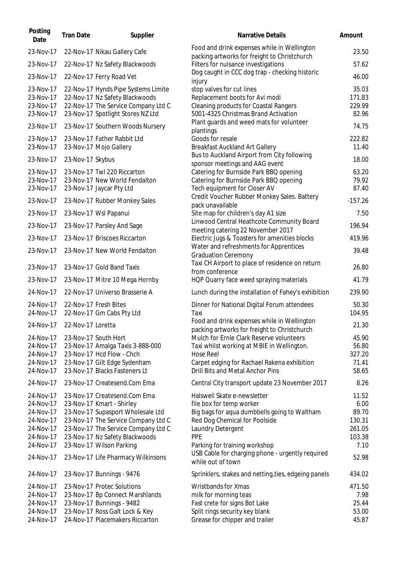| Posting<br>Date | <b>Tran Date</b>  | Supplier                            | <b>Narrative Details</b>                                                                    | Amount    |
|-----------------|-------------------|-------------------------------------|---------------------------------------------------------------------------------------------|-----------|
| 23-Nov-17       |                   | 22-Nov-17 Nikau Gallery Cafe        | Food and drink expenses while in Wellington<br>packing artworks for freight to Christchurch | 23.50     |
| 23-Nov-17       |                   | 22-Nov-17 Nz Safety Blackwoods      | Filters for nuisance investigations                                                         | 57.62     |
| 23-Nov-17       |                   | 22-Nov-17 Ferry Road Vet            | Dog caught in CCC dog trap - checking historic<br>injury                                    | 46.00     |
| 23-Nov-17       |                   | 22-Nov-17 Hynds Pipe Systems Limite | stop valves for cut lines                                                                   | 35.03     |
| 23-Nov-17       |                   | 22-Nov-17 Nz Safety Blackwoods      | Replacement boots for Avi modi                                                              | 171.83    |
| 23-Nov-17       |                   | 22-Nov-17 The Service Company Ltd C | <b>Cleaning products for Coastal Rangers</b>                                                | 229.99    |
| 23-Nov-17       |                   | 23-Nov-17 Spotlight Stores NZ Ltd   | 5001-4325 Christmas Brand Activation                                                        | 82.96     |
| 23-Nov-17       |                   | 23-Nov-17 Southern Woods Nursery    | Plant guards and weed mats for volunteer<br>plantings                                       | 74.75     |
| 23-Nov-17       |                   | 23-Nov-17 Father Rabbit Ltd         | Goods for resale                                                                            | 222.82    |
| 23-Nov-17       |                   | 23-Nov-17 Mojo Gallery              | <b>Breakfast Auckland Art Gallery</b>                                                       | 11.40     |
| 23-Nov-17       | 23-Nov-17 Skybus  |                                     | Bus to Auckland Airport from City following<br>sponsor meetings and AAG event               | 18.00     |
| 23-Nov-17       |                   | 23-Nov-17 Twl 220 Riccarton         | Catering for Burnside Park BBQ opening                                                      | 63.20     |
| 23-Nov-17       |                   | 23-Nov-17 New World Fendalton       | Catering for Burnside Park BBQ opening                                                      | 79.92     |
| 23-Nov-17       |                   | 23-Nov-17 Jaycar Pty Ltd            | Tech equipment for Closer AV                                                                | 87.40     |
| 23-Nov-17       |                   | 23-Nov-17 Rubber Monkey Sales       | Credit Voucher Rubber Monkey Sales. Battery<br>pack unavailable                             | $-157.26$ |
| 23-Nov-17       |                   | 23-Nov-17 Wsl Papanui               | Site map for children's day A1 size                                                         | 7.50      |
| 23-Nov-17       |                   | 23-Nov-17 Parsley And Sage          | Linwood Central Heathcote Community Board<br>meeting catering 22 November 2017              | 196.94    |
| 23-Nov-17       |                   | 23-Nov-17 Briscoes Riccarton        | Electric Jugs & Toasters for amenities blocks                                               | 419.96    |
| 23-Nov-17       |                   | 23-Nov-17 New World Fendalton       | Water and refreshments for Apprentices<br><b>Graduation Ceremony</b>                        | 39.48     |
| 23-Nov-17       |                   | 23-Nov-17 Gold Band Taxis           | Taxi CH Airport to place of residence on return<br>from conference                          | 26.80     |
| 23-Nov-17       |                   | 23-Nov-17 Mitre 10 Mega Hornby      | HQP Quarry face weed spraying materials                                                     | 41.79     |
| 24-Nov-17       |                   | 22-Nov-17 Universo Brasserie A      | Lunch during the installation of Fahey's exhibition                                         | 239.90    |
| 24-Nov-17       |                   | 22-Nov-17 Fresh Bites               | Dinner for National Digital Forum attendees                                                 | 50.30     |
| 24-Nov-17       |                   | 22-Nov-17 Gm Cabs Pty Ltd           | Taxi                                                                                        | 104.95    |
| 24-Nov-17       | 22-Nov-17 Loretta |                                     | Food and drink expenses while in Wellington<br>packing artworks for freight to Christchurch | 21.30     |
| 24-Nov-17       |                   | 23-Nov-17 South Hort                | Mulch for Ernle Clark Reserve volunteers                                                    | 45.90     |
| 24-Nov-17       |                   | 23-Nov-17 Amalga Taxis 3-888-000    | Taxi whilst working at MBIE in Wellington.                                                  | 56.80     |
| 24-Nov-17       |                   | 23-Nov-17 Hcd Flow - Chch           | Hose Reel                                                                                   | 327.20    |
| 24-Nov-17       |                   | 23-Nov-17 Gilt Edge Sydenham        | Carpet edging for Rachael Rakena exhibition                                                 | 71.41     |
| 24-Nov-17       |                   | 23-Nov-17 Blacks Fasteners Lt       | Drill Bits and Metal Anchor Pins                                                            | 58.65     |
| 24-Nov-17       |                   | 23-Nov-17 Createsend.Com Ema        | Central City transport update 23 November 2017                                              | 8.26      |
| 24-Nov-17       |                   | 23-Nov-17 Createsend.Com Ema        | Halswell Skate e-newsletter                                                                 | 11.52     |
| 24-Nov-17       |                   | 23-Nov-17 Kmart - Shirley           | file box for temp worker                                                                    | 6.00      |
| 24-Nov-17       |                   | 23-Nov-17 Supasport Wholesale Ltd   | Big bags for aqua dumbbells going to Waltham                                                | 89.70     |
| 24-Nov-17       |                   | 23-Nov-17 The Service Company Ltd C | Red Dog Chemical for Poolside                                                               | 130.31    |
| 24-Nov-17       |                   | 23-Nov-17 The Service Company Ltd C | Laundry Detergent                                                                           | 261.05    |
| 24-Nov-17       |                   | 23-Nov-17 Nz Safety Blackwoods      | <b>PPE</b>                                                                                  | 103.38    |
| 24-Nov-17       |                   | 23-Nov-17 Wilson Parking            | Parking for training workshop<br>USB Cable for charging phone - urgently required           | 7.10      |
| 24-Nov-17       |                   | 23-Nov-17 Life Pharmacy Wilkinsons  | while out of town                                                                           | 52.98     |
| 24-Nov-17       |                   | 23-Nov-17 Bunnings - 9476           | Sprinklers, stakes and netting, ties, edgeing panels                                        | 434.02    |
| 24-Nov-17       |                   | 23-Nov-17 Protec Solutions          | Wristbands for Xmas                                                                         | 471.50    |
| 24-Nov-17       |                   | 23-Nov-17 Bp Connect Marshlands     | milk for morning teas                                                                       | 7.98      |
| 24-Nov-17       |                   | 23-Nov-17 Bunnings - 9482           | Fast crete for signs Bot Lake                                                               | 25.44     |
| 24-Nov-17       |                   | 23-Nov-17 Ross Galt Lock & Key      | Split rings security key blank                                                              | 53.00     |
| 24-Nov-17       |                   | 24-Nov-17 Placemakers Riccarton     | Grease for chipper and trailer                                                              | 45.87     |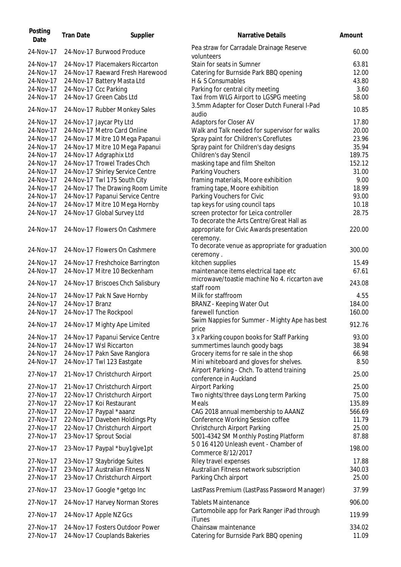| Posting<br>Date        | <b>Tran Date</b> | Supplier                                                         | Narrative Details                                                                      | Amount          |
|------------------------|------------------|------------------------------------------------------------------|----------------------------------------------------------------------------------------|-----------------|
| 24-Nov-17              |                  | 24-Nov-17 Burwood Produce                                        | Pea straw for Carradale Drainage Reserve<br>volunteers                                 | 60.00           |
| 24-Nov-17              |                  | 24-Nov-17 Placemakers Riccarton                                  | Stain for seats in Sumner                                                              | 63.81           |
| 24-Nov-17              |                  | 24-Nov-17 Raeward Fresh Harewood                                 | Catering for Burnside Park BBQ opening                                                 | 12.00           |
| 24-Nov-17              |                  | 24-Nov-17 Battery Masta Ltd                                      | H & S Consumables                                                                      | 43.80           |
| 24-Nov-17              |                  | 24-Nov-17 Ccc Parking                                            | Parking for central city meeting                                                       | 3.60            |
| 24-Nov-17              |                  | 24-Nov-17 Green Cabs Ltd                                         | Taxi from WLG Airport to LGSPG meeting                                                 | 58.00           |
| 24-Nov-17              |                  | 24-Nov-17 Rubber Monkey Sales                                    | 3.5mm Adapter for Closer Dutch Funeral I-Pad<br>audio                                  | 10.85           |
| 24-Nov-17              |                  | 24-Nov-17 Jaycar Pty Ltd                                         | Adaptors for Closer AV                                                                 | 17.80           |
| 24-Nov-17              |                  | 24-Nov-17 Metro Card Online                                      | Walk and Talk needed for supervisor for walks                                          | 20.00           |
| 24-Nov-17              |                  | 24-Nov-17 Mitre 10 Mega Papanui                                  | Spray paint for Children's Coreflutes                                                  | 23.96           |
| 24-Nov-17              |                  | 24-Nov-17 Mitre 10 Mega Papanui                                  | Spray paint for Children's day designs                                                 | 35.94           |
| 24-Nov-17              |                  | 24-Nov-17 Adgraphix Ltd                                          | Children's day Stencil                                                                 | 189.75          |
| 24-Nov-17              |                  | 24-Nov-17 Trowel Trades Chch                                     | masking tape and film Shelton                                                          | 152.12          |
| 24-Nov-17              |                  | 24-Nov-17 Shirley Service Centre                                 | Parking Vouchers                                                                       | 31.00           |
| 24-Nov-17              |                  | 24-Nov-17 Twl 175 South City                                     | framing materials, Moore exhibition                                                    | 9.00            |
| 24-Nov-17              |                  | 24-Nov-17 The Drawing Room Limite                                | framing tape, Moore exhibition                                                         | 18.99           |
| 24-Nov-17              |                  | 24-Nov-17 Papanui Service Centre                                 | Parking Vouchers for Civic                                                             | 93.00           |
| 24-Nov-17              |                  | 24-Nov-17 Mitre 10 Mega Hornby                                   | tap keys for using council taps                                                        | 10.18           |
| 24-Nov-17              |                  | 24-Nov-17 Global Survey Ltd                                      | screen protector for Leica controller                                                  | 28.75           |
| 24-Nov-17              |                  | 24-Nov-17 Flowers On Cashmere                                    | To decorate the Arts Centre/Great Hall as<br>appropriate for Civic Awards presentation | 220.00          |
|                        |                  |                                                                  | ceremony.<br>To decorate venue as appropriate for graduation                           |                 |
| 24-Nov-17              |                  | 24-Nov-17 Flowers On Cashmere                                    | ceremony.                                                                              | 300.00          |
| 24-Nov-17              |                  | 24-Nov-17 Freshchoice Barrington<br>24-Nov-17 Mitre 10 Beckenham | kitchen supplies                                                                       | 15.49           |
| 24-Nov-17              |                  |                                                                  | maintenance items electrical tape etc                                                  | 67.61           |
| 24-Nov-17              |                  | 24-Nov-17 Briscoes Chch Salisbury                                | microwave/toastie machine No 4. riccarton ave<br>staff room                            | 243.08          |
| 24-Nov-17              |                  | 24-Nov-17 Pak N Save Hornby                                      | Milk for staffroom                                                                     | 4.55            |
| 24-Nov-17              | 24-Nov-17 Branz  |                                                                  | <b>BRANZ</b> - Keeping Water Out                                                       | 184.00          |
| 24-Nov-17              |                  | 24-Nov-17 The Rockpool                                           | farewell function                                                                      | 160.00          |
| 24-Nov-17              |                  | 24-Nov-17 Mighty Ape Limited                                     | Swim Nappies for Summer - Mighty Ape has best<br>price                                 | 912.76          |
| 24-Nov-17              |                  | 24-Nov-17 Papanui Service Centre                                 | 3 x Parking coupon books for Staff Parking                                             | 93.00           |
| 24-Nov-17              |                  | 24-Nov-17 Wsl Riccarton                                          | summertimes launch goody bags                                                          | 38.94           |
| 24-Nov-17              |                  | 24-Nov-17 Pakn Save Rangiora                                     | Grocery items for re sale in the shop                                                  | 66.98           |
| 24-Nov-17              |                  | 24-Nov-17 Twl 123 Eastgate                                       | Mini whiteboard and gloves for shelves.<br>Airport Parking - Chch. To attend training  | 8.50            |
| 27-Nov-17              |                  | 21-Nov-17 Christchurch Airport                                   | conference in Auckland                                                                 | 25.00           |
| 27-Nov-17              |                  | 21-Nov-17 Christchurch Airport                                   | <b>Airport Parking</b>                                                                 | 25.00           |
| 27-Nov-17              |                  | 22-Nov-17 Christchurch Airport                                   | Two nights/three days Long term Parking                                                | 75.00           |
| 27-Nov-17              |                  | 22-Nov-17 Koi Restaurant                                         | Meals                                                                                  | 135.89          |
| 27-Nov-17              |                  | 22-Nov-17 Paypal *aaanz                                          | CAG 2018 annual membership to AAANZ                                                    | 566.69          |
| 27-Nov-17              |                  | 22-Nov-17 Daveben Holdings Pty                                   | Conference Working Session coffee                                                      | 11.79           |
| 27-Nov-17              |                  | 22-Nov-17 Christchurch Airport                                   | Christchurch Airport Parking                                                           | 25.00           |
| 27-Nov-17              |                  | 23-Nov-17 Sprout Social                                          | 5001-4342 SM Monthly Posting Platform<br>50164120 Unleash event - Chamber of           | 87.88           |
| 27-Nov-17              |                  | 23-Nov-17 Paypal *buy1give1pt                                    | Commerce 8/12/2017                                                                     | 198.00          |
| 27-Nov-17              |                  | 23-Nov-17 Staybridge Suites                                      | Riley travel expenses                                                                  | 17.88           |
| 27-Nov-17              |                  | 23-Nov-17 Australian Fitness N                                   | Australian Fitness network subscription                                                | 340.03          |
| 27-Nov-17              |                  | 23-Nov-17 Christchurch Airport                                   | Parking Chch airport                                                                   | 25.00           |
| 27-Nov-17              |                  | 23-Nov-17 Google *getgo Inc                                      | LastPass Premium (LastPass Password Manager)                                           | 37.99           |
| 27-Nov-17              |                  | 24-Nov-17 Harvey Norman Stores                                   | <b>Tablets Maintenance</b>                                                             | 906.00          |
| 27-Nov-17              |                  | 24-Nov-17 Apple NZ Gcs                                           | Cartomobile app for Park Ranger iPad through<br>iTunes                                 | 119.99          |
| 27-Nov-17<br>27-Nov-17 |                  | 24-Nov-17 Fosters Outdoor Power<br>24-Nov-17 Couplands Bakeries  | Chainsaw maintenance<br>Catering for Burnside Park BBQ opening                         | 334.02<br>11.09 |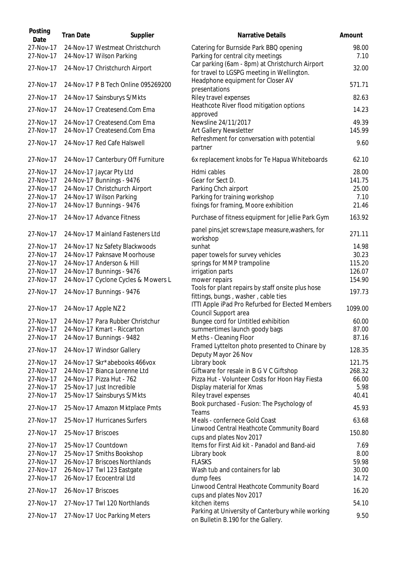| Posting<br>Date        | <b>Tran Date</b>   | Supplier                                                      | Narrative Details                                                                             | Amount        |
|------------------------|--------------------|---------------------------------------------------------------|-----------------------------------------------------------------------------------------------|---------------|
| 27-Nov-17<br>27-Nov-17 |                    | 24-Nov-17 Westmeat Christchurch<br>24-Nov-17 Wilson Parking   | Catering for Burnside Park BBQ opening<br>Parking for central city meetings                   | 98.00<br>7.10 |
| 27-Nov-17              |                    | 24-Nov-17 Christchurch Airport                                | Car parking (6am - 8pm) at Christchurch Airport<br>for travel to LGSPG meeting in Wellington. | 32.00         |
| 27-Nov-17              |                    | 24-Nov-17 P B Tech Online 095269200                           | Headphone equipment for Closer AV<br>presentations                                            | 571.71        |
| 27-Nov-17              |                    | 24-Nov-17 Sainsburys S/Mkts                                   | Riley travel expenses                                                                         | 82.63         |
| 27-Nov-17              |                    | 24-Nov-17 Createsend.Com Ema                                  | Heathcote River flood mitigation options<br>approved                                          | 14.23         |
| 27-Nov-17              |                    | 24-Nov-17 Createsend.Com Ema                                  | Newsline 24/11/2017                                                                           | 49.39         |
| 27-Nov-17              |                    | 24-Nov-17 Createsend.Com Ema                                  | Art Gallery Newsletter                                                                        | 145.99        |
| 27-Nov-17              |                    | 24-Nov-17 Red Cafe Halswell                                   | Refreshment for conversation with potential<br>partner                                        | 9.60          |
| 27-Nov-17              |                    | 24-Nov-17 Canterbury Off Furniture                            | 6x replacement knobs for Te Hapua Whiteboards                                                 | 62.10         |
| 27-Nov-17              |                    | 24-Nov-17 Jaycar Pty Ltd                                      | Hdmi cables                                                                                   | 28.00         |
| 27-Nov-17              |                    | 24-Nov-17 Bunnings - 9476                                     | Gear for Sect D.                                                                              | 141.75        |
| 27-Nov-17              |                    | 24-Nov-17 Christchurch Airport                                | Parking Chch airport                                                                          | 25.00         |
| 27-Nov-17              |                    | 24-Nov-17 Wilson Parking                                      | Parking for training workshop                                                                 | 7.10          |
| 27-Nov-17              |                    | 24-Nov-17 Bunnings - 9476                                     | fixings for framing, Moore exhibition                                                         | 21.46         |
| 27-Nov-17              |                    | 24-Nov-17 Advance Fitness                                     | Purchase of fitness equipment for Jellie Park Gym                                             | 163.92        |
| 27-Nov-17              |                    | 24-Nov-17 Mainland Fasteners Ltd                              | panel pins, jet screws, tape measure, washers, for<br>workshop                                | 271.11        |
| 27-Nov-17              |                    | 24-Nov-17 Nz Safety Blackwoods                                | sunhat                                                                                        | 14.98         |
| 27-Nov-17              |                    | 24-Nov-17 Paknsave Moorhouse                                  | paper towels for survey vehicles                                                              | 30.23         |
| 27-Nov-17              |                    | 24-Nov-17 Anderson & Hill                                     | springs for MMP trampoline                                                                    | 115.20        |
| 27-Nov-17              |                    | 24-Nov-17 Bunnings - 9476                                     | irrigation parts                                                                              | 126.07        |
| 27-Nov-17              |                    | 24-Nov-17 Cyclone Cycles & Mowers L                           | mower repairs                                                                                 | 154.90        |
| 27-Nov-17              |                    | 24-Nov-17 Bunnings - 9476                                     | Tools for plant repairs by staff onsite plus hose<br>fittings, bungs, washer, cable ties      | 197.73        |
| 27-Nov-17              |                    | 24-Nov-17 Apple NZ 2                                          | ITTI Apple iPad Pro Refurbed for Elected Members<br>Council Support area                      | 1099.00       |
| 27-Nov-17              |                    | 24-Nov-17 Para Rubber Christchur                              | Bungee cord for Untitled exhibition                                                           | 60.00         |
| 27-Nov-17              |                    | 24-Nov-17 Kmart - Riccarton                                   | summertimes launch goody bags                                                                 | 87.00         |
| 27-Nov-17              |                    | 24-Nov-17 Bunnings - 9482                                     | Meths - Cleaning Floor                                                                        | 87.16         |
| 27-Nov-17              |                    | 24-Nov-17 Windsor Gallery                                     | Framed Lyttelton photo presented to Chinare by                                                | 128.35        |
|                        |                    |                                                               | Deputy Mayor 26 Nov                                                                           |               |
| 27-Nov-17              |                    | 24-Nov-17 Skr*abebooks 466vox                                 | Library book                                                                                  | 121.75        |
| 27-Nov-17              |                    | 24-Nov-17 Bianca Lorenne Ltd                                  | Giftware for resale in B G V C Giftshop                                                       | 268.32        |
| 27-Nov-17              |                    | 24-Nov-17 Pizza Hut - 762                                     | Pizza Hut - Volunteer Costs for Hoon Hay Fiesta                                               | 66.00         |
| 27-Nov-17              |                    | 25-Nov-17 Just Incredible                                     | Display material for Xmas                                                                     | 5.98<br>40.41 |
| 27-Nov-17<br>27-Nov-17 |                    | 25-Nov-17 Sainsburys S/Mkts<br>25-Nov-17 Amazon Mktplace Pmts | Riley travel expenses<br>Book purchased - Fusion: The Psychology of                           | 45.93         |
| 27-Nov-17              |                    | 25-Nov-17 Hurricanes Surfers                                  | Teams<br>Meals - confernece Gold Coast                                                        | 63.68         |
| 27-Nov-17              | 25-Nov-17 Briscoes |                                                               | Linwood Central Heathcote Community Board<br>cups and plates Nov 2017                         | 150.80        |
| 27-Nov-17              |                    | 25-Nov-17 Countdown                                           | Items for First Aid kit - Panadol and Band-aid                                                | 7.69          |
| 27-Nov-17              |                    | 25-Nov-17 Smiths Bookshop                                     | Library book                                                                                  | 8.00          |
| 27-Nov-17              |                    | 26-Nov-17 Briscoes Northlands                                 | <b>FLASKS</b>                                                                                 | 59.98         |
| 27-Nov-17              |                    | 26-Nov-17 Twl 123 Eastgate                                    | Wash tub and containers for lab                                                               | 30.00         |
| 27-Nov-17              |                    | 26-Nov-17 Ecocentral Ltd                                      | dump fees                                                                                     | 14.72         |
| 27-Nov-17              | 26-Nov-17 Briscoes |                                                               | Linwood Central Heathcote Community Board<br>cups and plates Nov 2017                         | 16.20         |
| 27-Nov-17              |                    | 27-Nov-17 Twl 120 Northlands                                  | kitchen items                                                                                 | 54.10         |
| 27-Nov-17              |                    | 27-Nov-17 Uoc Parking Meters                                  | Parking at University of Canterbury while working<br>on Bulletin B.190 for the Gallery.       | 9.50          |